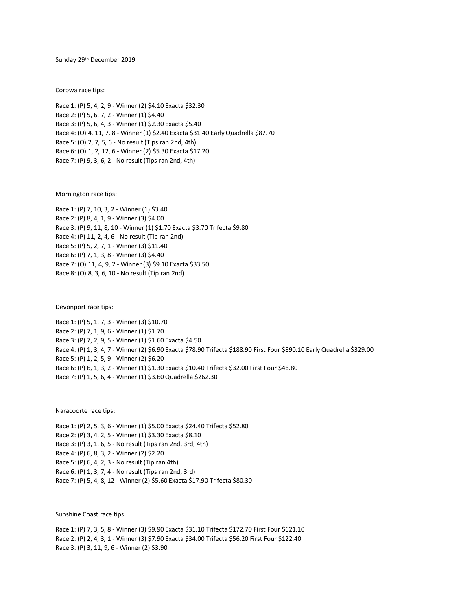Sunday 29 th December 2019

Corowa race tips:

Race 1: (P) 5, 4, 2, 9 - Winner (2) \$4.10 Exacta \$32.30 Race 2: (P) 5, 6, 7, 2 - Winner (1) \$4.40 Race 3: (P) 5, 6, 4, 3 - Winner (1) \$2.30 Exacta \$5.40 Race 4: (O) 4, 11, 7, 8 - Winner (1) \$2.40 Exacta \$31.40 Early Quadrella \$87.70 Race 5: (O) 2, 7, 5, 6 - No result (Tips ran 2nd, 4th) Race 6: (O) 1, 2, 12, 6 - Winner (2) \$5.30 Exacta \$17.20 Race 7: (P) 9, 3, 6, 2 - No result (Tips ran 2nd, 4th)

Mornington race tips:

Race 1: (P) 7, 10, 3, 2 - Winner (1) \$3.40 Race 2: (P) 8, 4, 1, 9 - Winner (3) \$4.00 Race 3: (P) 9, 11, 8, 10 - Winner (1) \$1.70 Exacta \$3.70 Trifecta \$9.80 Race 4: (P) 11, 2, 4, 6 - No result (Tip ran 2nd) Race 5: (P) 5, 2, 7, 1 - Winner (3) \$11.40 Race 6: (P) 7, 1, 3, 8 - Winner (3) \$4.40 Race 7: (O) 11, 4, 9, 2 - Winner (3) \$9.10 Exacta \$33.50 Race 8: (O) 8, 3, 6, 10 - No result (Tip ran 2nd)

Devonport race tips:

Race 1: (P) 5, 1, 7, 3 - Winner (3) \$10.70 Race 2: (P) 7, 1, 9, 6 - Winner (1) \$1.70 Race 3: (P) 7, 2, 9, 5 - Winner (1) \$1.60 Exacta \$4.50 Race 4: (P) 1, 3, 4, 7 - Winner (2) \$6.90 Exacta \$78.90 Trifecta \$188.90 First Four \$890.10 Early Quadrella \$329.00 Race 5: (P) 1, 2, 5, 9 - Winner (2) \$6.20 Race 6: (P) 6, 1, 3, 2 - Winner (1) \$1.30 Exacta \$10.40 Trifecta \$32.00 First Four \$46.80 Race 7: (P) 1, 5, 6, 4 - Winner (1) \$3.60 Quadrella \$262.30

Naracoorte race tips:

Race 1: (P) 2, 5, 3, 6 - Winner (1) \$5.00 Exacta \$24.40 Trifecta \$52.80 Race 2: (P) 3, 4, 2, 5 - Winner (1) \$3.30 Exacta \$8.10 Race 3: (P) 3, 1, 6, 5 - No result (Tips ran 2nd, 3rd, 4th) Race 4: (P) 6, 8, 3, 2 - Winner (2) \$2.20 Race 5: (P) 6, 4, 2, 3 - No result (Tip ran 4th) Race 6: (P) 1, 3, 7, 4 - No result (Tips ran 2nd, 3rd) Race 7: (P) 5, 4, 8, 12 - Winner (2) \$5.60 Exacta \$17.90 Trifecta \$80.30

Sunshine Coast race tips:

Race 1: (P) 7, 3, 5, 8 - Winner (3) \$9.90 Exacta \$31.10 Trifecta \$172.70 First Four \$621.10 Race 2: (P) 2, 4, 3, 1 - Winner (3) \$7.90 Exacta \$34.00 Trifecta \$56.20 First Four \$122.40 Race 3: (P) 3, 11, 9, 6 - Winner (2) \$3.90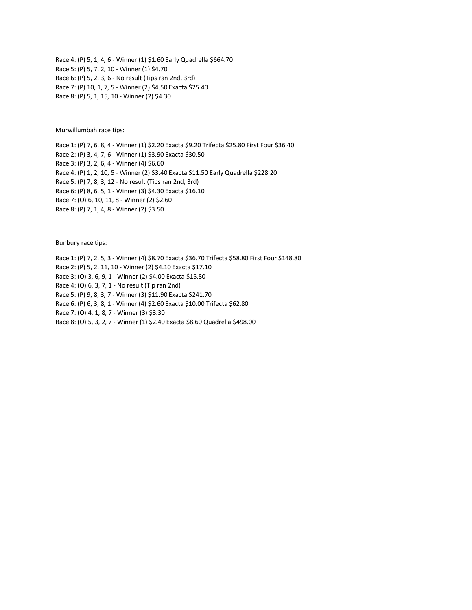Race 4: (P) 5, 1, 4, 6 - Winner (1) \$1.60 Early Quadrella \$664.70 Race 5: (P) 5, 7, 2, 10 - Winner (1) \$4.70 Race 6: (P) 5, 2, 3, 6 - No result (Tips ran 2nd, 3rd) Race 7: (P) 10, 1, 7, 5 - Winner (2) \$4.50 Exacta \$25.40 Race 8: (P) 5, 1, 15, 10 - Winner (2) \$4.30

Murwillumbah race tips:

Race 1: (P) 7, 6, 8, 4 - Winner (1) \$2.20 Exacta \$9.20 Trifecta \$25.80 First Four \$36.40 Race 2: (P) 3, 4, 7, 6 - Winner (1) \$3.90 Exacta \$30.50 Race 3: (P) 3, 2, 6, 4 - Winner (4) \$6.60 Race 4: (P) 1, 2, 10, 5 - Winner (2) \$3.40 Exacta \$11.50 Early Quadrella \$228.20 Race 5: (P) 7, 8, 3, 12 - No result (Tips ran 2nd, 3rd) Race 6: (P) 8, 6, 5, 1 - Winner (3) \$4.30 Exacta \$16.10

Race 7: (O) 6, 10, 11, 8 - Winner (2) \$2.60

Race 8: (P) 7, 1, 4, 8 - Winner (2) \$3.50

Bunbury race tips:

Race 1: (P) 7, 2, 5, 3 - Winner (4) \$8.70 Exacta \$36.70 Trifecta \$58.80 First Four \$148.80 Race 2: (P) 5, 2, 11, 10 - Winner (2) \$4.10 Exacta \$17.10 Race 3: (O) 3, 6, 9, 1 - Winner (2) \$4.00 Exacta \$15.80 Race 4: (O) 6, 3, 7, 1 - No result (Tip ran 2nd) Race 5: (P) 9, 8, 3, 7 - Winner (3) \$11.90 Exacta \$241.70 Race 6: (P) 6, 3, 8, 1 - Winner (4) \$2.60 Exacta \$10.00 Trifecta \$62.80 Race 7: (O) 4, 1, 8, 7 - Winner (3) \$3.30 Race 8: (O) 5, 3, 2, 7 - Winner (1) \$2.40 Exacta \$8.60 Quadrella \$498.00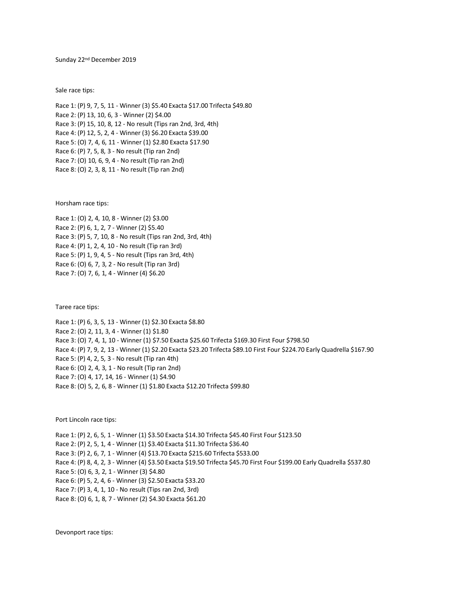Sunday 22nd December 2019

Sale race tips:

Race 1: (P) 9, 7, 5, 11 - Winner (3) \$5.40 Exacta \$17.00 Trifecta \$49.80 Race 2: (P) 13, 10, 6, 3 - Winner (2) \$4.00 Race 3: (P) 15, 10, 8, 12 - No result (Tips ran 2nd, 3rd, 4th) Race 4: (P) 12, 5, 2, 4 - Winner (3) \$6.20 Exacta \$39.00 Race 5: (O) 7, 4, 6, 11 - Winner (1) \$2.80 Exacta \$17.90 Race 6: (P) 7, 5, 8, 3 - No result (Tip ran 2nd) Race 7: (O) 10, 6, 9, 4 - No result (Tip ran 2nd) Race 8: (O) 2, 3, 8, 11 - No result (Tip ran 2nd)

Horsham race tips:

Race 1: (O) 2, 4, 10, 8 - Winner (2) \$3.00 Race 2: (P) 6, 1, 2, 7 - Winner (2) \$5.40 Race 3: (P) 5, 7, 10, 8 - No result (Tips ran 2nd, 3rd, 4th) Race 4: (P) 1, 2, 4, 10 - No result (Tip ran 3rd) Race 5: (P) 1, 9, 4, 5 - No result (Tips ran 3rd, 4th) Race 6: (O) 6, 7, 3, 2 - No result (Tip ran 3rd) Race 7: (O) 7, 6, 1, 4 - Winner (4) \$6.20

Taree race tips:

Race 1: (P) 6, 3, 5, 13 - Winner (1) \$2.30 Exacta \$8.80 Race 2: (O) 2, 11, 3, 4 - Winner (1) \$1.80 Race 3: (O) 7, 4, 1, 10 - Winner (1) \$7.50 Exacta \$25.60 Trifecta \$169.30 First Four \$798.50 Race 4: (P) 7, 9, 2, 13 - Winner (1) \$2.20 Exacta \$23.20 Trifecta \$89.10 First Four \$224.70 Early Quadrella \$167.90 Race 5: (P) 4, 2, 5, 3 - No result (Tip ran 4th) Race 6: (O) 2, 4, 3, 1 - No result (Tip ran 2nd) Race 7: (O) 4, 17, 14, 16 - Winner (1) \$4.90 Race 8: (O) 5, 2, 6, 8 - Winner (1) \$1.80 Exacta \$12.20 Trifecta \$99.80

Port Lincoln race tips:

Race 1: (P) 2, 6, 5, 1 - Winner (1) \$3.50 Exacta \$14.30 Trifecta \$45.40 First Four \$123.50 Race 2: (P) 2, 5, 1, 4 - Winner (1) \$3.40 Exacta \$11.30 Trifecta \$36.40 Race 3: (P) 2, 6, 7, 1 - Winner (4) \$13.70 Exacta \$215.60 Trifecta \$533.00 Race 4: (P) 8, 4, 2, 3 - Winner (4) \$3.50 Exacta \$19.50 Trifecta \$45.70 First Four \$199.00 Early Quadrella \$537.80 Race 5: (O) 6, 3, 2, 1 - Winner (3) \$4.80 Race 6: (P) 5, 2, 4, 6 - Winner (3) \$2.50 Exacta \$33.20 Race 7: (P) 3, 4, 1, 10 - No result (Tips ran 2nd, 3rd) Race 8: (O) 6, 1, 8, 7 - Winner (2) \$4.30 Exacta \$61.20

Devonport race tips: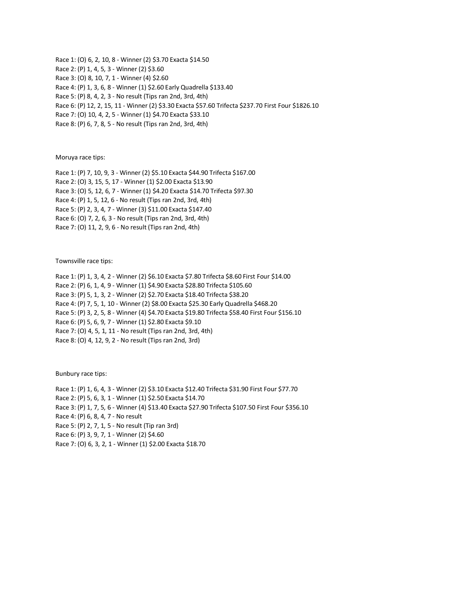Race 1: (O) 6, 2, 10, 8 - Winner (2) \$3.70 Exacta \$14.50 Race 2: (P) 1, 4, 5, 3 - Winner (2) \$3.60 Race 3: (O) 8, 10, 7, 1 - Winner (4) \$2.60 Race 4: (P) 1, 3, 6, 8 - Winner (1) \$2.60 Early Quadrella \$133.40 Race 5: (P) 8, 4, 2, 3 - No result (Tips ran 2nd, 3rd, 4th) Race 6: (P) 12, 2, 15, 11 - Winner (2) \$3.30 Exacta \$57.60 Trifecta \$237.70 First Four \$1826.10 Race 7: (O) 10, 4, 2, 5 - Winner (1) \$4.70 Exacta \$33.10 Race 8: (P) 6, 7, 8, 5 - No result (Tips ran 2nd, 3rd, 4th)

Moruya race tips:

Race 1: (P) 7, 10, 9, 3 - Winner (2) \$5.10 Exacta \$44.90 Trifecta \$167.00 Race 2: (O) 3, 15, 5, 17 - Winner (1) \$2.00 Exacta \$13.90 Race 3: (O) 5, 12, 6, 7 - Winner (1) \$4.20 Exacta \$14.70 Trifecta \$97.30 Race 4: (P) 1, 5, 12, 6 - No result (Tips ran 2nd, 3rd, 4th) Race 5: (P) 2, 3, 4, 7 - Winner (3) \$11.00 Exacta \$147.40 Race 6: (O) 7, 2, 6, 3 - No result (Tips ran 2nd, 3rd, 4th) Race 7: (O) 11, 2, 9, 6 - No result (Tips ran 2nd, 4th)

Townsville race tips:

Race 1: (P) 1, 3, 4, 2 - Winner (2) \$6.10 Exacta \$7.80 Trifecta \$8.60 First Four \$14.00 Race 2: (P) 6, 1, 4, 9 - Winner (1) \$4.90 Exacta \$28.80 Trifecta \$105.60 Race 3: (P) 5, 1, 3, 2 - Winner (2) \$2.70 Exacta \$18.40 Trifecta \$38.20 Race 4: (P) 7, 5, 1, 10 - Winner (2) \$8.00 Exacta \$25.30 Early Quadrella \$468.20 Race 5: (P) 3, 2, 5, 8 - Winner (4) \$4.70 Exacta \$19.80 Trifecta \$58.40 First Four \$156.10 Race 6: (P) 5, 6, 9, 7 - Winner (1) \$2.80 Exacta \$9.10 Race 7: (O) 4, 5, 1, 11 - No result (Tips ran 2nd, 3rd, 4th) Race 8: (O) 4, 12, 9, 2 - No result (Tips ran 2nd, 3rd)

Bunbury race tips:

Race 1: (P) 1, 6, 4, 3 - Winner (2) \$3.10 Exacta \$12.40 Trifecta \$31.90 First Four \$77.70 Race 2: (P) 5, 6, 3, 1 - Winner (1) \$2.50 Exacta \$14.70 Race 3: (P) 1, 7, 5, 6 - Winner (4) \$13.40 Exacta \$27.90 Trifecta \$107.50 First Four \$356.10 Race 4: (P) 6, 8, 4, 7 - No result Race 5: (P) 2, 7, 1, 5 - No result (Tip ran 3rd) Race 6: (P) 3, 9, 7, 1 - Winner (2) \$4.60 Race 7: (O) 6, 3, 2, 1 - Winner (1) \$2.00 Exacta \$18.70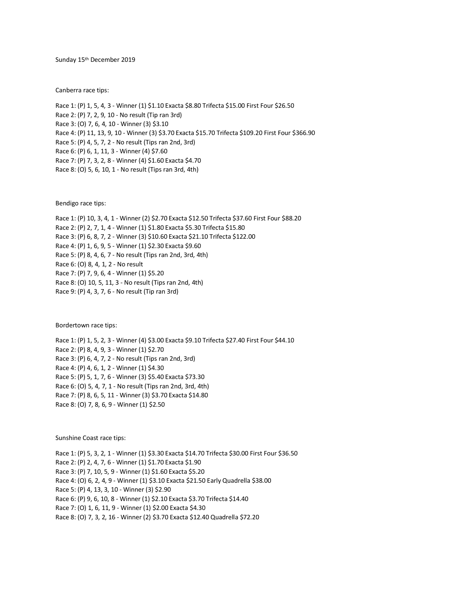Sunday 15th December 2019

Canberra race tips:

Race 1: (P) 1, 5, 4, 3 - Winner (1) \$1.10 Exacta \$8.80 Trifecta \$15.00 First Four \$26.50 Race 2: (P) 7, 2, 9, 10 - No result (Tip ran 3rd) Race 3: (O) 7, 6, 4, 10 - Winner (3) \$3.10 Race 4: (P) 11, 13, 9, 10 - Winner (3) \$3.70 Exacta \$15.70 Trifecta \$109.20 First Four \$366.90 Race 5: (P) 4, 5, 7, 2 - No result (Tips ran 2nd, 3rd) Race 6: (P) 6, 1, 11, 3 - Winner (4) \$7.60 Race 7: (P) 7, 3, 2, 8 - Winner (4) \$1.60 Exacta \$4.70 Race 8: (O) 5, 6, 10, 1 - No result (Tips ran 3rd, 4th)

Bendigo race tips:

Race 1: (P) 10, 3, 4, 1 - Winner (2) \$2.70 Exacta \$12.50 Trifecta \$37.60 First Four \$88.20 Race 2: (P) 2, 7, 1, 4 - Winner (1) \$1.80 Exacta \$5.30 Trifecta \$15.80 Race 3: (P) 6, 8, 7, 2 - Winner (3) \$10.60 Exacta \$21.10 Trifecta \$122.00 Race 4: (P) 1, 6, 9, 5 - Winner (1) \$2.30 Exacta \$9.60 Race 5: (P) 8, 4, 6, 7 - No result (Tips ran 2nd, 3rd, 4th) Race 6: (O) 8, 4, 1, 2 - No result Race 7: (P) 7, 9, 6, 4 - Winner (1) \$5.20 Race 8: (O) 10, 5, 11, 3 - No result (Tips ran 2nd, 4th) Race 9: (P) 4, 3, 7, 6 - No result (Tip ran 3rd)

Bordertown race tips:

Race 1: (P) 1, 5, 2, 3 - Winner (4) \$3.00 Exacta \$9.10 Trifecta \$27.40 First Four \$44.10 Race 2: (P) 8, 4, 9, 3 - Winner (1) \$2.70 Race 3: (P) 6, 4, 7, 2 - No result (Tips ran 2nd, 3rd) Race 4: (P) 4, 6, 1, 2 - Winner (1) \$4.30 Race 5: (P) 5, 1, 7, 6 - Winner (3) \$5.40 Exacta \$73.30 Race 6: (O) 5, 4, 7, 1 - No result (Tips ran 2nd, 3rd, 4th) Race 7: (P) 8, 6, 5, 11 - Winner (3) \$3.70 Exacta \$14.80 Race 8: (O) 7, 8, 6, 9 - Winner (1) \$2.50

Sunshine Coast race tips:

Race 1: (P) 5, 3, 2, 1 - Winner (1) \$3.30 Exacta \$14.70 Trifecta \$30.00 First Four \$36.50 Race 2: (P) 2, 4, 7, 6 - Winner (1) \$1.70 Exacta \$1.90 Race 3: (P) 7, 10, 5, 9 - Winner (1) \$1.60 Exacta \$5.20 Race 4: (O) 6, 2, 4, 9 - Winner (1) \$3.10 Exacta \$21.50 Early Quadrella \$38.00 Race 5: (P) 4, 13, 3, 10 - Winner (3) \$2.90 Race 6: (P) 9, 6, 10, 8 - Winner (1) \$2.10 Exacta \$3.70 Trifecta \$14.40 Race 7: (O) 1, 6, 11, 9 - Winner (1) \$2.00 Exacta \$4.30 Race 8: (O) 7, 3, 2, 16 - Winner (2) \$3.70 Exacta \$12.40 Quadrella \$72.20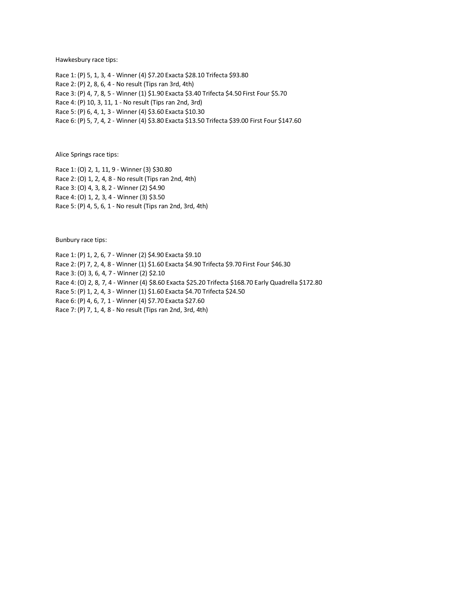Hawkesbury race tips:

Race 1: (P) 5, 1, 3, 4 - Winner (4) \$7.20 Exacta \$28.10 Trifecta \$93.80 Race 2: (P) 2, 8, 6, 4 - No result (Tips ran 3rd, 4th) Race 3: (P) 4, 7, 8, 5 - Winner (1) \$1.90 Exacta \$3.40 Trifecta \$4.50 First Four \$5.70 Race 4: (P) 10, 3, 11, 1 - No result (Tips ran 2nd, 3rd) Race 5: (P) 6, 4, 1, 3 - Winner (4) \$3.60 Exacta \$10.30 Race 6: (P) 5, 7, 4, 2 - Winner (4) \$3.80 Exacta \$13.50 Trifecta \$39.00 First Four \$147.60

Alice Springs race tips:

Race 1: (O) 2, 1, 11, 9 - Winner (3) \$30.80 Race 2: (O) 1, 2, 4, 8 - No result (Tips ran 2nd, 4th) Race 3: (O) 4, 3, 8, 2 - Winner (2) \$4.90 Race 4: (O) 1, 2, 3, 4 - Winner (3) \$3.50 Race 5: (P) 4, 5, 6, 1 - No result (Tips ran 2nd, 3rd, 4th)

Bunbury race tips:

Race 1: (P) 1, 2, 6, 7 - Winner (2) \$4.90 Exacta \$9.10 Race 2: (P) 7, 2, 4, 8 - Winner (1) \$1.60 Exacta \$4.90 Trifecta \$9.70 First Four \$46.30 Race 3: (O) 3, 6, 4, 7 - Winner (2) \$2.10 Race 4: (O) 2, 8, 7, 4 - Winner (4) \$8.60 Exacta \$25.20 Trifecta \$168.70 Early Quadrella \$172.80 Race 5: (P) 1, 2, 4, 3 - Winner (1) \$1.60 Exacta \$4.70 Trifecta \$24.50 Race 6: (P) 4, 6, 7, 1 - Winner (4) \$7.70 Exacta \$27.60 Race 7: (P) 7, 1, 4, 8 - No result (Tips ran 2nd, 3rd, 4th)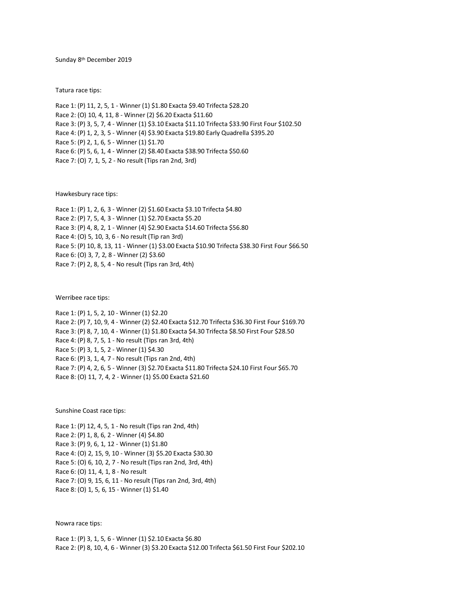Sunday 8 th December 2019

Tatura race tips:

Race 1: (P) 11, 2, 5, 1 - Winner (1) \$1.80 Exacta \$9.40 Trifecta \$28.20 Race 2: (O) 10, 4, 11, 8 - Winner (2) \$6.20 Exacta \$11.60 Race 3: (P) 3, 5, 7, 4 - Winner (1) \$3.10 Exacta \$11.10 Trifecta \$33.90 First Four \$102.50 Race 4: (P) 1, 2, 3, 5 - Winner (4) \$3.90 Exacta \$19.80 Early Quadrella \$395.20 Race 5: (P) 2, 1, 6, 5 - Winner (1) \$1.70 Race 6: (P) 5, 6, 1, 4 - Winner (2) \$8.40 Exacta \$38.90 Trifecta \$50.60 Race 7: (O) 7, 1, 5, 2 - No result (Tips ran 2nd, 3rd)

Hawkesbury race tips:

Race 1: (P) 1, 2, 6, 3 - Winner (2) \$1.60 Exacta \$3.10 Trifecta \$4.80 Race 2: (P) 7, 5, 4, 3 - Winner (1) \$2.70 Exacta \$5.20 Race 3: (P) 4, 8, 2, 1 - Winner (4) \$2.90 Exacta \$14.60 Trifecta \$56.80 Race 4: (O) 5, 10, 3, 6 - No result (Tip ran 3rd) Race 5: (P) 10, 8, 13, 11 - Winner (1) \$3.00 Exacta \$10.90 Trifecta \$38.30 First Four \$66.50 Race 6: (O) 3, 7, 2, 8 - Winner (2) \$3.60 Race 7: (P) 2, 8, 5, 4 - No result (Tips ran 3rd, 4th)

Werribee race tips:

Race 1: (P) 1, 5, 2, 10 - Winner (1) \$2.20 Race 2: (P) 7, 10, 9, 4 - Winner (2) \$2.40 Exacta \$12.70 Trifecta \$36.30 First Four \$169.70 Race 3: (P) 8, 7, 10, 4 - Winner (1) \$1.80 Exacta \$4.30 Trifecta \$8.50 First Four \$28.50 Race 4: (P) 8, 7, 5, 1 - No result (Tips ran 3rd, 4th) Race 5: (P) 3, 1, 5, 2 - Winner (1) \$4.30 Race 6: (P) 3, 1, 4, 7 - No result (Tips ran 2nd, 4th) Race 7: (P) 4, 2, 6, 5 - Winner (3) \$2.70 Exacta \$11.80 Trifecta \$24.10 First Four \$65.70 Race 8: (O) 11, 7, 4, 2 - Winner (1) \$5.00 Exacta \$21.60

Sunshine Coast race tips:

Race 1: (P) 12, 4, 5, 1 - No result (Tips ran 2nd, 4th) Race 2: (P) 1, 8, 6, 2 - Winner (4) \$4.80 Race 3: (P) 9, 6, 1, 12 - Winner (1) \$1.80 Race 4: (O) 2, 15, 9, 10 - Winner (3) \$5.20 Exacta \$30.30 Race 5: (O) 6, 10, 2, 7 - No result (Tips ran 2nd, 3rd, 4th) Race 6: (O) 11, 4, 1, 8 - No result Race 7: (O) 9, 15, 6, 11 - No result (Tips ran 2nd, 3rd, 4th) Race 8: (O) 1, 5, 6, 15 - Winner (1) \$1.40

Nowra race tips:

Race 1: (P) 3, 1, 5, 6 - Winner (1) \$2.10 Exacta \$6.80 Race 2: (P) 8, 10, 4, 6 - Winner (3) \$3.20 Exacta \$12.00 Trifecta \$61.50 First Four \$202.10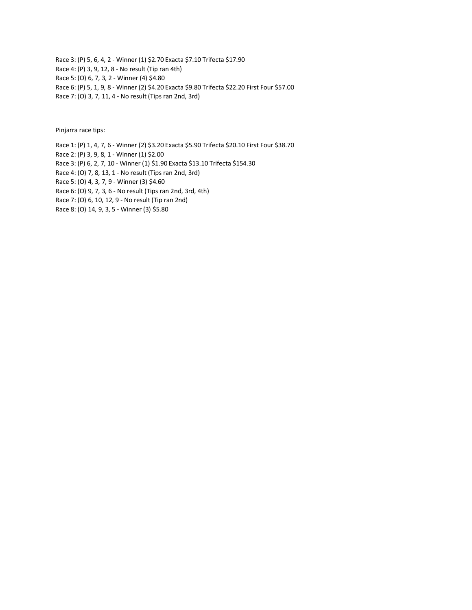Race 3: (P) 5, 6, 4, 2 - Winner (1) \$2.70 Exacta \$7.10 Trifecta \$17.90 Race 4: (P) 3, 9, 12, 8 - No result (Tip ran 4th) Race 5: (O) 6, 7, 3, 2 - Winner (4) \$4.80 Race 6: (P) 5, 1, 9, 8 - Winner (2) \$4.20 Exacta \$9.80 Trifecta \$22.20 First Four \$57.00 Race 7: (O) 3, 7, 11, 4 - No result (Tips ran 2nd, 3rd)

Pinjarra race tips:

Race 1: (P) 1, 4, 7, 6 - Winner (2) \$3.20 Exacta \$5.90 Trifecta \$20.10 First Four \$38.70

Race 2: (P) 3, 9, 8, 1 - Winner (1) \$2.00

- Race 3: (P) 6, 2, 7, 10 Winner (1) \$1.90 Exacta \$13.10 Trifecta \$154.30
- Race 4: (O) 7, 8, 13, 1 No result (Tips ran 2nd, 3rd)

Race 5: (O) 4, 3, 7, 9 - Winner (3) \$4.60

Race 6: (O) 9, 7, 3, 6 - No result (Tips ran 2nd, 3rd, 4th)

Race 7: (O) 6, 10, 12, 9 - No result (Tip ran 2nd)

Race 8: (O) 14, 9, 3, 5 - Winner (3) \$5.80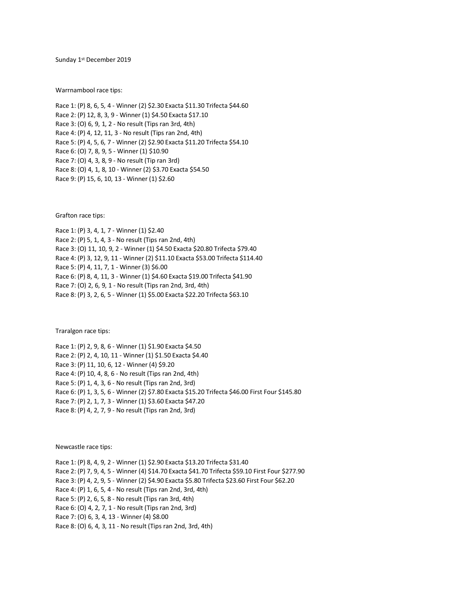Sunday 1<sup>st</sup> December 2019

Warrnambool race tips:

Race 1: (P) 8, 6, 5, 4 - Winner (2) \$2.30 Exacta \$11.30 Trifecta \$44.60 Race 2: (P) 12, 8, 3, 9 - Winner (1) \$4.50 Exacta \$17.10 Race 3: (O) 6, 9, 1, 2 - No result (Tips ran 3rd, 4th) Race 4: (P) 4, 12, 11, 3 - No result (Tips ran 2nd, 4th) Race 5: (P) 4, 5, 6, 7 - Winner (2) \$2.90 Exacta \$11.20 Trifecta \$54.10 Race 6: (O) 7, 8, 9, 5 - Winner (1) \$10.90 Race 7: (O) 4, 3, 8, 9 - No result (Tip ran 3rd) Race 8: (O) 4, 1, 8, 10 - Winner (2) \$3.70 Exacta \$54.50 Race 9: (P) 15, 6, 10, 13 - Winner (1) \$2.60

Grafton race tips:

Race 1: (P) 3, 4, 1, 7 - Winner (1) \$2.40 Race 2: (P) 5, 1, 4, 3 - No result (Tips ran 2nd, 4th) Race 3: (O) 11, 10, 9, 2 - Winner (1) \$4.50 Exacta \$20.80 Trifecta \$79.40 Race 4: (P) 3, 12, 9, 11 - Winner (2) \$11.10 Exacta \$53.00 Trifecta \$114.40 Race 5: (P) 4, 11, 7, 1 - Winner (3) \$6.00 Race 6: (P) 8, 4, 11, 3 - Winner (1) \$4.60 Exacta \$19.00 Trifecta \$41.90 Race 7: (O) 2, 6, 9, 1 - No result (Tips ran 2nd, 3rd, 4th) Race 8: (P) 3, 2, 6, 5 - Winner (1) \$5.00 Exacta \$22.20 Trifecta \$63.10

Traralgon race tips:

Race 1: (P) 2, 9, 8, 6 - Winner (1) \$1.90 Exacta \$4.50 Race 2: (P) 2, 4, 10, 11 - Winner (1) \$1.50 Exacta \$4.40 Race 3: (P) 11, 10, 6, 12 - Winner (4) \$9.20 Race 4: (P) 10, 4, 8, 6 - No result (Tips ran 2nd, 4th) Race 5: (P) 1, 4, 3, 6 - No result (Tips ran 2nd, 3rd) Race 6: (P) 1, 3, 5, 6 - Winner (2) \$7.80 Exacta \$15.20 Trifecta \$46.00 First Four \$145.80 Race 7: (P) 2, 1, 7, 3 - Winner (1) \$3.60 Exacta \$47.20 Race 8: (P) 4, 2, 7, 9 - No result (Tips ran 2nd, 3rd)

Newcastle race tips:

Race 1: (P) 8, 4, 9, 2 - Winner (1) \$2.90 Exacta \$13.20 Trifecta \$31.40 Race 2: (P) 7, 9, 4, 5 - Winner (4) \$14.70 Exacta \$41.70 Trifecta \$59.10 First Four \$277.90 Race 3: (P) 4, 2, 9, 5 - Winner (2) \$4.90 Exacta \$5.80 Trifecta \$23.60 First Four \$62.20 Race 4: (P) 1, 6, 5, 4 - No result (Tips ran 2nd, 3rd, 4th) Race 5: (P) 2, 6, 5, 8 - No result (Tips ran 3rd, 4th) Race 6: (O) 4, 2, 7, 1 - No result (Tips ran 2nd, 3rd) Race 7: (O) 6, 3, 4, 13 - Winner (4) \$8.00 Race 8: (O) 6, 4, 3, 11 - No result (Tips ran 2nd, 3rd, 4th)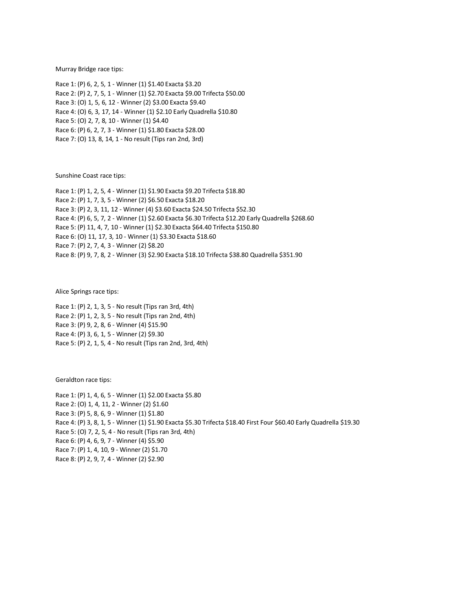Murray Bridge race tips:

Race 1: (P) 6, 2, 5, 1 - Winner (1) \$1.40 Exacta \$3.20 Race 2: (P) 2, 7, 5, 1 - Winner (1) \$2.70 Exacta \$9.00 Trifecta \$50.00 Race 3: (O) 1, 5, 6, 12 - Winner (2) \$3.00 Exacta \$9.40 Race 4: (O) 6, 3, 17, 14 - Winner (1) \$2.10 Early Quadrella \$10.80 Race 5: (O) 2, 7, 8, 10 - Winner (1) \$4.40 Race 6: (P) 6, 2, 7, 3 - Winner (1) \$1.80 Exacta \$28.00 Race 7: (O) 13, 8, 14, 1 - No result (Tips ran 2nd, 3rd)

Sunshine Coast race tips:

Race 1: (P) 1, 2, 5, 4 - Winner (1) \$1.90 Exacta \$9.20 Trifecta \$18.80 Race 2: (P) 1, 7, 3, 5 - Winner (2) \$6.50 Exacta \$18.20 Race 3: (P) 2, 3, 11, 12 - Winner (4) \$3.60 Exacta \$24.50 Trifecta \$52.30 Race 4: (P) 6, 5, 7, 2 - Winner (1) \$2.60 Exacta \$6.30 Trifecta \$12.20 Early Quadrella \$268.60 Race 5: (P) 11, 4, 7, 10 - Winner (1) \$2.30 Exacta \$64.40 Trifecta \$150.80 Race 6: (O) 11, 17, 3, 10 - Winner (1) \$3.30 Exacta \$18.60 Race 7: (P) 2, 7, 4, 3 - Winner (2) \$8.20 Race 8: (P) 9, 7, 8, 2 - Winner (3) \$2.90 Exacta \$18.10 Trifecta \$38.80 Quadrella \$351.90

Alice Springs race tips:

Race 1: (P) 2, 1, 3, 5 - No result (Tips ran 3rd, 4th) Race 2: (P) 1, 2, 3, 5 - No result (Tips ran 2nd, 4th) Race 3: (P) 9, 2, 8, 6 - Winner (4) \$15.90 Race 4: (P) 3, 6, 1, 5 - Winner (2) \$9.30 Race 5: (P) 2, 1, 5, 4 - No result (Tips ran 2nd, 3rd, 4th)

Geraldton race tips:

Race 1: (P) 1, 4, 6, 5 - Winner (1) \$2.00 Exacta \$5.80 Race 2: (O) 1, 4, 11, 2 - Winner (2) \$1.60 Race 3: (P) 5, 8, 6, 9 - Winner (1) \$1.80 Race 4: (P) 3, 8, 1, 5 - Winner (1) \$1.90 Exacta \$5.30 Trifecta \$18.40 First Four \$60.40 Early Quadrella \$19.30 Race 5: (O) 7, 2, 5, 4 - No result (Tips ran 3rd, 4th) Race 6: (P) 4, 6, 9, 7 - Winner (4) \$5.90 Race 7: (P) 1, 4, 10, 9 - Winner (2) \$1.70 Race 8: (P) 2, 9, 7, 4 - Winner (2) \$2.90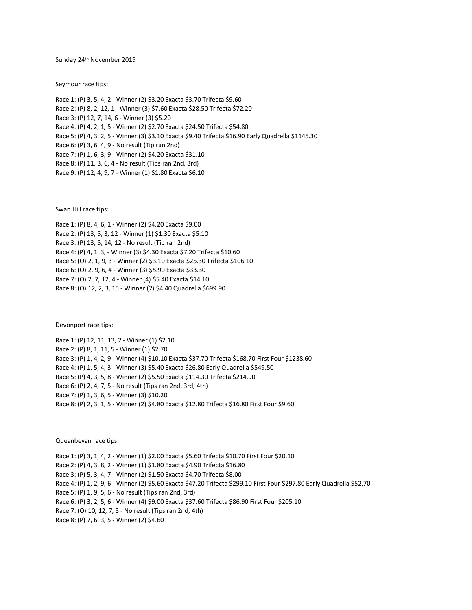Sunday 24th November 2019

Seymour race tips:

Race 1: (P) 3, 5, 4, 2 - Winner (2) \$3.20 Exacta \$3.70 Trifecta \$9.60 Race 2: (P) 8, 2, 12, 1 - Winner (3) \$7.60 Exacta \$28.50 Trifecta \$72.20 Race 3: (P) 12, 7, 14, 6 - Winner (3) \$5.20 Race 4: (P) 4, 2, 1, 5 - Winner (2) \$2.70 Exacta \$24.50 Trifecta \$54.80 Race 5: (P) 4, 3, 2, 5 - Winner (3) \$3.10 Exacta \$9.40 Trifecta \$16.90 Early Quadrella \$1145.30 Race 6: (P) 3, 6, 4, 9 - No result (Tip ran 2nd) Race 7: (P) 1, 6, 3, 9 - Winner (2) \$4.20 Exacta \$31.10 Race 8: (P) 11, 3, 6, 4 - No result (Tips ran 2nd, 3rd) Race 9: (P) 12, 4, 9, 7 - Winner (1) \$1.80 Exacta \$6.10

Swan Hill race tips:

Race 1: (P) 8, 4, 6, 1 - Winner (2) \$4.20 Exacta \$9.00 Race 2: (P) 13, 5, 3, 12 - Winner (1) \$1.30 Exacta \$5.10 Race 3: (P) 13, 5, 14, 12 - No result (Tip ran 2nd) Race 4: (P) 4, 1, 3, - Winner (3) \$4.30 Exacta \$7.20 Trifecta \$10.60 Race 5: (O) 2, 1, 9, 3 - Winner (2) \$3.10 Exacta \$25.30 Trifecta \$106.10 Race 6: (O) 2, 9, 6, 4 - Winner (3) \$5.90 Exacta \$33.30 Race 7: (O) 2, 7, 12, 4 - Winner (4) \$5.40 Exacta \$14.10 Race 8: (O) 12, 2, 3, 15 - Winner (2) \$4.40 Quadrella \$699.90

Devonport race tips:

Race 1: (P) 12, 11, 13, 2 - Winner (1) \$2.10 Race 2: (P) 8, 1, 11, 5 - Winner (1) \$2.70 Race 3: (P) 1, 4, 2, 9 - Winner (4) \$10.10 Exacta \$37.70 Trifecta \$168.70 First Four \$1238.60 Race 4: (P) 1, 5, 4, 3 - Winner (3) \$5.40 Exacta \$26.80 Early Quadrella \$549.50 Race 5: (P) 4, 3, 5, 8 - Winner (2) \$5.50 Exacta \$114.30 Trifecta \$214.90 Race 6: (P) 2, 4, 7, 5 - No result (Tips ran 2nd, 3rd, 4th) Race 7: (P) 1, 3, 6, 5 - Winner (3) \$10.20 Race 8: (P) 2, 3, 1, 5 - Winner (2) \$4.80 Exacta \$12.80 Trifecta \$16.80 First Four \$9.60

## Queanbeyan race tips:

Race 1: (P) 3, 1, 4, 2 - Winner (1) \$2.00 Exacta \$5.60 Trifecta \$10.70 First Four \$20.10 Race 2: (P) 4, 3, 8, 2 - Winner (1) \$1.80 Exacta \$4.90 Trifecta \$16.80 Race 3: (P) 5, 3, 4, 7 - Winner (2) \$1.50 Exacta \$4.70 Trifecta \$8.00 Race 4: (P) 1, 2, 9, 6 - Winner (2) \$5.60 Exacta \$47.20 Trifecta \$299.10 First Four \$297.80 Early Quadrella \$52.70 Race 5: (P) 1, 9, 5, 6 - No result (Tips ran 2nd, 3rd) Race 6: (P) 3, 2, 5, 6 - Winner (4) \$9.00 Exacta \$37.60 Trifecta \$86.90 First Four \$205.10 Race 7: (O) 10, 12, 7, 5 - No result (Tips ran 2nd, 4th) Race 8: (P) 7, 6, 3, 5 - Winner (2) \$4.60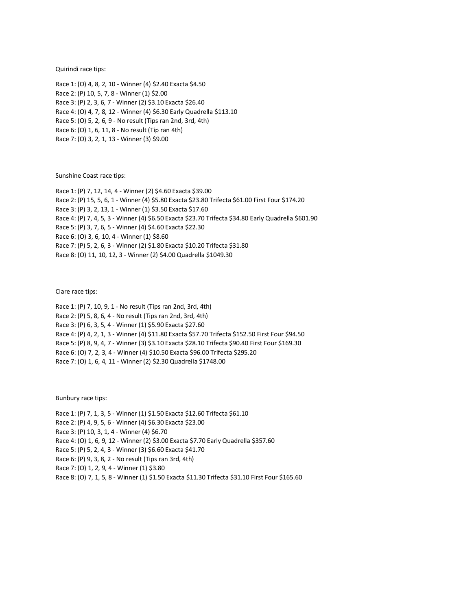Quirindi race tips:

Race 1: (O) 4, 8, 2, 10 - Winner (4) \$2.40 Exacta \$4.50 Race 2: (P) 10, 5, 7, 8 - Winner (1) \$2.00 Race 3: (P) 2, 3, 6, 7 - Winner (2) \$3.10 Exacta \$26.40 Race 4: (O) 4, 7, 8, 12 - Winner (4) \$6.30 Early Quadrella \$113.10 Race 5: (O) 5, 2, 6, 9 - No result (Tips ran 2nd, 3rd, 4th) Race 6: (O) 1, 6, 11, 8 - No result (Tip ran 4th) Race 7: (O) 3, 2, 1, 13 - Winner (3) \$9.00

Sunshine Coast race tips:

Race 1: (P) 7, 12, 14, 4 - Winner (2) \$4.60 Exacta \$39.00 Race 2: (P) 15, 5, 6, 1 - Winner (4) \$5.80 Exacta \$23.80 Trifecta \$61.00 First Four \$174.20 Race 3: (P) 3, 2, 13, 1 - Winner (1) \$3.50 Exacta \$17.60 Race 4: (P) 7, 4, 5, 3 - Winner (4) \$6.50 Exacta \$23.70 Trifecta \$34.80 Early Quadrella \$601.90 Race 5: (P) 3, 7, 6, 5 - Winner (4) \$4.60 Exacta \$22.30 Race 6: (O) 3, 6, 10, 4 - Winner (1) \$8.60 Race 7: (P) 5, 2, 6, 3 - Winner (2) \$1.80 Exacta \$10.20 Trifecta \$31.80 Race 8: (O) 11, 10, 12, 3 - Winner (2) \$4.00 Quadrella \$1049.30

Clare race tips:

Race 1: (P) 7, 10, 9, 1 - No result (Tips ran 2nd, 3rd, 4th) Race 2: (P) 5, 8, 6, 4 - No result (Tips ran 2nd, 3rd, 4th) Race 3: (P) 6, 3, 5, 4 - Winner (1) \$5.90 Exacta \$27.60 Race 4: (P) 4, 2, 1, 3 - Winner (4) \$11.80 Exacta \$57.70 Trifecta \$152.50 First Four \$94.50 Race 5: (P) 8, 9, 4, 7 - Winner (3) \$3.10 Exacta \$28.10 Trifecta \$90.40 First Four \$169.30 Race 6: (O) 7, 2, 3, 4 - Winner (4) \$10.50 Exacta \$96.00 Trifecta \$295.20 Race 7: (O) 1, 6, 4, 11 - Winner (2) \$2.30 Quadrella \$1748.00

Bunbury race tips:

Race 1: (P) 7, 1, 3, 5 - Winner (1) \$1.50 Exacta \$12.60 Trifecta \$61.10

Race 2: (P) 4, 9, 5, 6 - Winner (4) \$6.30 Exacta \$23.00

Race 3: (P) 10, 3, 1, 4 - Winner (4) \$6.70

Race 4: (O) 1, 6, 9, 12 - Winner (2) \$3.00 Exacta \$7.70 Early Quadrella \$357.60

Race 5: (P) 5, 2, 4, 3 - Winner (3) \$6.60 Exacta \$41.70

Race 6: (P) 9, 3, 8, 2 - No result (Tips ran 3rd, 4th)

Race 7: (O) 1, 2, 9, 4 - Winner (1) \$3.80

Race 8: (O) 7, 1, 5, 8 - Winner (1) \$1.50 Exacta \$11.30 Trifecta \$31.10 First Four \$165.60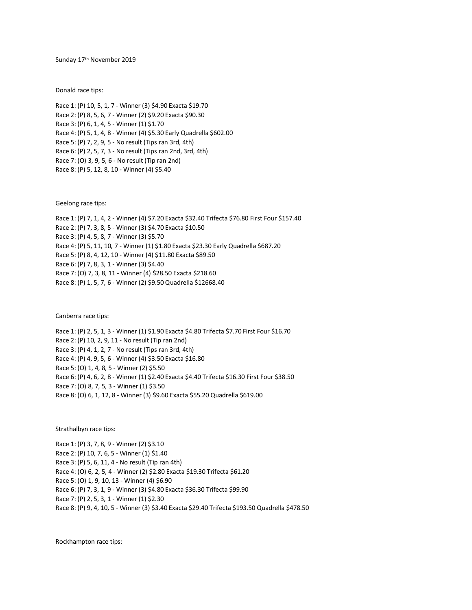Sunday 17th November 2019

Donald race tips:

Race 1: (P) 10, 5, 1, 7 - Winner (3) \$4.90 Exacta \$19.70 Race 2: (P) 8, 5, 6, 7 - Winner (2) \$9.20 Exacta \$90.30 Race 3: (P) 6, 1, 4, 5 - Winner (1) \$1.70 Race 4: (P) 5, 1, 4, 8 - Winner (4) \$5.30 Early Quadrella \$602.00 Race 5: (P) 7, 2, 9, 5 - No result (Tips ran 3rd, 4th) Race 6: (P) 2, 5, 7, 3 - No result (Tips ran 2nd, 3rd, 4th) Race 7: (O) 3, 9, 5, 6 - No result (Tip ran 2nd) Race 8: (P) 5, 12, 8, 10 - Winner (4) \$5.40

Geelong race tips:

Race 1: (P) 7, 1, 4, 2 - Winner (4) \$7.20 Exacta \$32.40 Trifecta \$76.80 First Four \$157.40 Race 2: (P) 7, 3, 8, 5 - Winner (3) \$4.70 Exacta \$10.50 Race 3: (P) 4, 5, 8, 7 - Winner (3) \$5.70 Race 4: (P) 5, 11, 10, 7 - Winner (1) \$1.80 Exacta \$23.30 Early Quadrella \$687.20 Race 5: (P) 8, 4, 12, 10 - Winner (4) \$11.80 Exacta \$89.50 Race 6: (P) 7, 8, 3, 1 - Winner (3) \$4.40 Race 7: (O) 7, 3, 8, 11 - Winner (4) \$28.50 Exacta \$218.60 Race 8: (P) 1, 5, 7, 6 - Winner (2) \$9.50 Quadrella \$12668.40

Canberra race tips:

Race 1: (P) 2, 5, 1, 3 - Winner (1) \$1.90 Exacta \$4.80 Trifecta \$7.70 First Four \$16.70 Race 2: (P) 10, 2, 9, 11 - No result (Tip ran 2nd) Race 3: (P) 4, 1, 2, 7 - No result (Tips ran 3rd, 4th) Race 4: (P) 4, 9, 5, 6 - Winner (4) \$3.50 Exacta \$16.80 Race 5: (O) 1, 4, 8, 5 - Winner (2) \$5.50 Race 6: (P) 4, 6, 2, 8 - Winner (1) \$2.40 Exacta \$4.40 Trifecta \$16.30 First Four \$38.50 Race 7: (O) 8, 7, 5, 3 - Winner (1) \$3.50 Race 8: (O) 6, 1, 12, 8 - Winner (3) \$9.60 Exacta \$55.20 Quadrella \$619.00

Strathalbyn race tips:

Race 1: (P) 3, 7, 8, 9 - Winner (2) \$3.10 Race 2: (P) 10, 7, 6, 5 - Winner (1) \$1.40 Race 3: (P) 5, 6, 11, 4 - No result (Tip ran 4th) Race 4: (O) 6, 2, 5, 4 - Winner (2) \$2.80 Exacta \$19.30 Trifecta \$61.20 Race 5: (O) 1, 9, 10, 13 - Winner (4) \$6.90 Race 6: (P) 7, 3, 1, 9 - Winner (3) \$4.80 Exacta \$36.30 Trifecta \$99.90 Race 7: (P) 2, 5, 3, 1 - Winner (1) \$2.30 Race 8: (P) 9, 4, 10, 5 - Winner (3) \$3.40 Exacta \$29.40 Trifecta \$193.50 Quadrella \$478.50

Rockhampton race tips: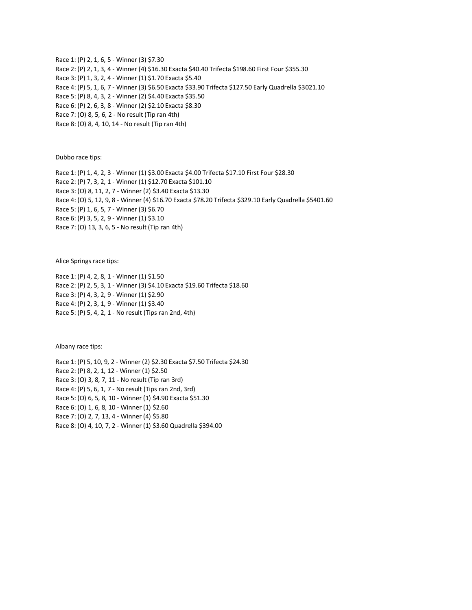Race 1: (P) 2, 1, 6, 5 - Winner (3) \$7.30 Race 2: (P) 2, 1, 3, 4 - Winner (4) \$16.30 Exacta \$40.40 Trifecta \$198.60 First Four \$355.30 Race 3: (P) 1, 3, 2, 4 - Winner (1) \$1.70 Exacta \$5.40 Race 4: (P) 5, 1, 6, 7 - Winner (3) \$6.50 Exacta \$33.90 Trifecta \$127.50 Early Quadrella \$3021.10 Race 5: (P) 8, 4, 3, 2 - Winner (2) \$4.40 Exacta \$35.50 Race 6: (P) 2, 6, 3, 8 - Winner (2) \$2.10 Exacta \$8.30 Race 7: (O) 8, 5, 6, 2 - No result (Tip ran 4th) Race 8: (O) 8, 4, 10, 14 - No result (Tip ran 4th)

Dubbo race tips:

Race 1: (P) 1, 4, 2, 3 - Winner (1) \$3.00 Exacta \$4.00 Trifecta \$17.10 First Four \$28.30 Race 2: (P) 7, 3, 2, 1 - Winner (1) \$12.70 Exacta \$101.10 Race 3: (O) 8, 11, 2, 7 - Winner (2) \$3.40 Exacta \$13.30 Race 4: (O) 5, 12, 9, 8 - Winner (4) \$16.70 Exacta \$78.20 Trifecta \$329.10 Early Quadrella \$5401.60 Race 5: (P) 1, 6, 5, 7 - Winner (3) \$6.70 Race 6: (P) 3, 5, 2, 9 - Winner (1) \$3.10 Race 7: (O) 13, 3, 6, 5 - No result (Tip ran 4th)

Alice Springs race tips:

Race 1: (P) 4, 2, 8, 1 - Winner (1) \$1.50 Race 2: (P) 2, 5, 3, 1 - Winner (3) \$4.10 Exacta \$19.60 Trifecta \$18.60 Race 3: (P) 4, 3, 2, 9 - Winner (1) \$2.90 Race 4: (P) 2, 3, 1, 9 - Winner (1) \$3.40 Race 5: (P) 5, 4, 2, 1 - No result (Tips ran 2nd, 4th)

Albany race tips:

Race 1: (P) 5, 10, 9, 2 - Winner (2) \$2.30 Exacta \$7.50 Trifecta \$24.30 Race 2: (P) 8, 2, 1, 12 - Winner (1) \$2.50 Race 3: (O) 3, 8, 7, 11 - No result (Tip ran 3rd) Race 4: (P) 5, 6, 1, 7 - No result (Tips ran 2nd, 3rd) Race 5: (O) 6, 5, 8, 10 - Winner (1) \$4.90 Exacta \$51.30 Race 6: (O) 1, 6, 8, 10 - Winner (1) \$2.60 Race 7: (O) 2, 7, 13, 4 - Winner (4) \$5.80 Race 8: (O) 4, 10, 7, 2 - Winner (1) \$3.60 Quadrella \$394.00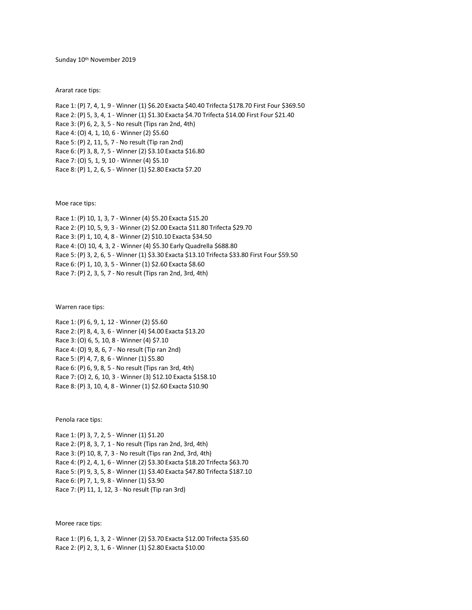Sunday 10th November 2019

Ararat race tips:

Race 1: (P) 7, 4, 1, 9 - Winner (1) \$6.20 Exacta \$40.40 Trifecta \$178.70 First Four \$369.50 Race 2: (P) 5, 3, 4, 1 - Winner (1) \$1.30 Exacta \$4.70 Trifecta \$14.00 First Four \$21.40 Race 3: (P) 6, 2, 3, 5 - No result (Tips ran 2nd, 4th) Race 4: (O) 4, 1, 10, 6 - Winner (2) \$5.60 Race 5: (P) 2, 11, 5, 7 - No result (Tip ran 2nd) Race 6: (P) 3, 8, 7, 5 - Winner (2) \$3.10 Exacta \$16.80 Race 7: (O) 5, 1, 9, 10 - Winner (4) \$5.10 Race 8: (P) 1, 2, 6, 5 - Winner (1) \$2.80 Exacta \$7.20

Moe race tips:

Race 1: (P) 10, 1, 3, 7 - Winner (4) \$5.20 Exacta \$15.20 Race 2: (P) 10, 5, 9, 3 - Winner (2) \$2.00 Exacta \$11.80 Trifecta \$29.70 Race 3: (P) 1, 10, 4, 8 - Winner (2) \$10.10 Exacta \$34.50 Race 4: (O) 10, 4, 3, 2 - Winner (4) \$5.30 Early Quadrella \$688.80 Race 5: (P) 3, 2, 6, 5 - Winner (1) \$3.30 Exacta \$13.10 Trifecta \$33.80 First Four \$59.50 Race 6: (P) 1, 10, 3, 5 - Winner (1) \$2.60 Exacta \$8.60 Race 7: (P) 2, 3, 5, 7 - No result (Tips ran 2nd, 3rd, 4th)

Warren race tips:

Race 1: (P) 6, 9, 1, 12 - Winner (2) \$5.60 Race 2: (P) 8, 4, 3, 6 - Winner (4) \$4.00 Exacta \$13.20 Race 3: (O) 6, 5, 10, 8 - Winner (4) \$7.10 Race 4: (O) 9, 8, 6, 7 - No result (Tip ran 2nd) Race 5: (P) 4, 7, 8, 6 - Winner (1) \$5.80 Race 6: (P) 6, 9, 8, 5 - No result (Tips ran 3rd, 4th) Race 7: (O) 2, 6, 10, 3 - Winner (3) \$12.10 Exacta \$158.10 Race 8: (P) 3, 10, 4, 8 - Winner (1) \$2.60 Exacta \$10.90

Penola race tips:

Race 1: (P) 3, 7, 2, 5 - Winner (1) \$1.20 Race 2: (P) 8, 3, 7, 1 - No result (Tips ran 2nd, 3rd, 4th) Race 3: (P) 10, 8, 7, 3 - No result (Tips ran 2nd, 3rd, 4th) Race 4: (P) 2, 4, 1, 6 - Winner (2) \$3.30 Exacta \$18.20 Trifecta \$63.70 Race 5: (P) 9, 3, 5, 8 - Winner (1) \$3.40 Exacta \$47.80 Trifecta \$187.10 Race 6: (P) 7, 1, 9, 8 - Winner (1) \$3.90 Race 7: (P) 11, 1, 12, 3 - No result (Tip ran 3rd)

Moree race tips:

Race 1: (P) 6, 1, 3, 2 - Winner (2) \$3.70 Exacta \$12.00 Trifecta \$35.60 Race 2: (P) 2, 3, 1, 6 - Winner (1) \$2.80 Exacta \$10.00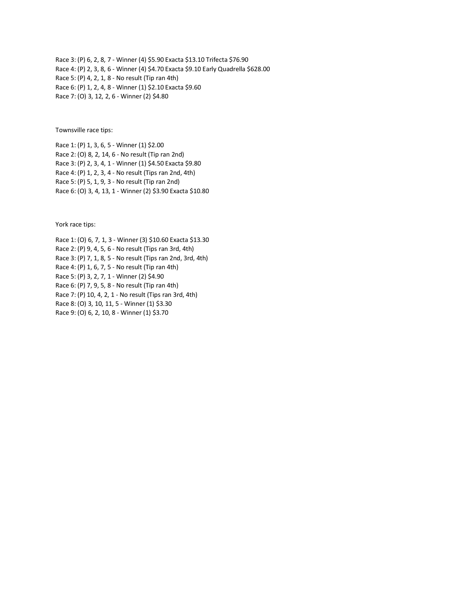Race 3: (P) 6, 2, 8, 7 - Winner (4) \$5.90 Exacta \$13.10 Trifecta \$76.90 Race 4: (P) 2, 3, 8, 6 - Winner (4) \$4.70 Exacta \$9.10 Early Quadrella \$628.00 Race 5: (P) 4, 2, 1, 8 - No result (Tip ran 4th) Race 6: (P) 1, 2, 4, 8 - Winner (1) \$2.10 Exacta \$9.60 Race 7: (O) 3, 12, 2, 6 - Winner (2) \$4.80

Townsville race tips:

Race 1: (P) 1, 3, 6, 5 - Winner (1) \$2.00 Race 2: (O) 8, 2, 14, 6 - No result (Tip ran 2nd) Race 3: (P) 2, 3, 4, 1 - Winner (1) \$4.50 Exacta \$9.80 Race 4: (P) 1, 2, 3, 4 - No result (Tips ran 2nd, 4th) Race 5: (P) 5, 1, 9, 3 - No result (Tip ran 2nd) Race 6: (O) 3, 4, 13, 1 - Winner (2) \$3.90 Exacta \$10.80

York race tips:

Race 1: (O) 6, 7, 1, 3 - Winner (3) \$10.60 Exacta \$13.30 Race 2: (P) 9, 4, 5, 6 - No result (Tips ran 3rd, 4th) Race 3: (P) 7, 1, 8, 5 - No result (Tips ran 2nd, 3rd, 4th) Race 4: (P) 1, 6, 7, 5 - No result (Tip ran 4th) Race 5: (P) 3, 2, 7, 1 - Winner (2) \$4.90 Race 6: (P) 7, 9, 5, 8 - No result (Tip ran 4th) Race 7: (P) 10, 4, 2, 1 - No result (Tips ran 3rd, 4th) Race 8: (O) 3, 10, 11, 5 - Winner (1) \$3.30 Race 9: (O) 6, 2, 10, 8 - Winner (1) \$3.70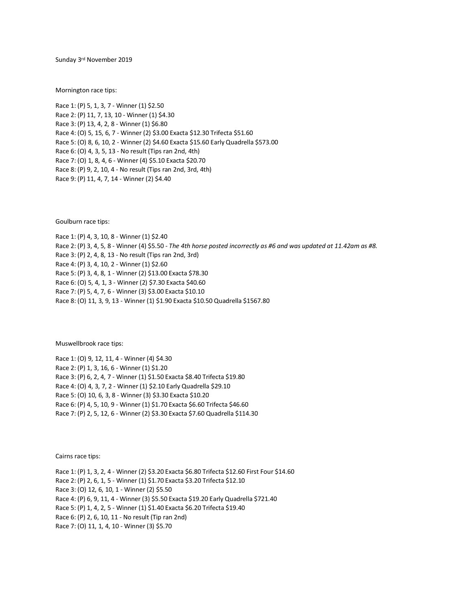Sunday 3rd November 2019

Mornington race tips:

Race 1: (P) 5, 1, 3, 7 - Winner (1) \$2.50 Race 2: (P) 11, 7, 13, 10 - Winner (1) \$4.30 Race 3: (P) 13, 4, 2, 8 - Winner (1) \$6.80 Race 4: (O) 5, 15, 6, 7 - Winner (2) \$3.00 Exacta \$12.30 Trifecta \$51.60 Race 5: (O) 8, 6, 10, 2 - Winner (2) \$4.60 Exacta \$15.60 Early Quadrella \$573.00 Race 6: (O) 4, 3, 5, 13 - No result (Tips ran 2nd, 4th) Race 7: (O) 1, 8, 4, 6 - Winner (4) \$5.10 Exacta \$20.70 Race 8: (P) 9, 2, 10, 4 - No result (Tips ran 2nd, 3rd, 4th) Race 9: (P) 11, 4, 7, 14 - Winner (2) \$4.40

Goulburn race tips:

Race 1: (P) 4, 3, 10, 8 - Winner (1) \$2.40 Race 2: (P) 3, 4, 5, 8 - Winner (4) \$5.50 - *The 4th horse posted incorrectly as #6 and was updated at 11.42am as #8.* Race 3: (P) 2, 4, 8, 13 - No result (Tips ran 2nd, 3rd) Race 4: (P) 3, 4, 10, 2 - Winner (1) \$2.60 Race 5: (P) 3, 4, 8, 1 - Winner (2) \$13.00 Exacta \$78.30 Race 6: (O) 5, 4, 1, 3 - Winner (2) \$7.30 Exacta \$40.60 Race 7: (P) 5, 4, 7, 6 - Winner (3) \$3.00 Exacta \$10.10 Race 8: (O) 11, 3, 9, 13 - Winner (1) \$1.90 Exacta \$10.50 Quadrella \$1567.80

Muswellbrook race tips:

Race 1: (O) 9, 12, 11, 4 - Winner (4) \$4.30 Race 2: (P) 1, 3, 16, 6 - Winner (1) \$1.20 Race 3: (P) 6, 2, 4, 7 - Winner (1) \$1.50 Exacta \$8.40 Trifecta \$19.80 Race 4: (O) 4, 3, 7, 2 - Winner (1) \$2.10 Early Quadrella \$29.10 Race 5: (O) 10, 6, 3, 8 - Winner (3) \$3.30 Exacta \$10.20 Race 6: (P) 4, 5, 10, 9 - Winner (1) \$1.70 Exacta \$6.60 Trifecta \$46.60 Race 7: (P) 2, 5, 12, 6 - Winner (2) \$3.30 Exacta \$7.60 Quadrella \$114.30

Cairns race tips:

Race 1: (P) 1, 3, 2, 4 - Winner (2) \$3.20 Exacta \$6.80 Trifecta \$12.60 First Four \$14.60 Race 2: (P) 2, 6, 1, 5 - Winner (1) \$1.70 Exacta \$3.20 Trifecta \$12.10 Race 3: (O) 12, 6, 10, 1 - Winner (2) \$5.50 Race 4: (P) 6, 9, 11, 4 - Winner (3) \$5.50 Exacta \$19.20 Early Quadrella \$721.40 Race 5: (P) 1, 4, 2, 5 - Winner (1) \$1.40 Exacta \$6.20 Trifecta \$19.40 Race 6: (P) 2, 6, 10, 11 - No result (Tip ran 2nd) Race 7: (O) 11, 1, 4, 10 - Winner (3) \$5.70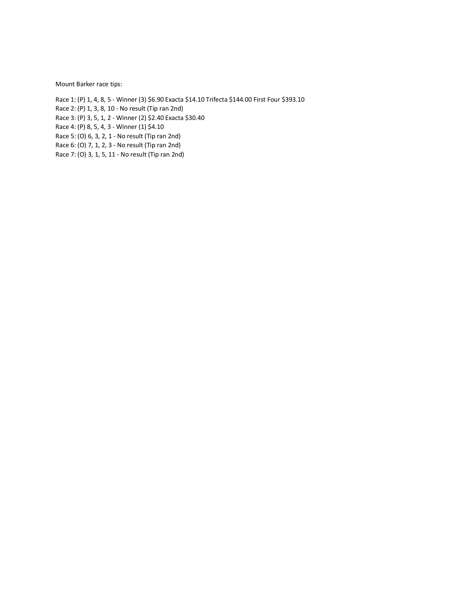Mount Barker race tips:

Race 1: (P) 1, 4, 8, 5 - Winner (3) \$6.90 Exacta \$14.10 Trifecta \$144.00 First Four \$393.10

Race 2: (P) 1, 3, 8, 10 - No result (Tip ran 2nd)

Race 3: (P) 3, 5, 1, 2 - Winner (2) \$2.40 Exacta \$30.40

Race 4: (P) 8, 5, 4, 3 - Winner (1) \$4.10

Race 5: (O) 6, 3, 2, 1 - No result (Tip ran 2nd)

Race 6: (O) 7, 1, 2, 3 - No result (Tip ran 2nd)

Race 7: (O) 3, 1, 5, 11 - No result (Tip ran 2nd)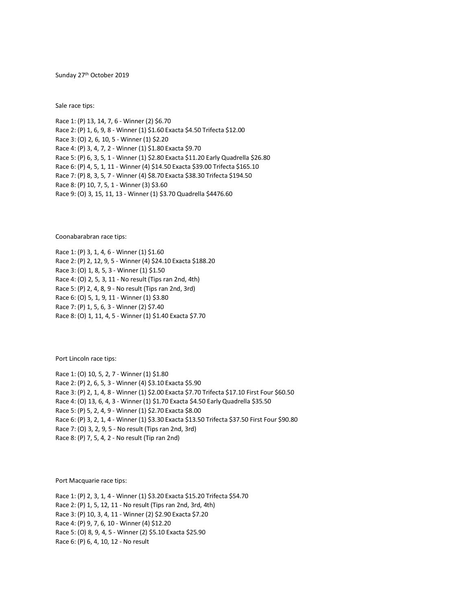Sunday 27th October 2019

Sale race tips:

Race 1: (P) 13, 14, 7, 6 - Winner (2) \$6.70 Race 2: (P) 1, 6, 9, 8 - Winner (1) \$1.60 Exacta \$4.50 Trifecta \$12.00 Race 3: (O) 2, 6, 10, 5 - Winner (1) \$2.20 Race 4: (P) 3, 4, 7, 2 - Winner (1) \$1.80 Exacta \$9.70 Race 5: (P) 6, 3, 5, 1 - Winner (1) \$2.80 Exacta \$11.20 Early Quadrella \$26.80 Race 6: (P) 4, 5, 1, 11 - Winner (4) \$14.50 Exacta \$39.00 Trifecta \$165.10 Race 7: (P) 8, 3, 5, 7 - Winner (4) \$8.70 Exacta \$38.30 Trifecta \$194.50 Race 8: (P) 10, 7, 5, 1 - Winner (3) \$3.60 Race 9: (O) 3, 15, 11, 13 - Winner (1) \$3.70 Quadrella \$4476.60

Coonabarabran race tips:

Race 1: (P) 3, 1, 4, 6 - Winner (1) \$1.60 Race 2: (P) 2, 12, 9, 5 - Winner (4) \$24.10 Exacta \$188.20 Race 3: (O) 1, 8, 5, 3 - Winner (1) \$1.50 Race 4: (O) 2, 5, 3, 11 - No result (Tips ran 2nd, 4th) Race 5: (P) 2, 4, 8, 9 - No result (Tips ran 2nd, 3rd) Race 6: (O) 5, 1, 9, 11 - Winner (1) \$3.80 Race 7: (P) 1, 5, 6, 3 - Winner (2) \$7.40 Race 8: (O) 1, 11, 4, 5 - Winner (1) \$1.40 Exacta \$7.70

Port Lincoln race tips:

Race 1: (O) 10, 5, 2, 7 - Winner (1) \$1.80 Race 2: (P) 2, 6, 5, 3 - Winner (4) \$3.10 Exacta \$5.90 Race 3: (P) 2, 1, 4, 8 - Winner (1) \$2.00 Exacta \$7.70 Trifecta \$17.10 First Four \$60.50 Race 4: (O) 13, 6, 4, 3 - Winner (1) \$1.70 Exacta \$4.50 Early Quadrella \$35.50 Race 5: (P) 5, 2, 4, 9 - Winner (1) \$2.70 Exacta \$8.00 Race 6: (P) 3, 2, 1, 4 - Winner (1) \$3.30 Exacta \$13.50 Trifecta \$37.50 First Four \$90.80 Race 7: (O) 3, 2, 9, 5 - No result (Tips ran 2nd, 3rd) Race 8: (P) 7, 5, 4, 2 - No result (Tip ran 2nd)

Port Macquarie race tips:

Race 1: (P) 2, 3, 1, 4 - Winner (1) \$3.20 Exacta \$15.20 Trifecta \$54.70 Race 2: (P) 1, 5, 12, 11 - No result (Tips ran 2nd, 3rd, 4th) Race 3: (P) 10, 3, 4, 11 - Winner (2) \$2.90 Exacta \$7.20 Race 4: (P) 9, 7, 6, 10 - Winner (4) \$12.20 Race 5: (O) 8, 9, 4, 5 - Winner (2) \$5.10 Exacta \$25.90 Race 6: (P) 6, 4, 10, 12 - No result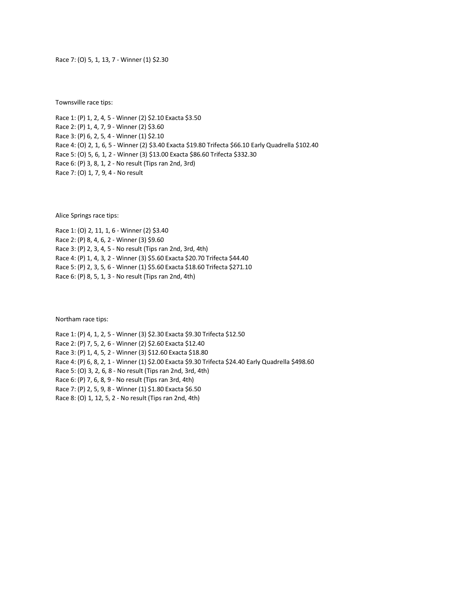Race 7: (O) 5, 1, 13, 7 - Winner (1) \$2.30

Townsville race tips:

Race 1: (P) 1, 2, 4, 5 - Winner (2) \$2.10 Exacta \$3.50 Race 2: (P) 1, 4, 7, 9 - Winner (2) \$3.60 Race 3: (P) 6, 2, 5, 4 - Winner (1) \$2.10 Race 4: (O) 2, 1, 6, 5 - Winner (2) \$3.40 Exacta \$19.80 Trifecta \$66.10 Early Quadrella \$102.40 Race 5: (O) 5, 6, 1, 2 - Winner (3) \$13.00 Exacta \$86.60 Trifecta \$332.30 Race 6: (P) 3, 8, 1, 2 - No result (Tips ran 2nd, 3rd) Race 7: (O) 1, 7, 9, 4 - No result

Alice Springs race tips:

Race 1: (O) 2, 11, 1, 6 - Winner (2) \$3.40 Race 2: (P) 8, 4, 6, 2 - Winner (3) \$9.60 Race 3: (P) 2, 3, 4, 5 - No result (Tips ran 2nd, 3rd, 4th) Race 4: (P) 1, 4, 3, 2 - Winner (3) \$5.60 Exacta \$20.70 Trifecta \$44.40 Race 5: (P) 2, 3, 5, 6 - Winner (1) \$5.60 Exacta \$18.60 Trifecta \$271.10 Race 6: (P) 8, 5, 1, 3 - No result (Tips ran 2nd, 4th)

Northam race tips:

Race 1: (P) 4, 1, 2, 5 - Winner (3) \$2.30 Exacta \$9.30 Trifecta \$12.50 Race 2: (P) 7, 5, 2, 6 - Winner (2) \$2.60 Exacta \$12.40 Race 3: (P) 1, 4, 5, 2 - Winner (3) \$12.60 Exacta \$18.80 Race 4: (P) 6, 8, 2, 1 - Winner (1) \$2.00 Exacta \$9.30 Trifecta \$24.40 Early Quadrella \$498.60 Race 5: (O) 3, 2, 6, 8 - No result (Tips ran 2nd, 3rd, 4th) Race 6: (P) 7, 6, 8, 9 - No result (Tips ran 3rd, 4th) Race 7: (P) 2, 5, 9, 8 - Winner (1) \$1.80 Exacta \$6.50 Race 8: (O) 1, 12, 5, 2 - No result (Tips ran 2nd, 4th)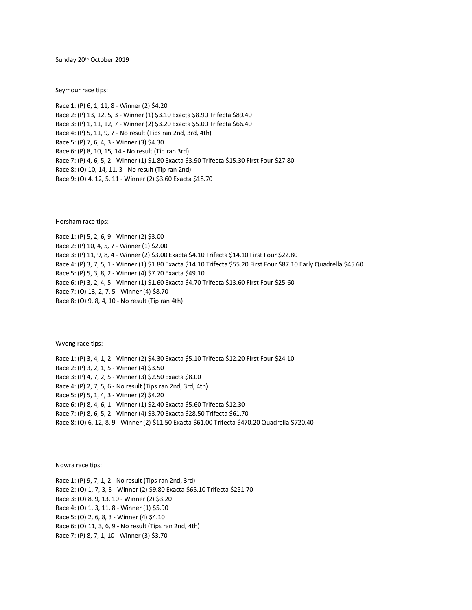Sunday 20th October 2019

Seymour race tips:

Race 1: (P) 6, 1, 11, 8 - Winner (2) \$4.20 Race 2: (P) 13, 12, 5, 3 - Winner (1) \$3.10 Exacta \$8.90 Trifecta \$89.40 Race 3: (P) 1, 11, 12, 7 - Winner (2) \$3.20 Exacta \$5.00 Trifecta \$66.40 Race 4: (P) 5, 11, 9, 7 - No result (Tips ran 2nd, 3rd, 4th) Race 5: (P) 7, 6, 4, 3 - Winner (3) \$4.30 Race 6: (P) 8, 10, 15, 14 - No result (Tip ran 3rd) Race 7: (P) 4, 6, 5, 2 - Winner (1) \$1.80 Exacta \$3.90 Trifecta \$15.30 First Four \$27.80 Race 8: (O) 10, 14, 11, 3 - No result (Tip ran 2nd) Race 9: (O) 4, 12, 5, 11 - Winner (2) \$3.60 Exacta \$18.70

Horsham race tips:

Race 1: (P) 5, 2, 6, 9 - Winner (2) \$3.00 Race 2: (P) 10, 4, 5, 7 - Winner (1) \$2.00 Race 3: (P) 11, 9, 8, 4 - Winner (2) \$3.00 Exacta \$4.10 Trifecta \$14.10 First Four \$22.80 Race 4: (P) 3, 7, 5, 1 - Winner (1) \$1.80 Exacta \$14.10 Trifecta \$55.20 First Four \$87.10 Early Quadrella \$45.60 Race 5: (P) 5, 3, 8, 2 - Winner (4) \$7.70 Exacta \$49.10 Race 6: (P) 3, 2, 4, 5 - Winner (1) \$1.60 Exacta \$4.70 Trifecta \$13.60 First Four \$25.60 Race 7: (O) 13, 2, 7, 5 - Winner (4) \$8.70 Race 8: (O) 9, 8, 4, 10 - No result (Tip ran 4th)

Wyong race tips:

Race 1: (P) 3, 4, 1, 2 - Winner (2) \$4.30 Exacta \$5.10 Trifecta \$12.20 First Four \$24.10 Race 2: (P) 3, 2, 1, 5 - Winner (4) \$3.50 Race 3: (P) 4, 7, 2, 5 - Winner (3) \$2.50 Exacta \$8.00 Race 4: (P) 2, 7, 5, 6 - No result (Tips ran 2nd, 3rd, 4th) Race 5: (P) 5, 1, 4, 3 - Winner (2) \$4.20 Race 6: (P) 8, 4, 6, 1 - Winner (1) \$2.40 Exacta \$5.60 Trifecta \$12.30 Race 7: (P) 8, 6, 5, 2 - Winner (4) \$3.70 Exacta \$28.50 Trifecta \$61.70 Race 8: (O) 6, 12, 8, 9 - Winner (2) \$11.50 Exacta \$61.00 Trifecta \$470.20 Quadrella \$720.40

Nowra race tips:

Race 1: (P) 9, 7, 1, 2 - No result (Tips ran 2nd, 3rd) Race 2: (O) 1, 7, 3, 8 - Winner (2) \$9.80 Exacta \$65.10 Trifecta \$251.70 Race 3: (O) 8, 9, 13, 10 - Winner (2) \$3.20 Race 4: (O) 1, 3, 11, 8 - Winner (1) \$5.90 Race 5: (O) 2, 6, 8, 3 - Winner (4) \$4.10 Race 6: (O) 11, 3, 6, 9 - No result (Tips ran 2nd, 4th) Race 7: (P) 8, 7, 1, 10 - Winner (3) \$3.70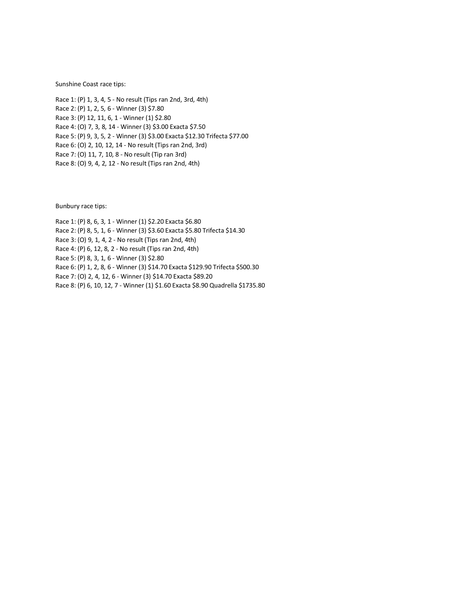Sunshine Coast race tips:

Race 1: (P) 1, 3, 4, 5 - No result (Tips ran 2nd, 3rd, 4th) Race 2: (P) 1, 2, 5, 6 - Winner (3) \$7.80 Race 3: (P) 12, 11, 6, 1 - Winner (1) \$2.80 Race 4: (O) 7, 3, 8, 14 - Winner (3) \$3.00 Exacta \$7.50 Race 5: (P) 9, 3, 5, 2 - Winner (3) \$3.00 Exacta \$12.30 Trifecta \$77.00 Race 6: (O) 2, 10, 12, 14 - No result (Tips ran 2nd, 3rd) Race 7: (O) 11, 7, 10, 8 - No result (Tip ran 3rd) Race 8: (O) 9, 4, 2, 12 - No result (Tips ran 2nd, 4th)

Bunbury race tips:

Race 1: (P) 8, 6, 3, 1 - Winner (1) \$2.20 Exacta \$6.80 Race 2: (P) 8, 5, 1, 6 - Winner (3) \$3.60 Exacta \$5.80 Trifecta \$14.30 Race 3: (O) 9, 1, 4, 2 - No result (Tips ran 2nd, 4th) Race 4: (P) 6, 12, 8, 2 - No result (Tips ran 2nd, 4th) Race 5: (P) 8, 3, 1, 6 - Winner (3) \$2.80 Race 6: (P) 1, 2, 8, 6 - Winner (3) \$14.70 Exacta \$129.90 Trifecta \$500.30 Race 7: (O) 2, 4, 12, 6 - Winner (3) \$14.70 Exacta \$89.20 Race 8: (P) 6, 10, 12, 7 - Winner (1) \$1.60 Exacta \$8.90 Quadrella \$1735.80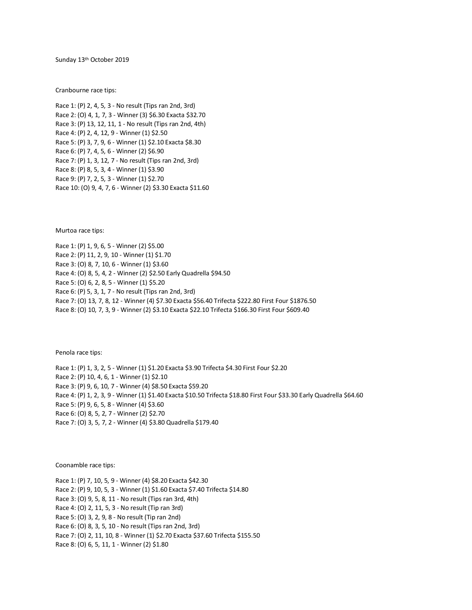Sunday 13th October 2019

Cranbourne race tips:

Race 1: (P) 2, 4, 5, 3 - No result (Tips ran 2nd, 3rd) Race 2: (O) 4, 1, 7, 3 - Winner (3) \$6.30 Exacta \$32.70 Race 3: (P) 13, 12, 11, 1 - No result (Tips ran 2nd, 4th) Race 4: (P) 2, 4, 12, 9 - Winner (1) \$2.50 Race 5: (P) 3, 7, 9, 6 - Winner (1) \$2.10 Exacta \$8.30 Race 6: (P) 7, 4, 5, 6 - Winner (2) \$6.90 Race 7: (P) 1, 3, 12, 7 - No result (Tips ran 2nd, 3rd) Race 8: (P) 8, 5, 3, 4 - Winner (1) \$3.90 Race 9: (P) 7, 2, 5, 3 - Winner (1) \$2.70 Race 10: (O) 9, 4, 7, 6 - Winner (2) \$3.30 Exacta \$11.60

Murtoa race tips:

Race 1: (P) 1, 9, 6, 5 - Winner (2) \$5.00 Race 2: (P) 11, 2, 9, 10 - Winner (1) \$1.70 Race 3: (O) 8, 7, 10, 6 - Winner (1) \$3.60 Race 4: (O) 8, 5, 4, 2 - Winner (2) \$2.50 Early Quadrella \$94.50 Race 5: (O) 6, 2, 8, 5 - Winner (1) \$5.20 Race 6: (P) 5, 3, 1, 7 - No result (Tips ran 2nd, 3rd) Race 7: (O) 13, 7, 8, 12 - Winner (4) \$7.30 Exacta \$56.40 Trifecta \$222.80 First Four \$1876.50 Race 8: (O) 10, 7, 3, 9 - Winner (2) \$3.10 Exacta \$22.10 Trifecta \$166.30 First Four \$609.40

Penola race tips:

Race 1: (P) 1, 3, 2, 5 - Winner (1) \$1.20 Exacta \$3.90 Trifecta \$4.30 First Four \$2.20 Race 2: (P) 10, 4, 6, 1 - Winner (1) \$2.10 Race 3: (P) 9, 6, 10, 7 - Winner (4) \$8.50 Exacta \$59.20 Race 4: (P) 1, 2, 3, 9 - Winner (1) \$1.40 Exacta \$10.50 Trifecta \$18.80 First Four \$33.30 Early Quadrella \$64.60 Race 5: (P) 9, 6, 5, 8 - Winner (4) \$3.60 Race 6: (O) 8, 5, 2, 7 - Winner (2) \$2.70 Race 7: (O) 3, 5, 7, 2 - Winner (4) \$3.80 Quadrella \$179.40

Coonamble race tips:

Race 1: (P) 7, 10, 5, 9 - Winner (4) \$8.20 Exacta \$42.30 Race 2: (P) 9, 10, 5, 3 - Winner (1) \$1.60 Exacta \$7.40 Trifecta \$14.80 Race 3: (O) 9, 5, 8, 11 - No result (Tips ran 3rd, 4th) Race 4: (O) 2, 11, 5, 3 - No result (Tip ran 3rd) Race 5: (O) 3, 2, 9, 8 - No result (Tip ran 2nd) Race 6: (O) 8, 3, 5, 10 - No result (Tips ran 2nd, 3rd) Race 7: (O) 2, 11, 10, 8 - Winner (1) \$2.70 Exacta \$37.60 Trifecta \$155.50 Race 8: (O) 6, 5, 11, 1 - Winner (2) \$1.80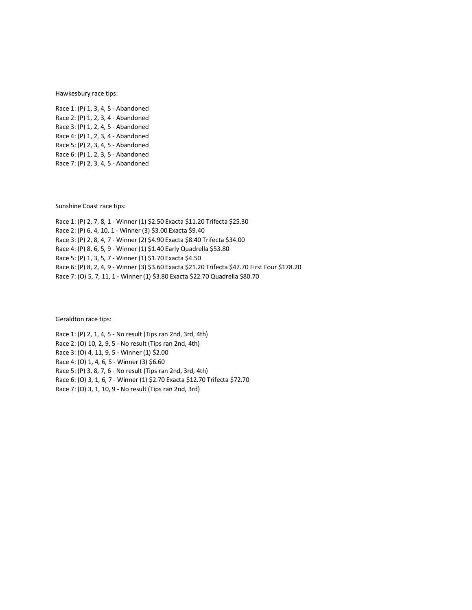Hawkesbury race tips:

Race 1: (P) 1, 3, 4, 5 - Abandoned Race 2: (P) 1, 2, 3, 4 - Abandoned Race 3: (P) 1, 2, 4, 5 - Abandoned Race 4: (P) 1, 2, 3, 4 - Abandoned Race 5: (P) 2, 3, 4, 5 - Abandoned Race 6: (P) 1, 2, 3, 5 - Abandoned Race 7: (P) 2, 3, 4, 5 - Abandoned

Sunshine Coast race tips:

Race 1: (P) 2, 7, 8, 1 - Winner (1) \$2.50 Exacta \$11.20 Trifecta \$25.30 Race 2: (P) 6, 4, 10, 1 - Winner (3) \$3.00 Exacta \$9.40 Race 3: (P) 2, 8, 4, 7 - Winner (2) \$4.90 Exacta \$8.40 Trifecta \$34.00 Race 4: (P) 8, 6, 5, 9 - Winner (1) \$1.40 Early Quadrella \$53.80 Race 5: (P) 1, 3, 5, 7 - Winner (1) \$1.70 Exacta \$4.50 Race 6: (P) 8, 2, 4, 9 - Winner (3) \$3.60 Exacta \$21.20 Trifecta \$47.70 First Four \$178.20 Race 7: (O) 5, 7, 11, 1 - Winner (1) \$3.80 Exacta \$22.70 Quadrella \$80.70

Geraldton race tips:

Race 1: (P) 2, 1, 4, 5 - No result (Tips ran 2nd, 3rd, 4th) Race 2: (O) 10, 2, 9, 5 - No result (Tips ran 2nd, 4th) Race 3: (O) 4, 11, 9, 5 - Winner (1) \$2.00 Race 4: (O) 1, 4, 6, 5 - Winner (3) \$6.60 Race 5: (P) 3, 8, 7, 6 - No result (Tips ran 2nd, 3rd, 4th) Race 6: (O) 3, 1, 6, 7 - Winner (1) \$2.70 Exacta \$12.70 Trifecta \$72.70 Race 7: (O) 3, 1, 10, 9 - No result (Tips ran 2nd, 3rd)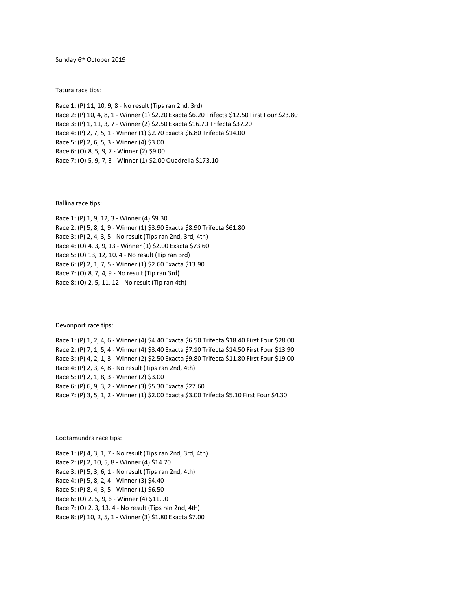Sunday 6<sup>th</sup> October 2019

Tatura race tips:

Race 1: (P) 11, 10, 9, 8 - No result (Tips ran 2nd, 3rd) Race 2: (P) 10, 4, 8, 1 - Winner (1) \$2.20 Exacta \$6.20 Trifecta \$12.50 First Four \$23.80 Race 3: (P) 1, 11, 3, 7 - Winner (2) \$2.50 Exacta \$16.70 Trifecta \$37.20 Race 4: (P) 2, 7, 5, 1 - Winner (1) \$2.70 Exacta \$6.80 Trifecta \$14.00 Race 5: (P) 2, 6, 5, 3 - Winner (4) \$3.00 Race 6: (O) 8, 5, 9, 7 - Winner (2) \$9.00 Race 7: (O) 5, 9, 7, 3 - Winner (1) \$2.00 Quadrella \$173.10

Ballina race tips:

Race 1: (P) 1, 9, 12, 3 - Winner (4) \$9.30 Race 2: (P) 5, 8, 1, 9 - Winner (1) \$3.90 Exacta \$8.90 Trifecta \$61.80 Race 3: (P) 2, 4, 3, 5 - No result (Tips ran 2nd, 3rd, 4th) Race 4: (O) 4, 3, 9, 13 - Winner (1) \$2.00 Exacta \$73.60 Race 5: (O) 13, 12, 10, 4 - No result (Tip ran 3rd) Race 6: (P) 2, 1, 7, 5 - Winner (1) \$2.60 Exacta \$13.90 Race 7: (O) 8, 7, 4, 9 - No result (Tip ran 3rd) Race 8: (O) 2, 5, 11, 12 - No result (Tip ran 4th)

Devonport race tips:

Race 1: (P) 1, 2, 4, 6 - Winner (4) \$4.40 Exacta \$6.50 Trifecta \$18.40 First Four \$28.00 Race 2: (P) 7, 1, 5, 4 - Winner (4) \$3.40 Exacta \$7.10 Trifecta \$14.50 First Four \$13.90 Race 3: (P) 4, 2, 1, 3 - Winner (2) \$2.50 Exacta \$9.80 Trifecta \$11.80 First Four \$19.00 Race 4: (P) 2, 3, 4, 8 - No result (Tips ran 2nd, 4th) Race 5: (P) 2, 1, 8, 3 - Winner (2) \$3.00 Race 6: (P) 6, 9, 3, 2 - Winner (3) \$5.30 Exacta \$27.60 Race 7: (P) 3, 5, 1, 2 - Winner (1) \$2.00 Exacta \$3.00 Trifecta \$5.10 First Four \$4.30

Cootamundra race tips:

Race 1: (P) 4, 3, 1, 7 - No result (Tips ran 2nd, 3rd, 4th) Race 2: (P) 2, 10, 5, 8 - Winner (4) \$14.70 Race 3: (P) 5, 3, 6, 1 - No result (Tips ran 2nd, 4th) Race 4: (P) 5, 8, 2, 4 - Winner (3) \$4.40 Race 5: (P) 8, 4, 3, 5 - Winner (1) \$6.50 Race 6: (O) 2, 5, 9, 6 - Winner (4) \$11.90 Race 7: (O) 2, 3, 13, 4 - No result (Tips ran 2nd, 4th) Race 8: (P) 10, 2, 5, 1 - Winner (3) \$1.80 Exacta \$7.00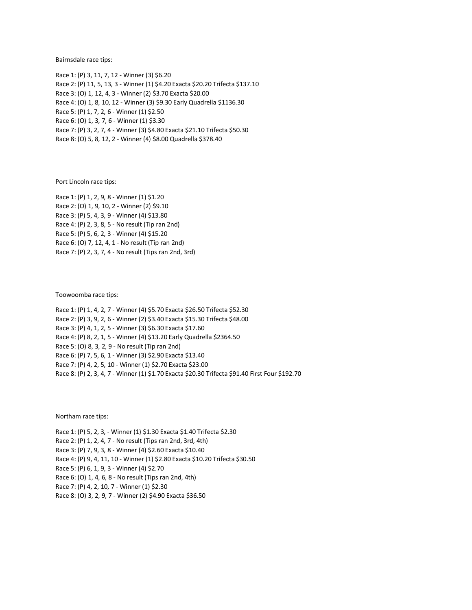Bairnsdale race tips:

Race 1: (P) 3, 11, 7, 12 - Winner (3) \$6.20 Race 2: (P) 11, 5, 13, 3 - Winner (1) \$4.20 Exacta \$20.20 Trifecta \$137.10 Race 3: (O) 1, 12, 4, 3 - Winner (2) \$3.70 Exacta \$20.00 Race 4: (O) 1, 8, 10, 12 - Winner (3) \$9.30 Early Quadrella \$1136.30 Race 5: (P) 1, 7, 2, 6 - Winner (1) \$2.50 Race 6: (O) 1, 3, 7, 6 - Winner (1) \$3.30 Race 7: (P) 3, 2, 7, 4 - Winner (3) \$4.80 Exacta \$21.10 Trifecta \$50.30 Race 8: (O) 5, 8, 12, 2 - Winner (4) \$8.00 Quadrella \$378.40

Port Lincoln race tips:

Race 1: (P) 1, 2, 9, 8 - Winner (1) \$1.20 Race 2: (O) 1, 9, 10, 2 - Winner (2) \$9.10 Race 3: (P) 5, 4, 3, 9 - Winner (4) \$13.80 Race 4: (P) 2, 3, 8, 5 - No result (Tip ran 2nd) Race 5: (P) 5, 6, 2, 3 - Winner (4) \$15.20 Race 6: (O) 7, 12, 4, 1 - No result (Tip ran 2nd) Race 7: (P) 2, 3, 7, 4 - No result (Tips ran 2nd, 3rd)

Toowoomba race tips:

Race 1: (P) 1, 4, 2, 7 - Winner (4) \$5.70 Exacta \$26.50 Trifecta \$52.30 Race 2: (P) 3, 9, 2, 6 - Winner (2) \$3.40 Exacta \$15.30 Trifecta \$48.00 Race 3: (P) 4, 1, 2, 5 - Winner (3) \$6.30 Exacta \$17.60 Race 4: (P) 8, 2, 1, 5 - Winner (4) \$13.20 Early Quadrella \$2364.50 Race 5: (O) 8, 3, 2, 9 - No result (Tip ran 2nd) Race 6: (P) 7, 5, 6, 1 - Winner (3) \$2.90 Exacta \$13.40 Race 7: (P) 4, 2, 5, 10 - Winner (1) \$2.70 Exacta \$23.00 Race 8: (P) 2, 3, 4, 7 - Winner (1) \$1.70 Exacta \$20.30 Trifecta \$91.40 First Four \$192.70

Northam race tips:

Race 1: (P) 5, 2, 3, - Winner (1) \$1.30 Exacta \$1.40 Trifecta \$2.30 Race 2: (P) 1, 2, 4, 7 - No result (Tips ran 2nd, 3rd, 4th) Race 3: (P) 7, 9, 3, 8 - Winner (4) \$2.60 Exacta \$10.40 Race 4: (P) 9, 4, 11, 10 - Winner (1) \$2.80 Exacta \$10.20 Trifecta \$30.50 Race 5: (P) 6, 1, 9, 3 - Winner (4) \$2.70 Race 6: (O) 1, 4, 6, 8 - No result (Tips ran 2nd, 4th) Race 7: (P) 4, 2, 10, 7 - Winner (1) \$2.30 Race 8: (O) 3, 2, 9, 7 - Winner (2) \$4.90 Exacta \$36.50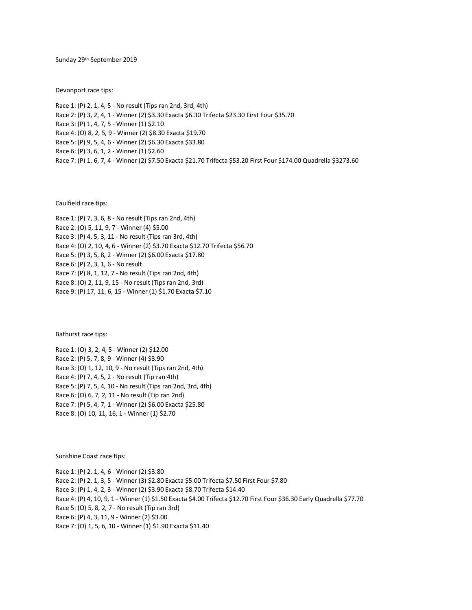Sunday 29th September 2019

Devonport race tips:

Race 1: (P) 2, 1, 4, 5 - No result (Tips ran 2nd, 3rd, 4th) Race 2: (P) 3, 2, 4, 1 - Winner (2) \$3.30 Exacta \$6.30 Trifecta \$23.30 First Four \$35.70 Race 3: (P) 1, 4, 7, 5 - Winner (1) \$2.10 Race 4: (O) 8, 2, 5, 9 - Winner (2) \$8.30 Exacta \$19.70 Race 5: (P) 9, 5, 4, 6 - Winner (2) \$6.30 Exacta \$33.80 Race 6: (P) 3, 6, 1, 2 - Winner (1) \$2.60 Race 7: (P) 1, 6, 7, 4 - Winner (2) \$7.50 Exacta \$21.70 Trifecta \$53.20 First Four \$174.00 Quadrella \$3273.60

Caulfield race tips:

Race 1: (P) 7, 3, 6, 8 - No result (Tips ran 2nd, 4th) Race 2: (O) 5, 11, 9, 7 - Winner (4) \$5.00 Race 3: (P) 4, 5, 3, 11 - No result (Tips ran 3rd, 4th) Race 4: (O) 2, 10, 4, 6 - Winner (2) \$3.70 Exacta \$12.70 Trifecta \$56.70 Race 5: (P) 3, 5, 8, 2 - Winner (2) \$6.00 Exacta \$17.80 Race 6: (P) 2, 3, 1, 6 - No result Race 7: (P) 8, 1, 12, 7 - No result (Tips ran 2nd, 4th) Race 8: (O) 2, 11, 9, 15 - No result (Tips ran 2nd, 3rd) Race 9: (P) 17, 11, 6, 15 - Winner (1) \$1.70 Exacta \$7.10

Bathurst race tips:

Race 1: (O) 3, 2, 4, 5 - Winner (2) \$12.00 Race 2: (P) 5, 7, 8, 9 - Winner (4) \$3.90 Race 3: (O) 1, 12, 10, 9 - No result (Tips ran 2nd, 4th) Race 4: (P) 7, 4, 5, 2 - No result (Tip ran 4th) Race 5: (P) 7, 5, 4, 10 - No result (Tips ran 2nd, 3rd, 4th) Race 6: (O) 6, 7, 2, 11 - No result (Tip ran 2nd) Race 7: (P) 5, 4, 7, 1 - Winner (2) \$6.00 Exacta \$25.80 Race 8: (O) 10, 11, 16, 1 - Winner (1) \$2.70

Sunshine Coast race tips:

Race 1: (P) 2, 1, 4, 6 - Winner (2) \$3.80 Race 2: (P) 2, 1, 3, 5 - Winner (3) \$2.80 Exacta \$5.00 Trifecta \$7.50 First Four \$7.80 Race 3: (P) 1, 4, 2, 3 - Winner (2) \$3.90 Exacta \$8.70 Trifecta \$14.40 Race 4: (P) 4, 10, 9, 1 - Winner (1) \$1.50 Exacta \$4.00 Trifecta \$12.70 First Four \$36.30 Early Quadrella \$77.70 Race 5: (O) 5, 8, 2, 7 - No result (Tip ran 3rd) Race 6: (P) 4, 3, 11, 9 - Winner (2) \$3.00 Race 7: (O) 1, 5, 6, 10 - Winner (1) \$1.90 Exacta \$11.40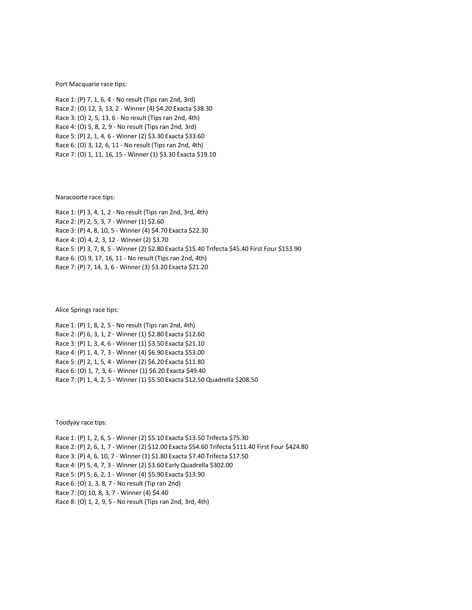Port Macquarie race tips:

Race 1: (P) 7, 1, 6, 4 - No result (Tips ran 2nd, 3rd) Race 2: (O) 12, 3, 13, 2 - Winner (4) \$4.20 Exacta \$38.30 Race 3: (O) 2, 5, 13, 6 - No result (Tips ran 2nd, 4th) Race 4: (O) 5, 8, 2, 9 - No result (Tips ran 2nd, 3rd) Race 5: (P) 2, 1, 4, 6 - Winner (2) \$3.30 Exacta \$33.60 Race 6: (O) 3, 12, 6, 11 - No result (Tips ran 2nd, 4th) Race 7: (O) 1, 11, 16, 15 - Winner (1) \$3.30 Exacta \$19.10

Naracoorte race tips:

Race 1: (P) 3, 4, 1, 2 - No result (Tips ran 2nd, 3rd, 4th) Race 2: (P) 2, 5, 3, 7 - Winner (1) \$2.60 Race 3: (P) 4, 8, 10, 5 - Winner (4) \$4.70 Exacta \$22.30 Race 4: (O) 4, 2, 3, 12 - Winner (2) \$3.70 Race 5: (P) 3, 7, 8, 5 - Winner (2) \$2.80 Exacta \$15.40 Trifecta \$45.40 First Four \$153.90 Race 6: (O) 9, 17, 16, 11 - No result (Tips ran 2nd, 4th) Race 7: (P) 7, 14, 3, 6 - Winner (3) \$3.20 Exacta \$21.20

Alice Springs race tips:

Race 1: (P) 1, 8, 2, 5 - No result (Tips ran 2nd, 4th) Race 2: (P) 6, 3, 1, 2 - Winner (1) \$2.80 Exacta \$12.60 Race 3: (P) 1, 3, 4, 6 - Winner (1) \$3.50 Exacta \$21.10 Race 4: (P) 1, 4, 7, 3 - Winner (4) \$6.90 Exacta \$53.00 Race 5: (P) 2, 1, 5, 4 - Winner (2) \$6.20 Exacta \$11.80 Race 6: (O) 1, 7, 3, 6 - Winner (1) \$6.20 Exacta \$49.40 Race 7: (P) 1, 4, 2, 5 - Winner (1) \$5.50 Exacta \$12.50 Quadrella \$208.50

Toodyay race tips:

Race 1: (P) 1, 2, 6, 5 - Winner (2) \$5.10 Exacta \$13.50 Trifecta \$75.30 Race 2: (P) 2, 6, 1, 7 - Winner (2) \$12.00 Exacta \$54.60 Trifecta \$111.40 First Four \$424.80 Race 3: (P) 4, 6, 10, 7 - Winner (1) \$1.80 Exacta \$7.40 Trifecta \$17.50 Race 4: (P) 5, 4, 7, 3 - Winner (2) \$3.60 Early Quadrella \$302.00 Race 5: (P) 5, 6, 2, 1 - Winner (4) \$5.90 Exacta \$13.90 Race 6: (O) 1, 3, 8, 7 - No result (Tip ran 2nd) Race 7: (O) 10, 8, 3, 7 - Winner (4) \$4.40 Race 8: (O) 1, 2, 9, 5 - No result (Tips ran 2nd, 3rd, 4th)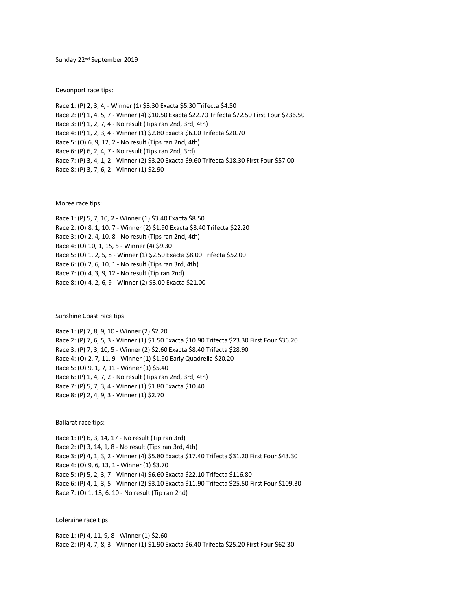Sunday 22nd September 2019

Devonport race tips:

Race 1: (P) 2, 3, 4, - Winner (1) \$3.30 Exacta \$5.30 Trifecta \$4.50 Race 2: (P) 1, 4, 5, 7 - Winner (4) \$10.50 Exacta \$22.70 Trifecta \$72.50 First Four \$236.50 Race 3: (P) 1, 2, 7, 4 - No result (Tips ran 2nd, 3rd, 4th) Race 4: (P) 1, 2, 3, 4 - Winner (1) \$2.80 Exacta \$6.00 Trifecta \$20.70 Race 5: (O) 6, 9, 12, 2 - No result (Tips ran 2nd, 4th) Race 6: (P) 6, 2, 4, 7 - No result (Tips ran 2nd, 3rd) Race 7: (P) 3, 4, 1, 2 - Winner (2) \$3.20 Exacta \$9.60 Trifecta \$18.30 First Four \$57.00 Race 8: (P) 3, 7, 6, 2 - Winner (1) \$2.90

Moree race tips:

Race 1: (P) 5, 7, 10, 2 - Winner (1) \$3.40 Exacta \$8.50 Race 2: (O) 8, 1, 10, 7 - Winner (2) \$1.90 Exacta \$3.40 Trifecta \$22.20 Race 3: (O) 2, 4, 10, 8 - No result (Tips ran 2nd, 4th) Race 4: (O) 10, 1, 15, 5 - Winner (4) \$9.30 Race 5: (O) 1, 2, 5, 8 - Winner (1) \$2.50 Exacta \$8.00 Trifecta \$52.00 Race 6: (O) 2, 6, 10, 1 - No result (Tips ran 3rd, 4th) Race 7: (O) 4, 3, 9, 12 - No result (Tip ran 2nd) Race 8: (O) 4, 2, 6, 9 - Winner (2) \$3.00 Exacta \$21.00

Sunshine Coast race tips:

Race 1: (P) 7, 8, 9, 10 - Winner (2) \$2.20 Race 2: (P) 7, 6, 5, 3 - Winner (1) \$1.50 Exacta \$10.90 Trifecta \$23.30 First Four \$36.20 Race 3: (P) 7, 3, 10, 5 - Winner (2) \$2.60 Exacta \$8.40 Trifecta \$28.90 Race 4: (O) 2, 7, 11, 9 - Winner (1) \$1.90 Early Quadrella \$20.20 Race 5: (O) 9, 1, 7, 11 - Winner (1) \$5.40 Race 6: (P) 1, 4, 7, 2 - No result (Tips ran 2nd, 3rd, 4th) Race 7: (P) 5, 7, 3, 4 - Winner (1) \$1.80 Exacta \$10.40 Race 8: (P) 2, 4, 9, 3 - Winner (1) \$2.70

Ballarat race tips:

Race 1: (P) 6, 3, 14, 17 - No result (Tip ran 3rd) Race 2: (P) 3, 14, 1, 8 - No result (Tips ran 3rd, 4th) Race 3: (P) 4, 1, 3, 2 - Winner (4) \$5.80 Exacta \$17.40 Trifecta \$31.20 First Four \$43.30 Race 4: (O) 9, 6, 13, 1 - Winner (1) \$3.70 Race 5: (P) 5, 2, 3, 7 - Winner (4) \$6.60 Exacta \$22.10 Trifecta \$116.80 Race 6: (P) 4, 1, 3, 5 - Winner (2) \$3.10 Exacta \$11.90 Trifecta \$25.50 First Four \$109.30 Race 7: (O) 1, 13, 6, 10 - No result (Tip ran 2nd)

Coleraine race tips:

Race 1: (P) 4, 11, 9, 8 - Winner (1) \$2.60 Race 2: (P) 4, 7, 8, 3 - Winner (1) \$1.90 Exacta \$6.40 Trifecta \$25.20 First Four \$62.30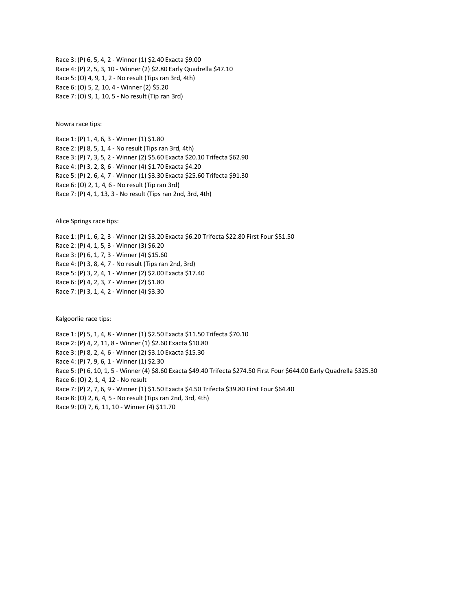Race 3: (P) 6, 5, 4, 2 - Winner (1) \$2.40 Exacta \$9.00 Race 4: (P) 2, 5, 3, 10 - Winner (2) \$2.80 Early Quadrella \$47.10 Race 5: (O) 4, 9, 1, 2 - No result (Tips ran 3rd, 4th) Race 6: (O) 5, 2, 10, 4 - Winner (2) \$5.20 Race 7: (O) 9, 1, 10, 5 - No result (Tip ran 3rd)

Nowra race tips:

Race 1: (P) 1, 4, 6, 3 - Winner (1) \$1.80 Race 2: (P) 8, 5, 1, 4 - No result (Tips ran 3rd, 4th) Race 3: (P) 7, 3, 5, 2 - Winner (2) \$5.60 Exacta \$20.10 Trifecta \$62.90 Race 4: (P) 3, 2, 8, 6 - Winner (4) \$1.70 Exacta \$4.20 Race 5: (P) 2, 6, 4, 7 - Winner (1) \$3.30 Exacta \$25.60 Trifecta \$91.30 Race 6: (O) 2, 1, 4, 6 - No result (Tip ran 3rd) Race 7: (P) 4, 1, 13, 3 - No result (Tips ran 2nd, 3rd, 4th)

Alice Springs race tips:

Race 1: (P) 1, 6, 2, 3 - Winner (2) \$3.20 Exacta \$6.20 Trifecta \$22.80 First Four \$51.50 Race 2: (P) 4, 1, 5, 3 - Winner (3) \$6.20 Race 3: (P) 6, 1, 7, 3 - Winner (4) \$15.60 Race 4: (P) 3, 8, 4, 7 - No result (Tips ran 2nd, 3rd) Race 5: (P) 3, 2, 4, 1 - Winner (2) \$2.00 Exacta \$17.40 Race 6: (P) 4, 2, 3, 7 - Winner (2) \$1.80 Race 7: (P) 3, 1, 4, 2 - Winner (4) \$3.30

Kalgoorlie race tips:

Race 1: (P) 5, 1, 4, 8 - Winner (1) \$2.50 Exacta \$11.50 Trifecta \$70.10 Race 2: (P) 4, 2, 11, 8 - Winner (1) \$2.60 Exacta \$10.80 Race 3: (P) 8, 2, 4, 6 - Winner (2) \$3.10 Exacta \$15.30 Race 4: (P) 7, 9, 6, 1 - Winner (1) \$2.30 Race 5: (P) 6, 10, 1, 5 - Winner (4) \$8.60 Exacta \$49.40 Trifecta \$274.50 First Four \$644.00 Early Quadrella \$325.30 Race 6: (O) 2, 1, 4, 12 - No result Race 7: (P) 2, 7, 6, 9 - Winner (1) \$1.50 Exacta \$4.50 Trifecta \$39.80 First Four \$64.40 Race 8: (O) 2, 6, 4, 5 - No result (Tips ran 2nd, 3rd, 4th) Race 9: (O) 7, 6, 11, 10 - Winner (4) \$11.70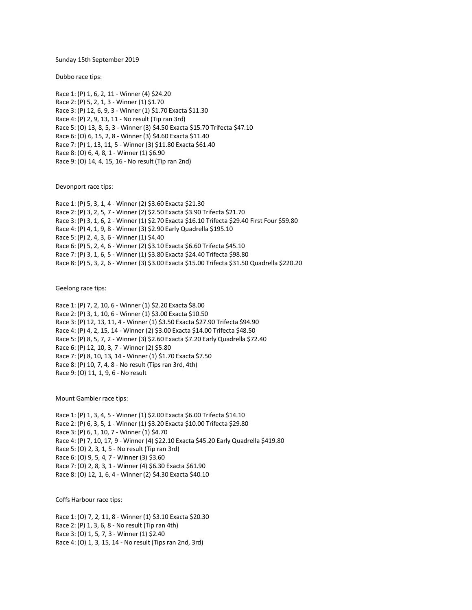Sunday 15th September 2019

Dubbo race tips:

Race 1: (P) 1, 6, 2, 11 - Winner (4) \$24.20 Race 2: (P) 5, 2, 1, 3 - Winner (1) \$1.70 Race 3: (P) 12, 6, 9, 3 - Winner (1) \$1.70 Exacta \$11.30 Race 4: (P) 2, 9, 13, 11 - No result (Tip ran 3rd) Race 5: (O) 13, 8, 5, 3 - Winner (3) \$4.50 Exacta \$15.70 Trifecta \$47.10 Race 6: (O) 6, 15, 2, 8 - Winner (3) \$4.60 Exacta \$11.40 Race 7: (P) 1, 13, 11, 5 - Winner (3) \$11.80 Exacta \$61.40 Race 8: (O) 6, 4, 8, 1 - Winner (1) \$6.90 Race 9: (O) 14, 4, 15, 16 - No result (Tip ran 2nd)

Devonport race tips:

Race 1: (P) 5, 3, 1, 4 - Winner (2) \$3.60 Exacta \$21.30 Race 2: (P) 3, 2, 5, 7 - Winner (2) \$2.50 Exacta \$3.90 Trifecta \$21.70 Race 3: (P) 3, 1, 6, 2 - Winner (1) \$2.70 Exacta \$16.10 Trifecta \$29.40 First Four \$59.80 Race 4: (P) 4, 1, 9, 8 - Winner (3) \$2.90 Early Quadrella \$195.10 Race 5: (P) 2, 4, 3, 6 - Winner (1) \$4.40 Race 6: (P) 5, 2, 4, 6 - Winner (2) \$3.10 Exacta \$6.60 Trifecta \$45.10 Race 7: (P) 3, 1, 6, 5 - Winner (1) \$3.80 Exacta \$24.40 Trifecta \$98.80 Race 8: (P) 5, 3, 2, 6 - Winner (3) \$3.00 Exacta \$15.00 Trifecta \$31.50 Quadrella \$220.20

Geelong race tips:

Race 1: (P) 7, 2, 10, 6 - Winner (1) \$2.20 Exacta \$8.00 Race 2: (P) 3, 1, 10, 6 - Winner (1) \$3.00 Exacta \$10.50 Race 3: (P) 12, 13, 11, 4 - Winner (1) \$3.50 Exacta \$27.90 Trifecta \$94.90 Race 4: (P) 4, 2, 15, 14 - Winner (2) \$3.00 Exacta \$14.00 Trifecta \$48.50 Race 5: (P) 8, 5, 7, 2 - Winner (3) \$2.60 Exacta \$7.20 Early Quadrella \$72.40 Race 6: (P) 12, 10, 3, 7 - Winner (2) \$5.80 Race 7: (P) 8, 10, 13, 14 - Winner (1) \$1.70 Exacta \$7.50 Race 8: (P) 10, 7, 4, 8 - No result (Tips ran 3rd, 4th) Race 9: (O) 11, 1, 9, 6 - No result

Mount Gambier race tips:

Race 1: (P) 1, 3, 4, 5 - Winner (1) \$2.00 Exacta \$6.00 Trifecta \$14.10 Race 2: (P) 6, 3, 5, 1 - Winner (1) \$3.20 Exacta \$10.00 Trifecta \$29.80 Race 3: (P) 6, 1, 10, 7 - Winner (1) \$4.70 Race 4: (P) 7, 10, 17, 9 - Winner (4) \$22.10 Exacta \$45.20 Early Quadrella \$419.80 Race 5: (O) 2, 3, 1, 5 - No result (Tip ran 3rd) Race 6: (O) 9, 5, 4, 7 - Winner (3) \$3.60 Race 7: (O) 2, 8, 3, 1 - Winner (4) \$6.30 Exacta \$61.90 Race 8: (O) 12, 1, 6, 4 - Winner (2) \$4.30 Exacta \$40.10

Coffs Harbour race tips:

Race 1: (O) 7, 2, 11, 8 - Winner (1) \$3.10 Exacta \$20.30 Race 2: (P) 1, 3, 6, 8 - No result (Tip ran 4th) Race 3: (O) 1, 5, 7, 3 - Winner (1) \$2.40 Race 4: (O) 1, 3, 15, 14 - No result (Tips ran 2nd, 3rd)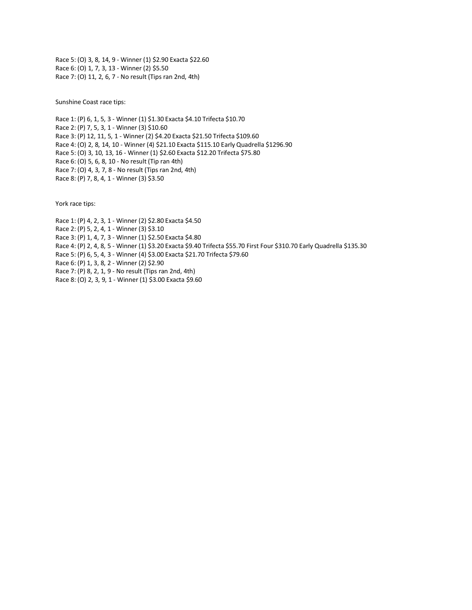Race 5: (O) 3, 8, 14, 9 - Winner (1) \$2.90 Exacta \$22.60 Race 6: (O) 1, 7, 3, 13 - Winner (2) \$5.50 Race 7: (O) 11, 2, 6, 7 - No result (Tips ran 2nd, 4th)

Sunshine Coast race tips:

Race 1: (P) 6, 1, 5, 3 - Winner (1) \$1.30 Exacta \$4.10 Trifecta \$10.70 Race 2: (P) 7, 5, 3, 1 - Winner (3) \$10.60 Race 3: (P) 12, 11, 5, 1 - Winner (2) \$4.20 Exacta \$21.50 Trifecta \$109.60 Race 4: (O) 2, 8, 14, 10 - Winner (4) \$21.10 Exacta \$115.10 Early Quadrella \$1296.90 Race 5: (O) 3, 10, 13, 16 - Winner (1) \$2.60 Exacta \$12.20 Trifecta \$75.80 Race 6: (O) 5, 6, 8, 10 - No result (Tip ran 4th) Race 7: (O) 4, 3, 7, 8 - No result (Tips ran 2nd, 4th) Race 8: (P) 7, 8, 4, 1 - Winner (3) \$3.50

York race tips:

Race 1: (P) 4, 2, 3, 1 - Winner (2) \$2.80 Exacta \$4.50 Race 2: (P) 5, 2, 4, 1 - Winner (3) \$3.10 Race 3: (P) 1, 4, 7, 3 - Winner (1) \$2.50 Exacta \$4.80 Race 4: (P) 2, 4, 8, 5 - Winner (1) \$3.20 Exacta \$9.40 Trifecta \$55.70 First Four \$310.70 Early Quadrella \$135.30 Race 5: (P) 6, 5, 4, 3 - Winner (4) \$3.00 Exacta \$21.70 Trifecta \$79.60 Race 6: (P) 1, 3, 8, 2 - Winner (2) \$2.90 Race 7: (P) 8, 2, 1, 9 - No result (Tips ran 2nd, 4th) Race 8: (O) 2, 3, 9, 1 - Winner (1) \$3.00 Exacta \$9.60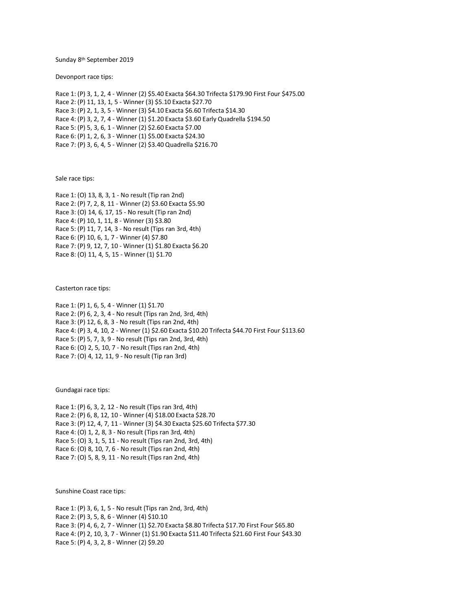Sunday 8th September 2019

Devonport race tips:

Race 1: (P) 3, 1, 2, 4 - Winner (2) \$5.40 Exacta \$64.30 Trifecta \$179.90 First Four \$475.00 Race 2: (P) 11, 13, 1, 5 - Winner (3) \$5.10 Exacta \$27.70 Race 3: (P) 2, 1, 3, 5 - Winner (3) \$4.10 Exacta \$6.60 Trifecta \$14.30 Race 4: (P) 3, 2, 7, 4 - Winner (1) \$1.20 Exacta \$3.60 Early Quadrella \$194.50 Race 5: (P) 5, 3, 6, 1 - Winner (2) \$2.60 Exacta \$7.00 Race 6: (P) 1, 2, 6, 3 - Winner (1) \$5.00 Exacta \$24.30 Race 7: (P) 3, 6, 4, 5 - Winner (2) \$3.40 Quadrella \$216.70

Sale race tips:

Race 1: (O) 13, 8, 3, 1 - No result (Tip ran 2nd) Race 2: (P) 7, 2, 8, 11 - Winner (2) \$3.60 Exacta \$5.90 Race 3: (O) 14, 6, 17, 15 - No result (Tip ran 2nd) Race 4: (P) 10, 1, 11, 8 - Winner (3) \$3.80 Race 5: (P) 11, 7, 14, 3 - No result (Tips ran 3rd, 4th) Race 6: (P) 10, 6, 1, 7 - Winner (4) \$7.80 Race 7: (P) 9, 12, 7, 10 - Winner (1) \$1.80 Exacta \$6.20 Race 8: (O) 11, 4, 5, 15 - Winner (1) \$1.70

Casterton race tips:

Race 1: (P) 1, 6, 5, 4 - Winner (1) \$1.70 Race 2: (P) 6, 2, 3, 4 - No result (Tips ran 2nd, 3rd, 4th) Race 3: (P) 12, 6, 8, 3 - No result (Tips ran 2nd, 4th) Race 4: (P) 3, 4, 10, 2 - Winner (1) \$2.60 Exacta \$10.20 Trifecta \$44.70 First Four \$113.60 Race 5: (P) 5, 7, 3, 9 - No result (Tips ran 2nd, 3rd, 4th) Race 6: (O) 2, 5, 10, 7 - No result (Tips ran 2nd, 4th) Race 7: (O) 4, 12, 11, 9 - No result (Tip ran 3rd)

Gundagai race tips:

Race 1: (P) 6, 3, 2, 12 - No result (Tips ran 3rd, 4th) Race 2: (P) 6, 8, 12, 10 - Winner (4) \$18.00 Exacta \$28.70 Race 3: (P) 12, 4, 7, 11 - Winner (3) \$4.30 Exacta \$25.60 Trifecta \$77.30 Race 4: (O) 1, 2, 8, 3 - No result (Tips ran 3rd, 4th) Race 5: (O) 3, 1, 5, 11 - No result (Tips ran 2nd, 3rd, 4th) Race 6: (O) 8, 10, 7, 6 - No result (Tips ran 2nd, 4th) Race 7: (O) 5, 8, 9, 11 - No result (Tips ran 2nd, 4th)

Sunshine Coast race tips:

Race 1: (P) 3, 6, 1, 5 - No result (Tips ran 2nd, 3rd, 4th) Race 2: (P) 3, 5, 8, 6 - Winner (4) \$10.10 Race 3: (P) 4, 6, 2, 7 - Winner (1) \$2.70 Exacta \$8.80 Trifecta \$17.70 First Four \$65.80 Race 4: (P) 2, 10, 3, 7 - Winner (1) \$1.90 Exacta \$11.40 Trifecta \$21.60 First Four \$43.30 Race 5: (P) 4, 3, 2, 8 - Winner (2) \$9.20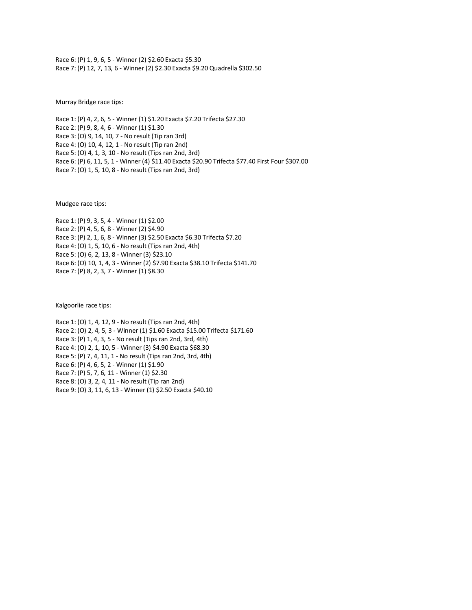Race 6: (P) 1, 9, 6, 5 - Winner (2) \$2.60 Exacta \$5.30 Race 7: (P) 12, 7, 13, 6 - Winner (2) \$2.30 Exacta \$9.20 Quadrella \$302.50

Murray Bridge race tips:

Race 1: (P) 4, 2, 6, 5 - Winner (1) \$1.20 Exacta \$7.20 Trifecta \$27.30 Race 2: (P) 9, 8, 4, 6 - Winner (1) \$1.30 Race 3: (O) 9, 14, 10, 7 - No result (Tip ran 3rd) Race 4: (O) 10, 4, 12, 1 - No result (Tip ran 2nd) Race 5: (O) 4, 1, 3, 10 - No result (Tips ran 2nd, 3rd) Race 6: (P) 6, 11, 5, 1 - Winner (4) \$11.40 Exacta \$20.90 Trifecta \$77.40 First Four \$307.00 Race 7: (O) 1, 5, 10, 8 - No result (Tips ran 2nd, 3rd)

Mudgee race tips:

Race 1: (P) 9, 3, 5, 4 - Winner (1) \$2.00 Race 2: (P) 4, 5, 6, 8 - Winner (2) \$4.90 Race 3: (P) 2, 1, 6, 8 - Winner (3) \$2.50 Exacta \$6.30 Trifecta \$7.20 Race 4: (O) 1, 5, 10, 6 - No result (Tips ran 2nd, 4th) Race 5: (O) 6, 2, 13, 8 - Winner (3) \$23.10 Race 6: (O) 10, 1, 4, 3 - Winner (2) \$7.90 Exacta \$38.10 Trifecta \$141.70 Race 7: (P) 8, 2, 3, 7 - Winner (1) \$8.30

Kalgoorlie race tips:

Race 1: (O) 1, 4, 12, 9 - No result (Tips ran 2nd, 4th) Race 2: (O) 2, 4, 5, 3 - Winner (1) \$1.60 Exacta \$15.00 Trifecta \$171.60 Race 3: (P) 1, 4, 3, 5 - No result (Tips ran 2nd, 3rd, 4th) Race 4: (O) 2, 1, 10, 5 - Winner (3) \$4.90 Exacta \$68.30 Race 5: (P) 7, 4, 11, 1 - No result (Tips ran 2nd, 3rd, 4th) Race 6: (P) 4, 6, 5, 2 - Winner (1) \$1.90 Race 7: (P) 5, 7, 6, 11 - Winner (1) \$2.30 Race 8: (O) 3, 2, 4, 11 - No result (Tip ran 2nd) Race 9: (O) 3, 11, 6, 13 - Winner (1) \$2.50 Exacta \$40.10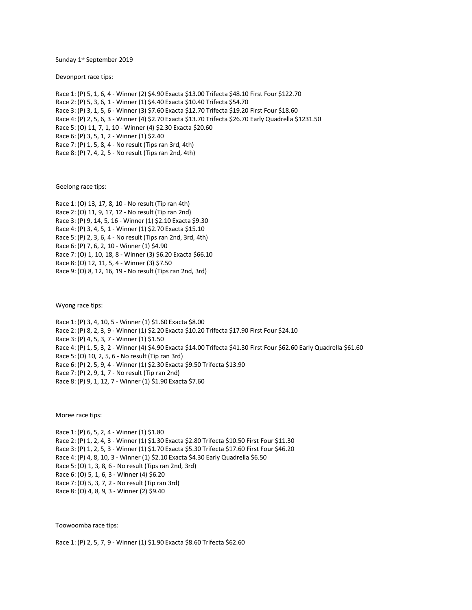Sunday 1st September 2019

Devonport race tips:

Race 1: (P) 5, 1, 6, 4 - Winner (2) \$4.90 Exacta \$13.00 Trifecta \$48.10 First Four \$122.70 Race 2: (P) 5, 3, 6, 1 - Winner (1) \$4.40 Exacta \$10.40 Trifecta \$54.70 Race 3: (P) 3, 1, 5, 6 - Winner (3) \$7.60 Exacta \$12.70 Trifecta \$19.20 First Four \$18.60 Race 4: (P) 2, 5, 6, 3 - Winner (4) \$2.70 Exacta \$13.70 Trifecta \$26.70 Early Quadrella \$1231.50 Race 5: (O) 11, 7, 1, 10 - Winner (4) \$2.30 Exacta \$20.60 Race 6: (P) 3, 5, 1, 2 - Winner (1) \$2.40 Race 7: (P) 1, 5, 8, 4 - No result (Tips ran 3rd, 4th) Race 8: (P) 7, 4, 2, 5 - No result (Tips ran 2nd, 4th)

Geelong race tips:

Race 1: (O) 13, 17, 8, 10 - No result (Tip ran 4th) Race 2: (O) 11, 9, 17, 12 - No result (Tip ran 2nd) Race 3: (P) 9, 14, 5, 16 - Winner (1) \$2.10 Exacta \$9.30 Race 4: (P) 3, 4, 5, 1 - Winner (1) \$2.70 Exacta \$15.10 Race 5: (P) 2, 3, 6, 4 - No result (Tips ran 2nd, 3rd, 4th) Race 6: (P) 7, 6, 2, 10 - Winner (1) \$4.90 Race 7: (O) 1, 10, 18, 8 - Winner (3) \$6.20 Exacta \$66.10 Race 8: (O) 12, 11, 5, 4 - Winner (3) \$7.50 Race 9: (O) 8, 12, 16, 19 - No result (Tips ran 2nd, 3rd)

Wyong race tips:

Race 1: (P) 3, 4, 10, 5 - Winner (1) \$1.60 Exacta \$8.00 Race 2: (P) 8, 2, 3, 9 - Winner (1) \$2.20 Exacta \$10.20 Trifecta \$17.90 First Four \$24.10 Race 3: (P) 4, 5, 3, 7 - Winner (1) \$1.50 Race 4: (P) 1, 5, 3, 2 - Winner (4) \$4.90 Exacta \$14.00 Trifecta \$41.30 First Four \$62.60 Early Quadrella \$61.60 Race 5: (O) 10, 2, 5, 6 - No result (Tip ran 3rd) Race 6: (P) 2, 5, 9, 4 - Winner (1) \$2.30 Exacta \$9.50 Trifecta \$13.90 Race 7: (P) 2, 9, 1, 7 - No result (Tip ran 2nd) Race 8: (P) 9, 1, 12, 7 - Winner (1) \$1.90 Exacta \$7.60

Moree race tips:

Race 1: (P) 6, 5, 2, 4 - Winner (1) \$1.80 Race 2: (P) 1, 2, 4, 3 - Winner (1) \$1.30 Exacta \$2.80 Trifecta \$10.50 First Four \$11.30 Race 3: (P) 1, 2, 5, 3 - Winner (1) \$1.70 Exacta \$5.30 Trifecta \$17.60 First Four \$46.20 Race 4: (P) 4, 8, 10, 3 - Winner (1) \$2.10 Exacta \$4.30 Early Quadrella \$6.50 Race 5: (O) 1, 3, 8, 6 - No result (Tips ran 2nd, 3rd) Race 6: (O) 5, 1, 6, 3 - Winner (4) \$6.20 Race 7: (O) 5, 3, 7, 2 - No result (Tip ran 3rd) Race 8: (O) 4, 8, 9, 3 - Winner (2) \$9.40

Toowoomba race tips:

Race 1: (P) 2, 5, 7, 9 - Winner (1) \$1.90 Exacta \$8.60 Trifecta \$62.60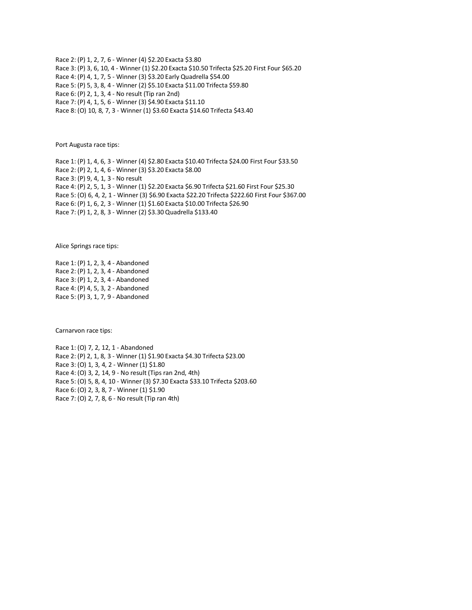Race 2: (P) 1, 2, 7, 6 - Winner (4) \$2.20 Exacta \$3.80 Race 3: (P) 3, 6, 10, 4 - Winner (1) \$2.20 Exacta \$10.50 Trifecta \$25.20 First Four \$65.20 Race 4: (P) 4, 1, 7, 5 - Winner (3) \$3.20 Early Quadrella \$54.00 Race 5: (P) 5, 3, 8, 4 - Winner (2) \$5.10 Exacta \$11.00 Trifecta \$59.80 Race 6: (P) 2, 1, 3, 4 - No result (Tip ran 2nd) Race 7: (P) 4, 1, 5, 6 - Winner (3) \$4.90 Exacta \$11.10 Race 8: (O) 10, 8, 7, 3 - Winner (1) \$3.60 Exacta \$14.60 Trifecta \$43.40

Port Augusta race tips:

Race 1: (P) 1, 4, 6, 3 - Winner (4) \$2.80 Exacta \$10.40 Trifecta \$24.00 First Four \$33.50 Race 2: (P) 2, 1, 4, 6 - Winner (3) \$3.20 Exacta \$8.00 Race 3: (P) 9, 4, 1, 3 - No result Race 4: (P) 2, 5, 1, 3 - Winner (1) \$2.20 Exacta \$6.90 Trifecta \$21.60 First Four \$25.30 Race 5: (O) 6, 4, 2, 1 - Winner (3) \$6.90 Exacta \$22.20 Trifecta \$222.60 First Four \$367.00 Race 6: (P) 1, 6, 2, 3 - Winner (1) \$1.60 Exacta \$10.00 Trifecta \$26.90 Race 7: (P) 1, 2, 8, 3 - Winner (2) \$3.30 Quadrella \$133.40

Alice Springs race tips:

Race 1: (P) 1, 2, 3, 4 - Abandoned Race 2: (P) 1, 2, 3, 4 - Abandoned Race 3: (P) 1, 2, 3, 4 - Abandoned Race 4: (P) 4, 5, 3, 2 - Abandoned Race 5: (P) 3, 1, 7, 9 - Abandoned

Carnarvon race tips:

Race 1: (O) 7, 2, 12, 1 - Abandoned Race 2: (P) 2, 1, 8, 3 - Winner (1) \$1.90 Exacta \$4.30 Trifecta \$23.00 Race 3: (O) 1, 3, 4, 2 - Winner (1) \$1.80 Race 4: (O) 3, 2, 14, 9 - No result (Tips ran 2nd, 4th) Race 5: (O) 5, 8, 4, 10 - Winner (3) \$7.30 Exacta \$33.10 Trifecta \$203.60 Race 6: (O) 2, 3, 8, 7 - Winner (1) \$1.90 Race 7: (O) 2, 7, 8, 6 - No result (Tip ran 4th)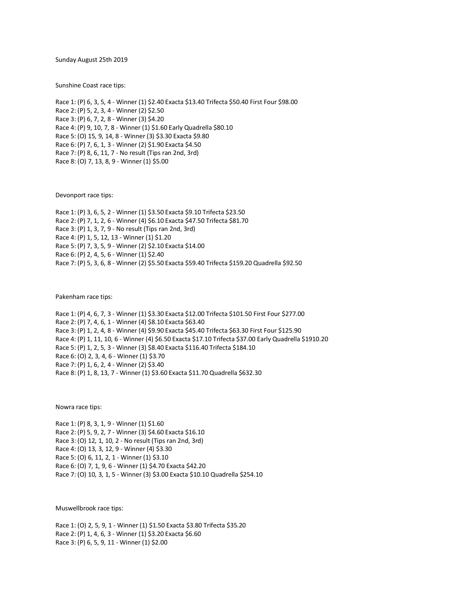Sunday August 25th 2019

Sunshine Coast race tips:

Race 1: (P) 6, 3, 5, 4 - Winner (1) \$2.40 Exacta \$13.40 Trifecta \$50.40 First Four \$98.00 Race 2: (P) 5, 2, 3, 4 - Winner (2) \$2.50 Race 3: (P) 6, 7, 2, 8 - Winner (3) \$4.20 Race 4: (P) 9, 10, 7, 8 - Winner (1) \$1.60 Early Quadrella \$80.10 Race 5: (O) 15, 9, 14, 8 - Winner (3) \$3.30 Exacta \$9.80 Race 6: (P) 7, 6, 1, 3 - Winner (2) \$1.90 Exacta \$4.50 Race 7: (P) 8, 6, 11, 7 - No result (Tips ran 2nd, 3rd) Race 8: (O) 7, 13, 8, 9 - Winner (1) \$5.00

Devonport race tips:

Race 1: (P) 3, 6, 5, 2 - Winner (1) \$3.50 Exacta \$9.10 Trifecta \$23.50 Race 2: (P) 7, 1, 2, 6 - Winner (4) \$6.10 Exacta \$47.50 Trifecta \$81.70 Race 3: (P) 1, 3, 7, 9 - No result (Tips ran 2nd, 3rd) Race 4: (P) 1, 5, 12, 13 - Winner (1) \$1.20 Race 5: (P) 7, 3, 5, 9 - Winner (2) \$2.10 Exacta \$14.00 Race 6: (P) 2, 4, 5, 6 - Winner (1) \$2.40 Race 7: (P) 5, 3, 6, 8 - Winner (2) \$5.50 Exacta \$59.40 Trifecta \$159.20 Quadrella \$92.50

Pakenham race tips:

Race 1: (P) 4, 6, 7, 3 - Winner (1) \$3.30 Exacta \$12.00 Trifecta \$101.50 First Four \$277.00 Race 2: (P) 7, 4, 6, 1 - Winner (4) \$8.10 Exacta \$63.40 Race 3: (P) 1, 2, 4, 8 - Winner (4) \$9.90 Exacta \$45.40 Trifecta \$63.30 First Four \$125.90 Race 4: (P) 1, 11, 10, 6 - Winner (4) \$6.50 Exacta \$17.10 Trifecta \$37.00 Early Quadrella \$1910.20 Race 5: (P) 1, 2, 5, 3 - Winner (3) \$8.40 Exacta \$116.40 Trifecta \$184.10 Race 6: (O) 2, 3, 4, 6 - Winner (1) \$3.70 Race 7: (P) 1, 6, 2, 4 - Winner (2) \$3.40 Race 8: (P) 1, 8, 13, 7 - Winner (1) \$3.60 Exacta \$11.70 Quadrella \$632.30

Nowra race tips:

Race 1: (P) 8, 3, 1, 9 - Winner (1) \$1.60 Race 2: (P) 5, 9, 2, 7 - Winner (3) \$4.60 Exacta \$16.10 Race 3: (O) 12, 1, 10, 2 - No result (Tips ran 2nd, 3rd) Race 4: (O) 13, 3, 12, 9 - Winner (4) \$3.30 Race 5: (O) 6, 11, 2, 1 - Winner (1) \$3.10 Race 6: (O) 7, 1, 9, 6 - Winner (1) \$4.70 Exacta \$42.20 Race 7: (O) 10, 3, 1, 5 - Winner (3) \$3.00 Exacta \$10.10 Quadrella \$254.10

Muswellbrook race tips:

Race 1: (O) 2, 5, 9, 1 - Winner (1) \$1.50 Exacta \$3.80 Trifecta \$35.20 Race 2: (P) 1, 4, 6, 3 - Winner (1) \$3.20 Exacta \$6.60 Race 3: (P) 6, 5, 9, 11 - Winner (1) \$2.00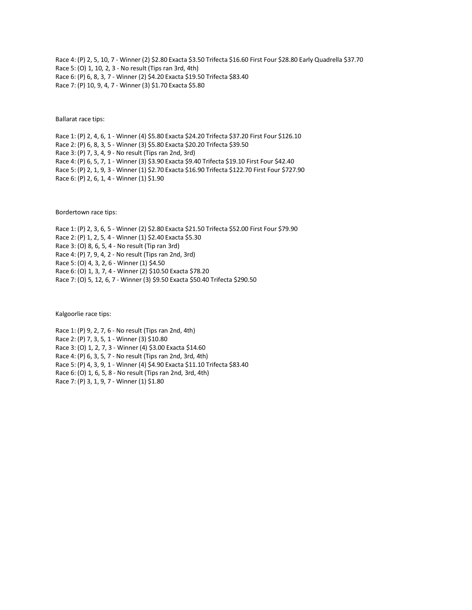Race 4: (P) 2, 5, 10, 7 - Winner (2) \$2.80 Exacta \$3.50 Trifecta \$16.60 First Four \$28.80 Early Quadrella \$37.70 Race 5: (O) 1, 10, 2, 3 - No result (Tips ran 3rd, 4th) Race 6: (P) 6, 8, 3, 7 - Winner (2) \$4.20 Exacta \$19.50 Trifecta \$83.40 Race 7: (P) 10, 9, 4, 7 - Winner (3) \$1.70 Exacta \$5.80

Ballarat race tips:

Race 1: (P) 2, 4, 6, 1 - Winner (4) \$5.80 Exacta \$24.20 Trifecta \$37.20 First Four \$126.10 Race 2: (P) 6, 8, 3, 5 - Winner (3) \$5.80 Exacta \$20.20 Trifecta \$39.50 Race 3: (P) 7, 3, 4, 9 - No result (Tips ran 2nd, 3rd) Race 4: (P) 6, 5, 7, 1 - Winner (3) \$3.90 Exacta \$9.40 Trifecta \$19.10 First Four \$42.40 Race 5: (P) 2, 1, 9, 3 - Winner (1) \$2.70 Exacta \$16.90 Trifecta \$122.70 First Four \$727.90 Race 6: (P) 2, 6, 1, 4 - Winner (1) \$1.90

Bordertown race tips:

Race 1: (P) 2, 3, 6, 5 - Winner (2) \$2.80 Exacta \$21.50 Trifecta \$52.00 First Four \$79.90 Race 2: (P) 1, 2, 5, 4 - Winner (1) \$2.40 Exacta \$5.30 Race 3: (O) 8, 6, 5, 4 - No result (Tip ran 3rd) Race 4: (P) 7, 9, 4, 2 - No result (Tips ran 2nd, 3rd) Race 5: (O) 4, 3, 2, 6 - Winner (1) \$4.50 Race 6: (O) 1, 3, 7, 4 - Winner (2) \$10.50 Exacta \$78.20 Race 7: (O) 5, 12, 6, 7 - Winner (3) \$9.50 Exacta \$50.40 Trifecta \$290.50

Kalgoorlie race tips:

Race 1: (P) 9, 2, 7, 6 - No result (Tips ran 2nd, 4th) Race 2: (P) 7, 3, 5, 1 - Winner (3) \$10.80 Race 3: (O) 1, 2, 7, 3 - Winner (4) \$3.00 Exacta \$14.60 Race 4: (P) 6, 3, 5, 7 - No result (Tips ran 2nd, 3rd, 4th) Race 5: (P) 4, 3, 9, 1 - Winner (4) \$4.90 Exacta \$11.10 Trifecta \$83.40 Race 6: (O) 1, 6, 5, 8 - No result (Tips ran 2nd, 3rd, 4th) Race 7: (P) 3, 1, 9, 7 - Winner (1) \$1.80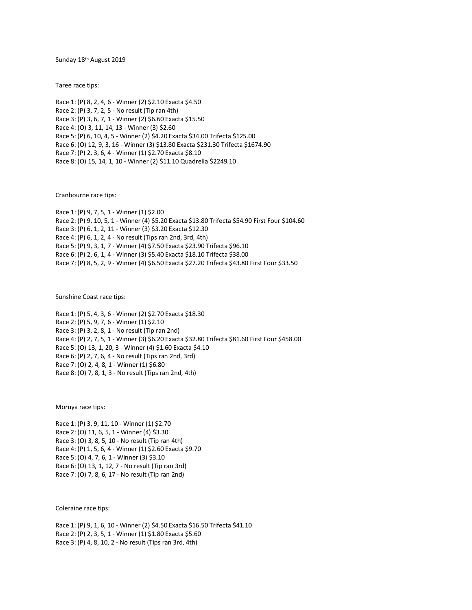Sunday 18th August 2019

Taree race tips:

Race 1: (P) 8, 2, 4, 6 - Winner (2) \$2.10 Exacta \$4.50 Race 2: (P) 3, 7, 2, 5 - No result (Tip ran 4th) Race 3: (P) 3, 6, 7, 1 - Winner (2) \$6.60 Exacta \$15.50 Race 4: (O) 3, 11, 14, 13 - Winner (3) \$2.60 Race 5: (P) 6, 10, 4, 5 - Winner (2) \$4.20 Exacta \$34.00 Trifecta \$125.00 Race 6: (O) 12, 9, 3, 16 - Winner (3) \$13.80 Exacta \$231.30 Trifecta \$1674.90 Race 7: (P) 2, 3, 6, 4 - Winner (1) \$2.70 Exacta \$8.10 Race 8: (O) 15, 14, 1, 10 - Winner (2) \$11.10 Quadrella \$2249.10

Cranbourne race tips:

Race 1: (P) 9, 7, 5, 1 - Winner (1) \$2.00 Race 2: (P) 9, 10, 5, 1 - Winner (4) \$5.20 Exacta \$13.80 Trifecta \$54.90 First Four \$104.60 Race 3: (P) 6, 1, 2, 11 - Winner (3) \$3.20 Exacta \$12.30 Race 4: (P) 6, 1, 2, 4 - No result (Tips ran 2nd, 3rd, 4th) Race 5: (P) 9, 3, 1, 7 - Winner (4) \$7.50 Exacta \$23.90 Trifecta \$96.10 Race 6: (P) 2, 6, 1, 4 - Winner (3) \$5.40 Exacta \$18.10 Trifecta \$38.00 Race 7: (P) 8, 5, 2, 9 - Winner (4) \$6.50 Exacta \$27.20 Trifecta \$43.80 First Four \$33.50

Sunshine Coast race tips:

Race 1: (P) 5, 4, 3, 6 - Winner (2) \$2.70 Exacta \$18.30 Race 2: (P) 5, 9, 7, 6 - Winner (1) \$2.10 Race 3: (P) 3, 2, 8, 1 - No result (Tip ran 2nd) Race 4: (P) 2, 7, 5, 1 - Winner (3) \$6.20 Exacta \$32.80 Trifecta \$81.60 First Four \$458.00 Race 5: (O) 13, 1, 20, 3 - Winner (4) \$1.60 Exacta \$4.10 Race 6: (P) 2, 7, 6, 4 - No result (Tips ran 2nd, 3rd) Race 7: (O) 2, 4, 8, 1 - Winner (1) \$6.80 Race 8: (O) 7, 8, 1, 3 - No result (Tips ran 2nd, 4th)

Moruya race tips:

Race 1: (P) 3, 9, 11, 10 - Winner (1) \$2.70 Race 2: (O) 11, 6, 5, 1 - Winner (4) \$3.30 Race 3: (O) 3, 8, 5, 10 - No result (Tip ran 4th) Race 4: (P) 1, 5, 6, 4 - Winner (1) \$2.60 Exacta \$9.70 Race 5: (O) 4, 7, 6, 1 - Winner (3) \$3.10 Race 6: (O) 13, 1, 12, 7 - No result (Tip ran 3rd) Race 7: (O) 7, 8, 6, 17 - No result (Tip ran 2nd)

Coleraine race tips:

Race 1: (P) 9, 1, 6, 10 - Winner (2) \$4.50 Exacta \$16.50 Trifecta \$41.10 Race 2: (P) 2, 3, 5, 1 - Winner (1) \$1.80 Exacta \$5.60 Race 3: (P) 4, 8, 10, 2 - No result (Tips ran 3rd, 4th)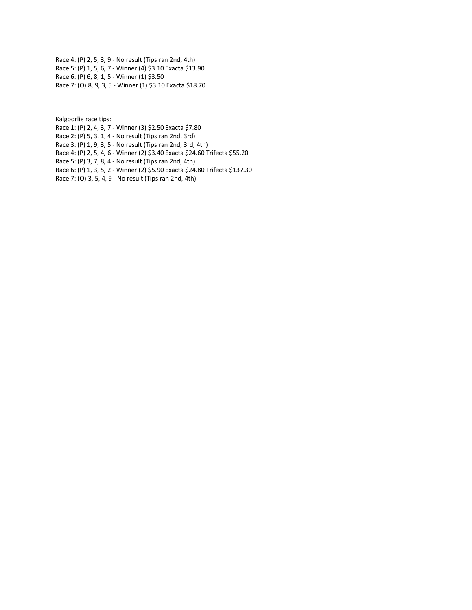Race 4: (P) 2, 5, 3, 9 - No result (Tips ran 2nd, 4th) Race 5: (P) 1, 5, 6, 7 - Winner (4) \$3.10 Exacta \$13.90 Race 6: (P) 6, 8, 1, 5 - Winner (1) \$3.50 Race 7: (O) 8, 9, 3, 5 - Winner (1) \$3.10 Exacta \$18.70

Kalgoorlie race tips:

Race 1: (P) 2, 4, 3, 7 - Winner (3) \$2.50 Exacta \$7.80

Race 2: (P) 5, 3, 1, 4 - No result (Tips ran 2nd, 3rd)

Race 3: (P) 1, 9, 3, 5 - No result (Tips ran 2nd, 3rd, 4th)

Race 4: (P) 2, 5, 4, 6 - Winner (2) \$3.40 Exacta \$24.60 Trifecta \$55.20

Race 5: (P) 3, 7, 8, 4 - No result (Tips ran 2nd, 4th)

Race 6: (P) 1, 3, 5, 2 - Winner (2) \$5.90 Exacta \$24.80 Trifecta \$137.30

Race 7: (O) 3, 5, 4, 9 - No result (Tips ran 2nd, 4th)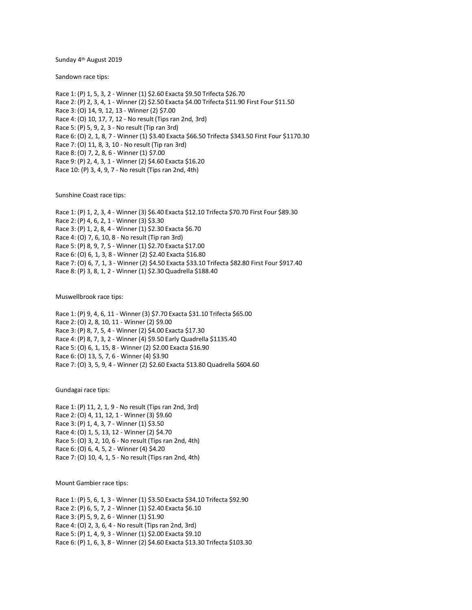Sunday 4 th August 2019

Sandown race tips:

Race 1: (P) 1, 5, 3, 2 - Winner (1) \$2.60 Exacta \$9.50 Trifecta \$26.70 Race 2: (P) 2, 3, 4, 1 - Winner (2) \$2.50 Exacta \$4.00 Trifecta \$11.90 First Four \$11.50 Race 3: (O) 14, 9, 12, 13 - Winner (2) \$7.00 Race 4: (O) 10, 17, 7, 12 - No result (Tips ran 2nd, 3rd) Race 5: (P) 5, 9, 2, 3 - No result (Tip ran 3rd) Race 6: (O) 2, 1, 8, 7 - Winner (1) \$3.40 Exacta \$66.50 Trifecta \$343.50 First Four \$1170.30 Race 7: (O) 11, 8, 3, 10 - No result (Tip ran 3rd) Race 8: (O) 7, 2, 8, 6 - Winner (1) \$7.00 Race 9: (P) 2, 4, 3, 1 - Winner (2) \$4.60 Exacta \$16.20 Race 10: (P) 3, 4, 9, 7 - No result (Tips ran 2nd, 4th)

Sunshine Coast race tips:

Race 1: (P) 1, 2, 3, 4 - Winner (3) \$6.40 Exacta \$12.10 Trifecta \$70.70 First Four \$89.30 Race 2: (P) 4, 6, 2, 1 - Winner (3) \$3.30 Race 3: (P) 1, 2, 8, 4 - Winner (1) \$2.30 Exacta \$6.70 Race 4: (O) 7, 6, 10, 8 - No result (Tip ran 3rd) Race 5: (P) 8, 9, 7, 5 - Winner (1) \$2.70 Exacta \$17.00 Race 6: (O) 6, 1, 3, 8 - Winner (2) \$2.40 Exacta \$16.80 Race 7: (O) 6, 7, 1, 3 - Winner (2) \$4.50 Exacta \$33.10 Trifecta \$82.80 First Four \$917.40 Race 8: (P) 3, 8, 1, 2 - Winner (1) \$2.30 Quadrella \$188.40

Muswellbrook race tips:

Race 1: (P) 9, 4, 6, 11 - Winner (3) \$7.70 Exacta \$31.10 Trifecta \$65.00 Race 2: (O) 2, 8, 10, 11 - Winner (2) \$9.00 Race 3: (P) 8, 7, 5, 4 - Winner (2) \$4.00 Exacta \$17.30 Race 4: (P) 8, 7, 3, 2 - Winner (4) \$9.50 Early Quadrella \$1135.40 Race 5: (O) 6, 1, 15, 8 - Winner (2) \$2.00 Exacta \$16.90 Race 6: (O) 13, 5, 7, 6 - Winner (4) \$3.90 Race 7: (O) 3, 5, 9, 4 - Winner (2) \$2.60 Exacta \$13.80 Quadrella \$604.60

Gundagai race tips:

Race 1: (P) 11, 2, 1, 9 - No result (Tips ran 2nd, 3rd) Race 2: (O) 4, 11, 12, 1 - Winner (3) \$9.60 Race 3: (P) 1, 4, 3, 7 - Winner (1) \$3.50 Race 4: (O) 1, 5, 13, 12 - Winner (2) \$4.70 Race 5: (O) 3, 2, 10, 6 - No result (Tips ran 2nd, 4th) Race 6: (O) 6, 4, 5, 2 - Winner (4) \$4.20 Race 7: (O) 10, 4, 1, 5 - No result (Tips ran 2nd, 4th)

Mount Gambier race tips:

Race 1: (P) 5, 6, 1, 3 - Winner (1) \$3.50 Exacta \$34.10 Trifecta \$92.90 Race 2: (P) 6, 5, 7, 2 - Winner (1) \$2.40 Exacta \$6.10 Race 3: (P) 5, 9, 2, 6 - Winner (1) \$1.90 Race 4: (O) 2, 3, 6, 4 - No result (Tips ran 2nd, 3rd) Race 5: (P) 1, 4, 9, 3 - Winner (1) \$2.00 Exacta \$9.10 Race 6: (P) 1, 6, 3, 8 - Winner (2) \$4.60 Exacta \$13.30 Trifecta \$103.30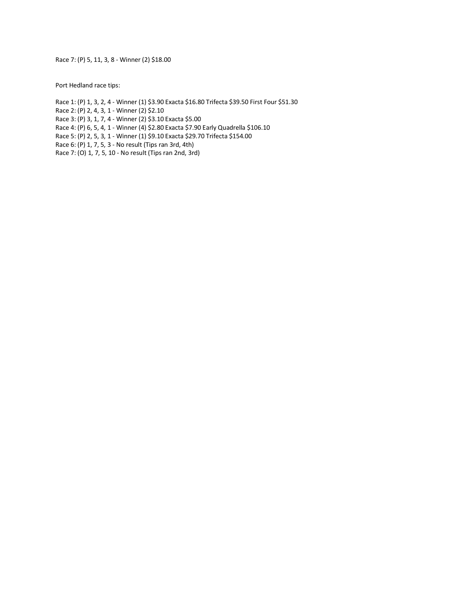Race 7: (P) 5, 11, 3, 8 - Winner (2) \$18.00

Port Hedland race tips:

Race 1: (P) 1, 3, 2, 4 - Winner (1) \$3.90 Exacta \$16.80 Trifecta \$39.50 First Four \$51.30 Race 2: (P) 2, 4, 3, 1 - Winner (2) \$2.10 Race 3: (P) 3, 1, 7, 4 - Winner (2) \$3.10 Exacta \$5.00 Race 4: (P) 6, 5, 4, 1 - Winner (4) \$2.80 Exacta \$7.90 Early Quadrella \$106.10 Race 5: (P) 2, 5, 3, 1 - Winner (1) \$9.10 Exacta \$29.70 Trifecta \$154.00 Race 6: (P) 1, 7, 5, 3 - No result (Tips ran 3rd, 4th) Race 7: (O) 1, 7, 5, 10 - No result (Tips ran 2nd, 3rd)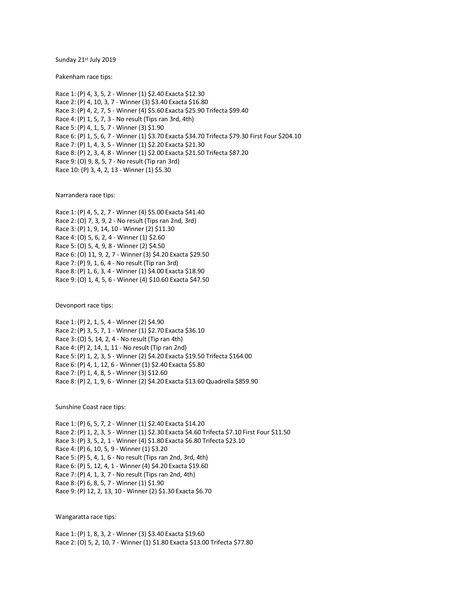Sunday 21st July 2019

Pakenham race tips:

Race 1: (P) 4, 3, 5, 2 - Winner (1) \$2.40 Exacta \$12.30 Race 2: (P) 4, 10, 3, 7 - Winner (3) \$3.40 Exacta \$16.80 Race 3: (P) 4, 2, 7, 5 - Winner (4) \$5.60 Exacta \$25.90 Trifecta \$99.40 Race 4: (P) 1, 5, 7, 3 - No result (Tips ran 3rd, 4th) Race 5: (P) 4, 1, 5, 7 - Winner (3) \$1.90 Race 6: (P) 1, 5, 6, 7 - Winner (1) \$3.70 Exacta \$34.70 Trifecta \$79.30 First Four \$204.10 Race 7: (P) 1, 4, 3, 5 - Winner (1) \$2.20 Exacta \$21.30 Race 8: (P) 2, 3, 4, 8 - Winner (1) \$2.00 Exacta \$21.50 Trifecta \$87.20 Race 9: (O) 9, 8, 5, 7 - No result (Tip ran 3rd) Race 10: (P) 3, 4, 2, 13 - Winner (1) \$5.30

Narrandera race tips:

Race 1: (P) 4, 5, 2, 7 - Winner (4) \$5.00 Exacta \$41.40 Race 2: (O) 7, 3, 9, 2 - No result (Tips ran 2nd, 3rd) Race 3: (P) 1, 9, 14, 10 - Winner (2) \$11.30 Race 4: (O) 5, 6, 2, 4 - Winner (1) \$2.60 Race 5: (O) 5, 4, 9, 8 - Winner (2) \$4.50 Race 6: (O) 11, 9, 2, 7 - Winner (3) \$4.20 Exacta \$29.50 Race 7: (P) 9, 1, 6, 4 - No result (Tip ran 3rd) Race 8: (P) 1, 6, 3, 4 - Winner (1) \$4.00 Exacta \$18.90 Race 9: (O) 1, 4, 5, 6 - Winner (4) \$10.60 Exacta \$47.50

Devonport race tips:

Race 1: (P) 2, 1, 5, 4 - Winner (2) \$4.90 Race 2: (P) 3, 5, 7, 1 - Winner (1) \$2.70 Exacta \$36.10 Race 3: (O) 5, 14, 2, 4 - No result (Tip ran 4th) Race 4: (P) 2, 14, 1, 11 - No result (Tip ran 2nd) Race 5: (P) 1, 2, 3, 5 - Winner (2) \$4.20 Exacta \$19.50 Trifecta \$164.00 Race 6: (P) 4, 1, 12, 6 - Winner (1) \$2.40 Exacta \$5.80 Race 7: (P) 1, 4, 8, 5 - Winner (3) \$12.60 Race 8: (P) 2, 1, 9, 6 - Winner (2) \$4.20 Exacta \$13.60 Quadrella \$859.90

Sunshine Coast race tips:

Race 1: (P) 6, 5, 7, 2 - Winner (1) \$2.40 Exacta \$14.20 Race 2: (P) 1, 2, 3, 5 - Winner (1) \$2.30 Exacta \$4.60 Trifecta \$7.10 First Four \$11.50 Race 3: (P) 3, 5, 2, 1 - Winner (4) \$1.80 Exacta \$6.80 Trifecta \$23.10 Race 4: (P) 6, 10, 5, 9 - Winner (1) \$3.20 Race 5: (P) 5, 4, 1, 6 - No result (Tips ran 2nd, 3rd, 4th) Race 6: (P) 5, 12, 4, 1 - Winner (4) \$4.20 Exacta \$19.60 Race 7: (P) 4, 1, 3, 7 - No result (Tips ran 2nd, 4th) Race 8: (P) 6, 8, 5, 7 - Winner (1) \$1.90 Race 9: (P) 12, 2, 13, 10 - Winner (2) \$1.30 Exacta \$6.70

Wangaratta race tips:

Race 1: (P) 1, 8, 3, 2 - Winner (3) \$3.40 Exacta \$19.60 Race 2: (O) 5, 2, 10, 7 - Winner (1) \$1.80 Exacta \$13.00 Trifecta \$77.80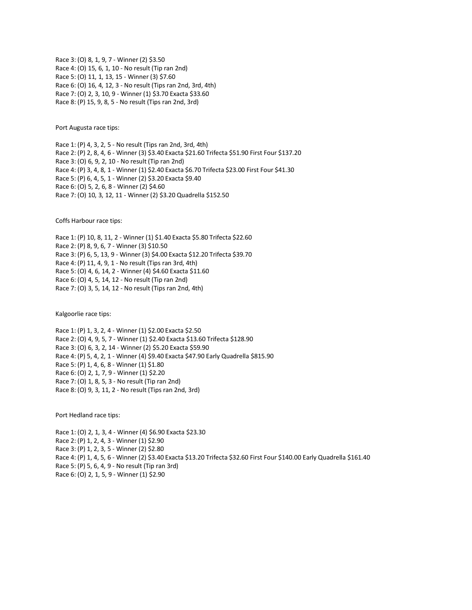Race 3: (O) 8, 1, 9, 7 - Winner (2) \$3.50 Race 4: (O) 15, 6, 1, 10 - No result (Tip ran 2nd) Race 5: (O) 11, 1, 13, 15 - Winner (3) \$7.60 Race 6: (O) 16, 4, 12, 3 - No result (Tips ran 2nd, 3rd, 4th) Race 7: (O) 2, 3, 10, 9 - Winner (1) \$3.70 Exacta \$33.60 Race 8: (P) 15, 9, 8, 5 - No result (Tips ran 2nd, 3rd)

Port Augusta race tips:

Race 1: (P) 4, 3, 2, 5 - No result (Tips ran 2nd, 3rd, 4th) Race 2: (P) 2, 8, 4, 6 - Winner (3) \$3.40 Exacta \$21.60 Trifecta \$51.90 First Four \$137.20 Race 3: (O) 6, 9, 2, 10 - No result (Tip ran 2nd) Race 4: (P) 3, 4, 8, 1 - Winner (1) \$2.40 Exacta \$6.70 Trifecta \$23.00 First Four \$41.30 Race 5: (P) 6, 4, 5, 1 - Winner (2) \$3.20 Exacta \$9.40 Race 6: (O) 5, 2, 6, 8 - Winner (2) \$4.60 Race 7: (O) 10, 3, 12, 11 - Winner (2) \$3.20 Quadrella \$152.50

Coffs Harbour race tips:

Race 1: (P) 10, 8, 11, 2 - Winner (1) \$1.40 Exacta \$5.80 Trifecta \$22.60 Race 2: (P) 8, 9, 6, 7 - Winner (3) \$10.50 Race 3: (P) 6, 5, 13, 9 - Winner (3) \$4.00 Exacta \$12.20 Trifecta \$39.70 Race 4: (P) 11, 4, 9, 1 - No result (Tips ran 3rd, 4th) Race 5: (O) 4, 6, 14, 2 - Winner (4) \$4.60 Exacta \$11.60 Race 6: (O) 4, 5, 14, 12 - No result (Tip ran 2nd) Race 7: (O) 3, 5, 14, 12 - No result (Tips ran 2nd, 4th)

Kalgoorlie race tips:

Race 1: (P) 1, 3, 2, 4 - Winner (1) \$2.00 Exacta \$2.50 Race 2: (O) 4, 9, 5, 7 - Winner (1) \$2.40 Exacta \$13.60 Trifecta \$128.90 Race 3: (O) 6, 3, 2, 14 - Winner (2) \$5.20 Exacta \$59.90 Race 4: (P) 5, 4, 2, 1 - Winner (4) \$9.40 Exacta \$47.90 Early Quadrella \$815.90 Race 5: (P) 1, 4, 6, 8 - Winner (1) \$1.80 Race 6: (O) 2, 1, 7, 9 - Winner (1) \$2.20 Race 7: (O) 1, 8, 5, 3 - No result (Tip ran 2nd) Race 8: (O) 9, 3, 11, 2 - No result (Tips ran 2nd, 3rd)

Port Hedland race tips:

Race 1: (O) 2, 1, 3, 4 - Winner (4) \$6.90 Exacta \$23.30 Race 2: (P) 1, 2, 4, 3 - Winner (1) \$2.90 Race 3: (P) 1, 2, 3, 5 - Winner (2) \$2.80 Race 4: (P) 1, 4, 5, 6 - Winner (2) \$3.40 Exacta \$13.20 Trifecta \$32.60 First Four \$140.00 Early Quadrella \$161.40 Race 5: (P) 5, 6, 4, 9 - No result (Tip ran 3rd) Race 6: (O) 2, 1, 5, 9 - Winner (1) \$2.90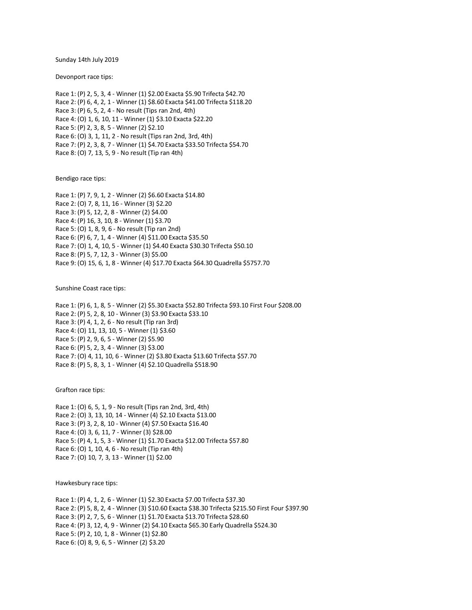Sunday 14th July 2019

Devonport race tips:

Race 1: (P) 2, 5, 3, 4 - Winner (1) \$2.00 Exacta \$5.90 Trifecta \$42.70 Race 2: (P) 6, 4, 2, 1 - Winner (1) \$8.60 Exacta \$41.00 Trifecta \$118.20 Race 3: (P) 6, 5, 2, 4 - No result (Tips ran 2nd, 4th) Race 4: (O) 1, 6, 10, 11 - Winner (1) \$3.10 Exacta \$22.20 Race 5: (P) 2, 3, 8, 5 - Winner (2) \$2.10 Race 6: (O) 3, 1, 11, 2 - No result (Tips ran 2nd, 3rd, 4th) Race 7: (P) 2, 3, 8, 7 - Winner (1) \$4.70 Exacta \$33.50 Trifecta \$54.70 Race 8: (O) 7, 13, 5, 9 - No result (Tip ran 4th)

Bendigo race tips:

Race 1: (P) 7, 9, 1, 2 - Winner (2) \$6.60 Exacta \$14.80 Race 2: (O) 7, 8, 11, 16 - Winner (3) \$2.20 Race 3: (P) 5, 12, 2, 8 - Winner (2) \$4.00 Race 4: (P) 16, 3, 10, 8 - Winner (1) \$3.70 Race 5: (O) 1, 8, 9, 6 - No result (Tip ran 2nd) Race 6: (P) 6, 7, 1, 4 - Winner (4) \$11.00 Exacta \$35.50 Race 7: (O) 1, 4, 10, 5 - Winner (1) \$4.40 Exacta \$30.30 Trifecta \$50.10 Race 8: (P) 5, 7, 12, 3 - Winner (3) \$5.00 Race 9: (O) 15, 6, 1, 8 - Winner (4) \$17.70 Exacta \$64.30 Quadrella \$5757.70

Sunshine Coast race tips:

Race 1: (P) 6, 1, 8, 5 - Winner (2) \$5.30 Exacta \$52.80 Trifecta \$93.10 First Four \$208.00 Race 2: (P) 5, 2, 8, 10 - Winner (3) \$3.90 Exacta \$33.10 Race 3: (P) 4, 1, 2, 6 - No result (Tip ran 3rd) Race 4: (O) 11, 13, 10, 5 - Winner (1) \$3.60 Race 5: (P) 2, 9, 6, 5 - Winner (2) \$5.90 Race 6: (P) 5, 2, 3, 4 - Winner (3) \$3.00 Race 7: (O) 4, 11, 10, 6 - Winner (2) \$3.80 Exacta \$13.60 Trifecta \$57.70 Race 8: (P) 5, 8, 3, 1 - Winner (4) \$2.10 Quadrella \$518.90

Grafton race tips:

Race 1: (O) 6, 5, 1, 9 - No result (Tips ran 2nd, 3rd, 4th) Race 2: (O) 3, 13, 10, 14 - Winner (4) \$2.10 Exacta \$13.00 Race 3: (P) 3, 2, 8, 10 - Winner (4) \$7.50 Exacta \$16.40 Race 4: (O) 3, 6, 11, 7 - Winner (3) \$28.00 Race 5: (P) 4, 1, 5, 3 - Winner (1) \$1.70 Exacta \$12.00 Trifecta \$57.80 Race 6: (O) 1, 10, 4, 6 - No result (Tip ran 4th) Race 7: (O) 10, 7, 3, 13 - Winner (1) \$2.00

Hawkesbury race tips:

Race 1: (P) 4, 1, 2, 6 - Winner (1) \$2.30 Exacta \$7.00 Trifecta \$37.30 Race 2: (P) 5, 8, 2, 4 - Winner (3) \$10.60 Exacta \$38.30 Trifecta \$215.50 First Four \$397.90 Race 3: (P) 2, 7, 5, 6 - Winner (1) \$1.70 Exacta \$13.70 Trifecta \$28.60 Race 4: (P) 3, 12, 4, 9 - Winner (2) \$4.10 Exacta \$65.30 Early Quadrella \$524.30 Race 5: (P) 2, 10, 1, 8 - Winner (1) \$2.80 Race 6: (O) 8, 9, 6, 5 - Winner (2) \$3.20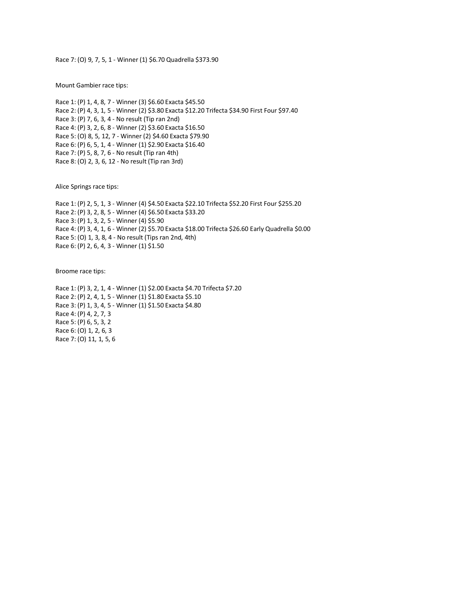Race 7: (O) 9, 7, 5, 1 - Winner (1) \$6.70 Quadrella \$373.90

Mount Gambier race tips:

Race 1: (P) 1, 4, 8, 7 - Winner (3) \$6.60 Exacta \$45.50 Race 2: (P) 4, 3, 1, 5 - Winner (2) \$3.80 Exacta \$12.20 Trifecta \$34.90 First Four \$97.40 Race 3: (P) 7, 6, 3, 4 - No result (Tip ran 2nd) Race 4: (P) 3, 2, 6, 8 - Winner (2) \$3.60 Exacta \$16.50 Race 5: (O) 8, 5, 12, 7 - Winner (2) \$4.60 Exacta \$79.90 Race 6: (P) 6, 5, 1, 4 - Winner (1) \$2.90 Exacta \$16.40 Race 7: (P) 5, 8, 7, 6 - No result (Tip ran 4th) Race 8: (O) 2, 3, 6, 12 - No result (Tip ran 3rd)

Alice Springs race tips:

Race 1: (P) 2, 5, 1, 3 - Winner (4) \$4.50 Exacta \$22.10 Trifecta \$52.20 First Four \$255.20 Race 2: (P) 3, 2, 8, 5 - Winner (4) \$6.50 Exacta \$33.20 Race 3: (P) 1, 3, 2, 5 - Winner (4) \$5.90 Race 4: (P) 3, 4, 1, 6 - Winner (2) \$5.70 Exacta \$18.00 Trifecta \$26.60 Early Quadrella \$0.00 Race 5: (O) 1, 3, 8, 4 - No result (Tips ran 2nd, 4th) Race 6: (P) 2, 6, 4, 3 - Winner (1) \$1.50

Broome race tips:

Race 1: (P) 3, 2, 1, 4 - Winner (1) \$2.00 Exacta \$4.70 Trifecta \$7.20 Race 2: (P) 2, 4, 1, 5 - Winner (1) \$1.80 Exacta \$5.10 Race 3: (P) 1, 3, 4, 5 - Winner (1) \$1.50 Exacta \$4.80 Race 4: (P) 4, 2, 7, 3 Race 5: (P) 6, 5, 3, 2 Race 6: (O) 1, 2, 6, 3 Race 7: (O) 11, 1, 5, 6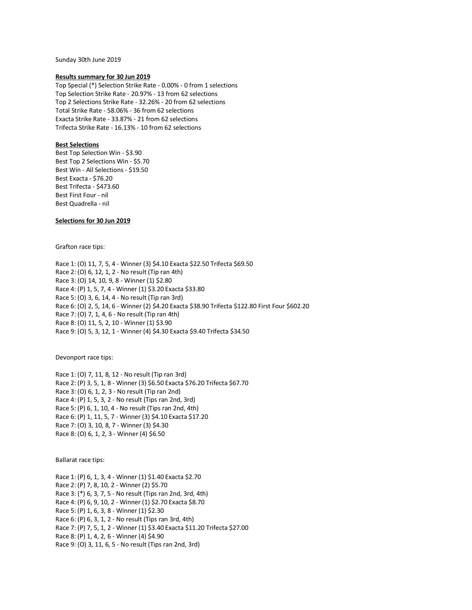Sunday 30th June 2019

### **Results summary for 30 Jun 2019**

Top Special (\*) Selection Strike Rate - 0.00% - 0 from 1 selections Top Selection Strike Rate - 20.97% - 13 from 62 selections Top 2 Selections Strike Rate - 32.26% - 20 from 62 selections Total Strike Rate - 58.06% - 36 from 62 selections Exacta Strike Rate - 33.87% - 21 from 62 selections Trifecta Strike Rate - 16.13% - 10 from 62 selections

# **Best Selections**

Best Top Selection Win - \$3.90 Best Top 2 Selections Win - \$5.70 Best Win - All Selections - \$19.50 Best Exacta - \$76.20 Best Trifecta - \$473.60 Best First Four - nil Best Quadrella - nil

# **Selections for 30 Jun 2019**

Grafton race tips:

Race 1: (0) 11, 7, 5, 4 - Winner (3) \$4.10 Exacta \$22.50 Trifecta \$69.50 Race 2: (O) 6, 12, 1, 2 - No result (Tip ran 4th) Race 3: (O) 14, 10, 9, 8 - Winner (1) \$2.80 Race 4: (P) 1, 5, 7, 4 - Winner (1) \$3.20 Exacta \$33.80 Race 5: (O) 3, 6, 14, 4 - No result (Tip ran 3rd) Race 6: (O) 2, 5, 14, 6 - Winner (2) \$4.20 Exacta \$38.90 Trifecta \$122.80 First Four \$602.20 Race 7: (O) 7, 1, 4, 6 - No result (Tip ran 4th) Race 8: (O) 11, 5, 2, 10 - Winner (1) \$3.90 Race 9: (O) 5, 3, 12, 1 - Winner (4) \$4.30 Exacta \$9.40 Trifecta \$34.50

Devonport race tips:

Race 1: (O) 7, 11, 8, 12 - No result (Tip ran 3rd) Race 2: (P) 3, 5, 1, 8 - Winner (3) \$6.50 Exacta \$76.20 Trifecta \$67.70 Race 3: (O) 6, 1, 2, 3 - No result (Tip ran 2nd) Race 4: (P) 1, 5, 3, 2 - No result (Tips ran 2nd, 3rd) Race 5: (P) 6, 1, 10, 4 - No result (Tips ran 2nd, 4th) Race 6: (P) 1, 11, 5, 7 - Winner (3) \$4.10 Exacta \$17.20 Race 7: (O) 3, 10, 8, 7 - Winner (3) \$4.30 Race 8: (O) 6, 1, 2, 3 - Winner (4) \$6.50

Ballarat race tips:

Race 1: (P) 6, 1, 3, 4 - Winner (1) \$1.40 Exacta \$2.70 Race 2: (P) 7, 8, 10, 2 - Winner (2) \$5.70 Race 3: (\*) 6, 3, 7, 5 - No result (Tips ran 2nd, 3rd, 4th) Race 4: (P) 6, 9, 10, 2 - Winner (1) \$2.70 Exacta \$8.70 Race 5: (P) 1, 6, 3, 8 - Winner (1) \$2.30 Race 6: (P) 6, 3, 1, 2 - No result (Tips ran 3rd, 4th) Race 7: (P) 7, 5, 1, 2 - Winner (1) \$3.40 Exacta \$11.20 Trifecta \$27.00 Race 8: (P) 1, 4, 2, 6 - Winner (4) \$4.90 Race 9: (O) 3, 11, 6, 5 - No result (Tips ran 2nd, 3rd)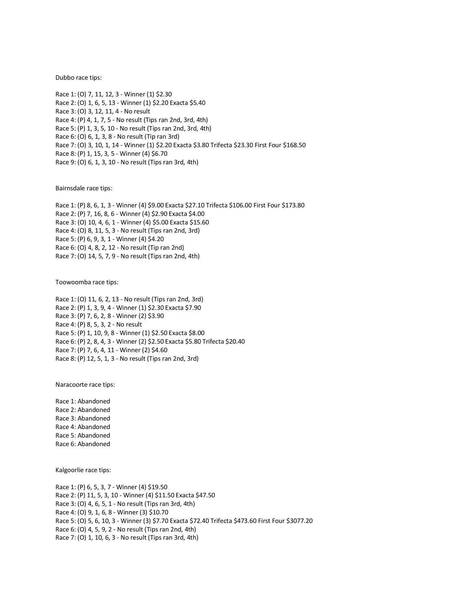#### Dubbo race tips:

Race 1: (O) 7, 11, 12, 3 - Winner (1) \$2.30 Race 2: (O) 1, 6, 5, 13 - Winner (1) \$2.20 Exacta \$5.40 Race 3: (O) 3, 12, 11, 4 - No result Race 4: (P) 4, 1, 7, 5 - No result (Tips ran 2nd, 3rd, 4th) Race 5: (P) 1, 3, 5, 10 - No result (Tips ran 2nd, 3rd, 4th) Race 6: (O) 6, 1, 3, 8 - No result (Tip ran 3rd) Race 7: (O) 3, 10, 1, 14 - Winner (1) \$2.20 Exacta \$3.80 Trifecta \$23.30 First Four \$168.50 Race 8: (P) 1, 15, 3, 5 - Winner (4) \$6.70 Race 9: (O) 6, 1, 3, 10 - No result (Tips ran 3rd, 4th)

Bairnsdale race tips:

Race 1: (P) 8, 6, 1, 3 - Winner (4) \$9.00 Exacta \$27.10 Trifecta \$106.00 First Four \$173.80 Race 2: (P) 7, 16, 8, 6 - Winner (4) \$2.90 Exacta \$4.00 Race 3: (O) 10, 4, 6, 1 - Winner (4) \$5.00 Exacta \$15.60 Race 4: (O) 8, 11, 5, 3 - No result (Tips ran 2nd, 3rd) Race 5: (P) 6, 9, 3, 1 - Winner (4) \$4.20 Race 6: (O) 4, 8, 2, 12 - No result (Tip ran 2nd) Race 7: (O) 14, 5, 7, 9 - No result (Tips ran 2nd, 4th)

Toowoomba race tips:

Race 1: (O) 11, 6, 2, 13 - No result (Tips ran 2nd, 3rd) Race 2: (P) 1, 3, 9, 4 - Winner (1) \$2.30 Exacta \$7.90 Race 3: (P) 7, 6, 2, 8 - Winner (2) \$3.90 Race 4: (P) 8, 5, 3, 2 - No result Race 5: (P) 1, 10, 9, 8 - Winner (1) \$2.50 Exacta \$8.00 Race 6: (P) 2, 8, 4, 3 - Winner (2) \$2.50 Exacta \$5.80 Trifecta \$20.40 Race 7: (P) 7, 6, 4, 11 - Winner (2) \$4.60 Race 8: (P) 12, 5, 1, 3 - No result (Tips ran 2nd, 3rd)

Naracoorte race tips:

Race 1: Abandoned Race 2: Abandoned Race 3: Abandoned Race 4: Abandoned Race 5: Abandoned Race 6: Abandoned

Kalgoorlie race tips:

Race 1: (P) 6, 5, 3, 7 - Winner (4) \$19.50 Race 2: (P) 11, 5, 3, 10 - Winner (4) \$11.50 Exacta \$47.50 Race 3: (O) 4, 6, 5, 1 - No result (Tips ran 3rd, 4th) Race 4: (O) 9, 1, 6, 8 - Winner (3) \$10.70 Race 5: (O) 5, 6, 10, 3 - Winner (3) \$7.70 Exacta \$72.40 Trifecta \$473.60 First Four \$3077.20 Race 6: (O) 4, 5, 9, 2 - No result (Tips ran 2nd, 4th) Race 7: (O) 1, 10, 6, 3 - No result (Tips ran 3rd, 4th)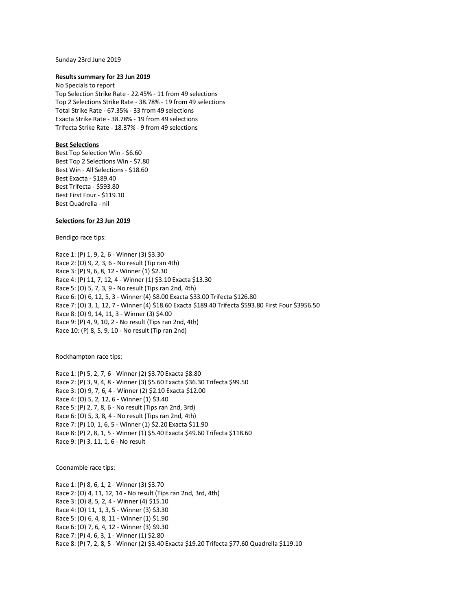#### Sunday 23rd June 2019

#### **Results summary for 23 Jun 2019**

No Specials to report Top Selection Strike Rate - 22.45% - 11 from 49 selections Top 2 Selections Strike Rate - 38.78% - 19 from 49 selections Total Strike Rate - 67.35% - 33 from 49 selections Exacta Strike Rate - 38.78% - 19 from 49 selections Trifecta Strike Rate - 18.37% - 9 from 49 selections

## **Best Selections**

Best Top Selection Win - \$6.60 Best Top 2 Selections Win - \$7.80 Best Win - All Selections - \$18.60 Best Exacta - \$189.40 Best Trifecta - \$593.80 Best First Four - \$119.10 Best Quadrella - nil

## **Selections for 23 Jun 2019**

Bendigo race tips:

Race 1: (P) 1, 9, 2, 6 - Winner (3) \$3.30 Race 2: (O) 9, 2, 3, 6 - No result (Tip ran 4th) Race 3: (P) 9, 6, 8, 12 - Winner (1) \$2.30 Race 4: (P) 11, 7, 12, 4 - Winner (1) \$3.10 Exacta \$13.30 Race 5: (O) 5, 7, 3, 9 - No result (Tips ran 2nd, 4th) Race 6: (O) 6, 12, 5, 3 - Winner (4) \$8.00 Exacta \$33.00 Trifecta \$126.80 Race 7: (O) 3, 1, 12, 7 - Winner (4) \$18.60 Exacta \$189.40 Trifecta \$593.80 First Four \$3956.50 Race 8: (O) 9, 14, 11, 3 - Winner (3) \$4.00 Race 9: (P) 4, 9, 10, 2 - No result (Tips ran 2nd, 4th) Race 10: (P) 8, 5, 9, 10 - No result (Tip ran 2nd)

Rockhampton race tips:

Race 1: (P) 5, 2, 7, 6 - Winner (2) \$3.70 Exacta \$8.80 Race 2: (P) 3, 9, 4, 8 - Winner (3) \$5.60 Exacta \$36.30 Trifecta \$99.50 Race 3: (O) 9, 7, 6, 4 - Winner (2) \$2.10 Exacta \$12.00 Race 4: (O) 5, 2, 12, 6 - Winner (1) \$3.40 Race 5: (P) 2, 7, 8, 6 - No result (Tips ran 2nd, 3rd) Race 6: (O) 5, 3, 8, 4 - No result (Tips ran 2nd, 4th) Race 7: (P) 10, 1, 6, 5 - Winner (1) \$2.20 Exacta \$11.90 Race 8: (P) 2, 8, 1, 5 - Winner (1) \$5.40 Exacta \$49.60 Trifecta \$118.60 Race 9: (P) 3, 11, 1, 6 - No result

Coonamble race tips:

Race 1: (P) 8, 6, 1, 2 - Winner (3) \$3.70 Race 2: (O) 4, 11, 12, 14 - No result (Tips ran 2nd, 3rd, 4th) Race 3: (O) 8, 5, 2, 4 - Winner (4) \$15.10 Race 4: (O) 11, 1, 3, 5 - Winner (3) \$3.30 Race 5: (O) 6, 4, 8, 11 - Winner (1) \$1.90 Race 6: (O) 7, 6, 4, 12 - Winner (3) \$9.30 Race 7: (P) 4, 6, 3, 1 - Winner (1) \$2.80 Race 8: (P) 7, 2, 8, 5 - Winner (2) \$3.40 Exacta \$19.20 Trifecta \$77.60 Quadrella \$119.10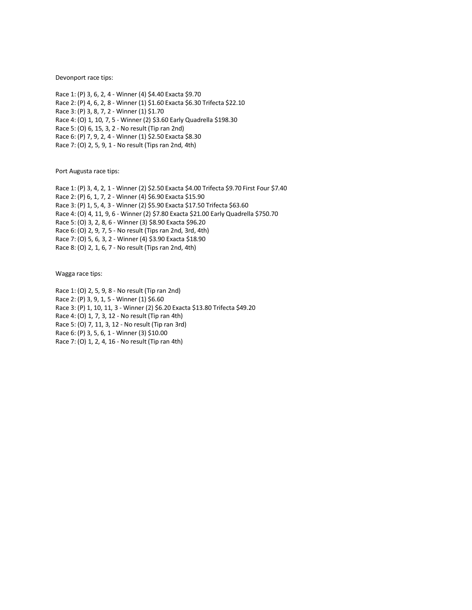Devonport race tips:

Race 1: (P) 3, 6, 2, 4 - Winner (4) \$4.40 Exacta \$9.70 Race 2: (P) 4, 6, 2, 8 - Winner (1) \$1.60 Exacta \$6.30 Trifecta \$22.10 Race 3: (P) 3, 8, 7, 2 - Winner (1) \$1.70 Race 4: (O) 1, 10, 7, 5 - Winner (2) \$3.60 Early Quadrella \$198.30 Race 5: (O) 6, 15, 3, 2 - No result (Tip ran 2nd) Race 6: (P) 7, 9, 2, 4 - Winner (1) \$2.50 Exacta \$8.30 Race 7: (O) 2, 5, 9, 1 - No result (Tips ran 2nd, 4th)

Port Augusta race tips:

Race 1: (P) 3, 4, 2, 1 - Winner (2) \$2.50 Exacta \$4.00 Trifecta \$9.70 First Four \$7.40 Race 2: (P) 6, 1, 7, 2 - Winner (4) \$6.90 Exacta \$15.90 Race 3: (P) 1, 5, 4, 3 - Winner (2) \$5.90 Exacta \$17.50 Trifecta \$63.60 Race 4: (O) 4, 11, 9, 6 - Winner (2) \$7.80 Exacta \$21.00 Early Quadrella \$750.70 Race 5: (O) 3, 2, 8, 6 - Winner (3) \$8.90 Exacta \$96.20 Race 6: (O) 2, 9, 7, 5 - No result (Tips ran 2nd, 3rd, 4th) Race 7: (O) 5, 6, 3, 2 - Winner (4) \$3.90 Exacta \$18.90 Race 8: (O) 2, 1, 6, 7 - No result (Tips ran 2nd, 4th)

Wagga race tips:

Race 1: (O) 2, 5, 9, 8 - No result (Tip ran 2nd) Race 2: (P) 3, 9, 1, 5 - Winner (1) \$6.60 Race 3: (P) 1, 10, 11, 3 - Winner (2) \$6.20 Exacta \$13.80 Trifecta \$49.20 Race 4: (O) 1, 7, 3, 12 - No result (Tip ran 4th) Race 5: (O) 7, 11, 3, 12 - No result (Tip ran 3rd) Race 6: (P) 3, 5, 6, 1 - Winner (3) \$10.00 Race 7: (O) 1, 2, 4, 16 - No result (Tip ran 4th)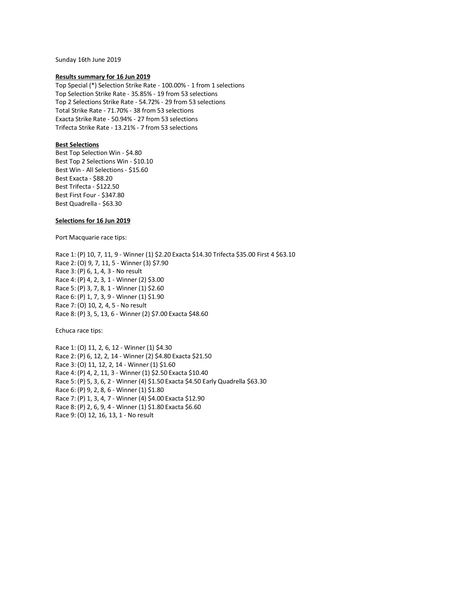Sunday 16th June 2019

#### **Results summary for 16 Jun 2019**

Top Special (\*) Selection Strike Rate - 100.00% - 1 from 1 selections Top Selection Strike Rate - 35.85% - 19 from 53 selections Top 2 Selections Strike Rate - 54.72% - 29 from 53 selections Total Strike Rate - 71.70% - 38 from 53 selections Exacta Strike Rate - 50.94% - 27 from 53 selections Trifecta Strike Rate - 13.21% - 7 from 53 selections

# **Best Selections**

Best Top Selection Win - \$4.80 Best Top 2 Selections Win - \$10.10 Best Win - All Selections - \$15.60 Best Exacta - \$88.20 Best Trifecta - \$122.50 Best First Four - \$347.80 Best Quadrella - \$63.30

### **Selections for 16 Jun 2019**

Port Macquarie race tips:

Race 1: (P) 10, 7, 11, 9 - Winner (1) \$2.20 Exacta \$14.30 Trifecta \$35.00 First 4 \$63.10 Race 2: (O) 9, 7, 11, 5 - Winner (3) \$7.90 Race 3: (P) 6, 1, 4, 3 - No result Race 4: (P) 4, 2, 3, 1 - Winner (2) \$3.00 Race 5: (P) 3, 7, 8, 1 - Winner (1) \$2.60 Race 6: (P) 1, 7, 3, 9 - Winner (1) \$1.90 Race 7: (O) 10, 2, 4, 5 - No result Race 8: (P) 3, 5, 13, 6 - Winner (2) \$7.00 Exacta \$48.60

Echuca race tips:

Race 1: (O) 11, 2, 6, 12 - Winner (1) \$4.30 Race 2: (P) 6, 12, 2, 14 - Winner (2) \$4.80 Exacta \$21.50 Race 3: (O) 11, 12, 2, 14 - Winner (1) \$1.60 Race 4: (P) 4, 2, 11, 3 - Winner (1) \$2.50 Exacta \$10.40 Race 5: (P) 5, 3, 6, 2 - Winner (4) \$1.50 Exacta \$4.50 Early Quadrella \$63.30 Race 6: (P) 9, 2, 8, 6 - Winner (1) \$1.80 Race 7: (P) 1, 3, 4, 7 - Winner (4) \$4.00 Exacta \$12.90 Race 8: (P) 2, 6, 9, 4 - Winner (1) \$1.80 Exacta \$6.60 Race 9: (O) 12, 16, 13, 1 - No result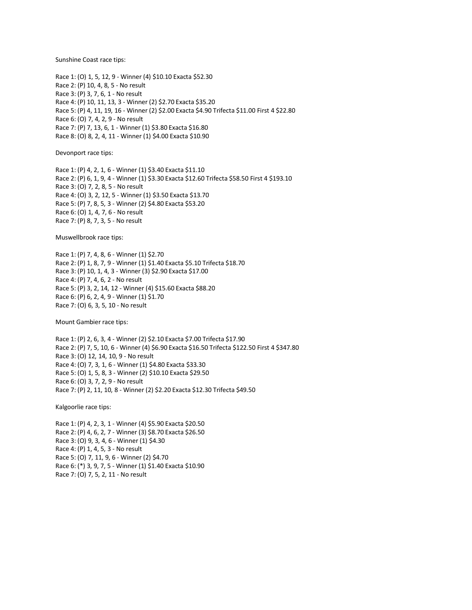Sunshine Coast race tips:

Race 1: (O) 1, 5, 12, 9 - Winner (4) \$10.10 Exacta \$52.30 Race 2: (P) 10, 4, 8, 5 - No result Race 3: (P) 3, 7, 6, 1 - No result Race 4: (P) 10, 11, 13, 3 - Winner (2) \$2.70 Exacta \$35.20 Race 5: (P) 4, 11, 19, 16 - Winner (2) \$2.00 Exacta \$4.90 Trifecta \$11.00 First 4 \$22.80 Race 6: (O) 7, 4, 2, 9 - No result Race 7: (P) 7, 13, 6, 1 - Winner (1) \$3.80 Exacta \$16.80 Race 8: (O) 8, 2, 4, 11 - Winner (1) \$4.00 Exacta \$10.90

Devonport race tips:

Race 1: (P) 4, 2, 1, 6 - Winner (1) \$3.40 Exacta \$11.10 Race 2: (P) 6, 1, 9, 4 - Winner (1) \$3.30 Exacta \$12.60 Trifecta \$58.50 First 4 \$193.10 Race 3: (O) 7, 2, 8, 5 - No result Race 4: (O) 3, 2, 12, 5 - Winner (1) \$3.50 Exacta \$13.70 Race 5: (P) 7, 8, 5, 3 - Winner (2) \$4.80 Exacta \$53.20 Race 6: (O) 1, 4, 7, 6 - No result Race 7: (P) 8, 7, 3, 5 - No result

Muswellbrook race tips:

Race 1: (P) 7, 4, 8, 6 - Winner (1) \$2.70 Race 2: (P) 1, 8, 7, 9 - Winner (1) \$1.40 Exacta \$5.10 Trifecta \$18.70 Race 3: (P) 10, 1, 4, 3 - Winner (3) \$2.90 Exacta \$17.00 Race 4: (P) 7, 4, 6, 2 - No result Race 5: (P) 3, 2, 14, 12 - Winner (4) \$15.60 Exacta \$88.20 Race 6: (P) 6, 2, 4, 9 - Winner (1) \$1.70 Race 7: (O) 6, 3, 5, 10 - No result

Mount Gambier race tips:

Race 1: (P) 2, 6, 3, 4 - Winner (2) \$2.10 Exacta \$7.00 Trifecta \$17.90 Race 2: (P) 7, 5, 10, 6 - Winner (4) \$6.90 Exacta \$16.50 Trifecta \$122.50 First 4 \$347.80 Race 3: (O) 12, 14, 10, 9 - No result Race 4: (O) 7, 3, 1, 6 - Winner (1) \$4.80 Exacta \$33.30 Race 5: (O) 1, 5, 8, 3 - Winner (2) \$10.10 Exacta \$29.50 Race 6: (O) 3, 7, 2, 9 - No result Race 7: (P) 2, 11, 10, 8 - Winner (2) \$2.20 Exacta \$12.30 Trifecta \$49.50

Kalgoorlie race tips:

Race 1: (P) 4, 2, 3, 1 - Winner (4) \$5.90 Exacta \$20.50 Race 2: (P) 4, 6, 2, 7 - Winner (3) \$8.70 Exacta \$26.50 Race 3: (O) 9, 3, 4, 6 - Winner (1) \$4.30 Race 4: (P) 1, 4, 5, 3 - No result Race 5: (O) 7, 11, 9, 6 - Winner (2) \$4.70 Race 6: (\*) 3, 9, 7, 5 - Winner (1) \$1.40 Exacta \$10.90 Race 7: (O) 7, 5, 2, 11 - No result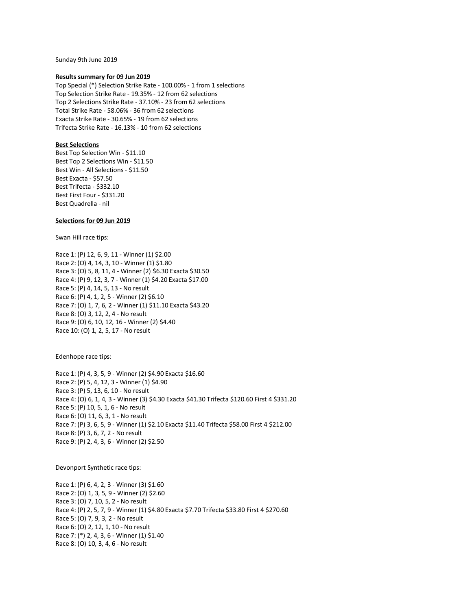Sunday 9th June 2019

#### **Results summary for 09 Jun 2019**

Top Special (\*) Selection Strike Rate - 100.00% - 1 from 1 selections Top Selection Strike Rate - 19.35% - 12 from 62 selections Top 2 Selections Strike Rate - 37.10% - 23 from 62 selections Total Strike Rate - 58.06% - 36 from 62 selections Exacta Strike Rate - 30.65% - 19 from 62 selections Trifecta Strike Rate - 16.13% - 10 from 62 selections

## **Best Selections**

Best Top Selection Win - \$11.10 Best Top 2 Selections Win - \$11.50 Best Win - All Selections - \$11.50 Best Exacta - \$57.50 Best Trifecta - \$332.10 Best First Four - \$331.20 Best Quadrella - nil

# **Selections for 09 Jun 2019**

Swan Hill race tips:

Race 1: (P) 12, 6, 9, 11 - Winner (1) \$2.00 Race 2: (O) 4, 14, 3, 10 - Winner (1) \$1.80 Race 3: (O) 5, 8, 11, 4 - Winner (2) \$6.30 Exacta \$30.50 Race 4: (P) 9, 12, 3, 7 - Winner (1) \$4.20 Exacta \$17.00 Race 5: (P) 4, 14, 5, 13 - No result Race 6: (P) 4, 1, 2, 5 - Winner (2) \$6.10 Race 7: (O) 1, 7, 6, 2 - Winner (1) \$11.10 Exacta \$43.20 Race 8: (O) 3, 12, 2, 4 - No result Race 9: (O) 6, 10, 12, 16 - Winner (2) \$4.40 Race 10: (O) 1, 2, 5, 17 - No result

Edenhope race tips:

Race 1: (P) 4, 3, 5, 9 - Winner (2) \$4.90 Exacta \$16.60 Race 2: (P) 5, 4, 12, 3 - Winner (1) \$4.90 Race 3: (P) 5, 13, 6, 10 - No result Race 4: (O) 6, 1, 4, 3 - Winner (3) \$4.30 Exacta \$41.30 Trifecta \$120.60 First 4 \$331.20 Race 5: (P) 10, 5, 1, 6 - No result Race 6: (O) 11, 6, 3, 1 - No result Race 7: (P) 3, 6, 5, 9 - Winner (1) \$2.10 Exacta \$11.40 Trifecta \$58.00 First 4 \$212.00 Race 8: (P) 3, 6, 7, 2 - No result Race 9: (P) 2, 4, 3, 6 - Winner (2) \$2.50

Devonport Synthetic race tips:

Race 1: (P) 6, 4, 2, 3 - Winner (3) \$1.60 Race 2: (O) 1, 3, 5, 9 - Winner (2) \$2.60 Race 3: (O) 7, 10, 5, 2 - No result Race 4: (P) 2, 5, 7, 9 - Winner (1) \$4.80 Exacta \$7.70 Trifecta \$33.80 First 4 \$270.60 Race 5: (O) 7, 9, 3, 2 - No result Race 6: (O) 2, 12, 1, 10 - No result Race 7: (\*) 2, 4, 3, 6 - Winner (1) \$1.40 Race 8: (O) 10, 3, 4, 6 - No result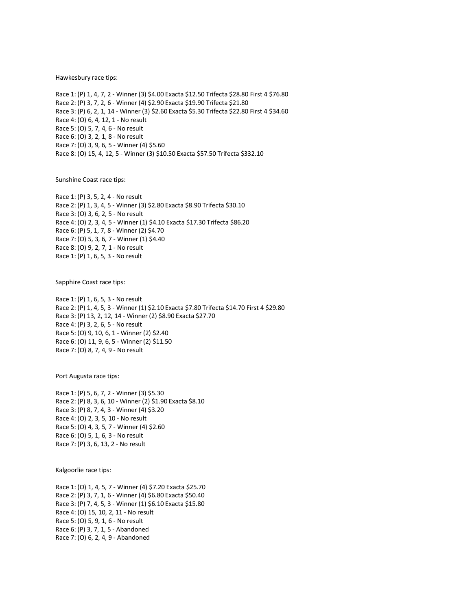Hawkesbury race tips:

Race 1: (P) 1, 4, 7, 2 - Winner (3) \$4.00 Exacta \$12.50 Trifecta \$28.80 First 4 \$76.80 Race 2: (P) 3, 7, 2, 6 - Winner (4) \$2.90 Exacta \$19.90 Trifecta \$21.80 Race 3: (P) 6, 2, 1, 14 - Winner (3) \$2.60 Exacta \$5.30 Trifecta \$22.80 First 4 \$34.60 Race 4: (O) 6, 4, 12, 1 - No result Race 5: (O) 5, 7, 4, 6 - No result Race 6: (O) 3, 2, 1, 8 - No result Race 7: (O) 3, 9, 6, 5 - Winner (4) \$5.60 Race 8: (O) 15, 4, 12, 5 - Winner (3) \$10.50 Exacta \$57.50 Trifecta \$332.10

Sunshine Coast race tips:

Race 1: (P) 3, 5, 2, 4 - No result Race 2: (P) 1, 3, 4, 5 - Winner (3) \$2.80 Exacta \$8.90 Trifecta \$30.10 Race 3: (O) 3, 6, 2, 5 - No result Race 4: (O) 2, 3, 4, 5 - Winner (1) \$4.10 Exacta \$17.30 Trifecta \$86.20 Race 6: (P) 5, 1, 7, 8 - Winner (2) \$4.70 Race 7: (O) 5, 3, 6, 7 - Winner (1) \$4.40 Race 8: (O) 9, 2, 7, 1 - No result Race 1: (P) 1, 6, 5, 3 - No result

Sapphire Coast race tips:

Race 1: (P) 1, 6, 5, 3 - No result Race 2: (P) 1, 4, 5, 3 - Winner (1) \$2.10 Exacta \$7.80 Trifecta \$14.70 First 4 \$29.80 Race 3: (P) 13, 2, 12, 14 - Winner (2) \$8.90 Exacta \$27.70 Race 4: (P) 3, 2, 6, 5 - No result Race 5: (O) 9, 10, 6, 1 - Winner (2) \$2.40 Race 6: (O) 11, 9, 6, 5 - Winner (2) \$11.50 Race 7: (O) 8, 7, 4, 9 - No result

Port Augusta race tips:

Race 1: (P) 5, 6, 7, 2 - Winner (3) \$5.30 Race 2: (P) 8, 3, 6, 10 - Winner (2) \$1.90 Exacta \$8.10 Race 3: (P) 8, 7, 4, 3 - Winner (4) \$3.20 Race 4: (O) 2, 3, 5, 10 - No result Race 5: (O) 4, 3, 5, 7 - Winner (4) \$2.60 Race 6: (O) 5, 1, 6, 3 - No result Race 7: (P) 3, 6, 13, 2 - No result

Kalgoorlie race tips:

Race 1: (O) 1, 4, 5, 7 - Winner (4) \$7.20 Exacta \$25.70 Race 2: (P) 3, 7, 1, 6 - Winner (4) \$6.80 Exacta \$50.40 Race 3: (P) 7, 4, 5, 3 - Winner (1) \$6.10 Exacta \$15.80 Race 4: (O) 15, 10, 2, 11 - No result Race 5: (O) 5, 9, 1, 6 - No result Race 6: (P) 3, 7, 1, 5 - Abandoned Race 7: (O) 6, 2, 4, 9 - Abandoned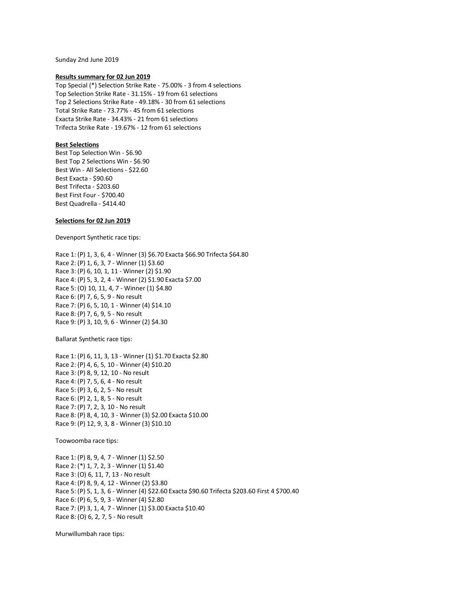Sunday 2nd June 2019

### **Results summary for 02 Jun 2019**

Top Special (\*) Selection Strike Rate - 75.00% - 3 from 4 selections Top Selection Strike Rate - 31.15% - 19 from 61 selections Top 2 Selections Strike Rate - 49.18% - 30 from 61 selections Total Strike Rate - 73.77% - 45 from 61 selections Exacta Strike Rate - 34.43% - 21 from 61 selections Trifecta Strike Rate - 19.67% - 12 from 61 selections

# **Best Selections**

Best Top Selection Win - \$6.90 Best Top 2 Selections Win - \$6.90 Best Win - All Selections - \$22.60 Best Exacta - \$90.60 Best Trifecta - \$203.60 Best First Four - \$700.40 Best Quadrella - \$414.40

## **Selections for 02 Jun 2019**

Devenport Synthetic race tips:

Race 1: (P) 1, 3, 6, 4 - Winner (3) \$6.70 Exacta \$66.90 Trifecta \$64.80 Race 2: (P) 1, 6, 3, 7 - Winner (1) \$3.60 Race 3: (P) 6, 10, 1, 11 - Winner (2) \$1.90 Race 4: (P) 5, 3, 2, 4 - Winner (2) \$1.90 Exacta \$7.00 Race 5: (O) 10, 11, 4, 7 - Winner (1) \$4.80 Race 6: (P) 7, 6, 5, 9 - No result Race 7: (P) 6, 5, 10, 1 - Winner (4) \$14.10 Race 8: (P) 7, 6, 9, 5 - No result Race 9: (P) 3, 10, 9, 6 - Winner (2) \$4.30

Ballarat Synthetic race tips:

Race 1: (P) 6, 11, 3, 13 - Winner (1) \$1.70 Exacta \$2.80 Race 2: (P) 4, 6, 5, 10 - Winner (4) \$10.20 Race 3: (P) 8, 9, 12, 10 - No result Race 4: (P) 7, 5, 6, 4 - No result Race 5: (P) 3, 6, 2, 5 - No result Race 6: (P) 2, 1, 8, 5 - No result Race 7: (P) 7, 2, 3, 10 - No result Race 8: (P) 8, 4, 10, 3 - Winner (3) \$2.00 Exacta \$10.00 Race 9: (P) 12, 9, 3, 8 - Winner (3) \$10.10

Toowoomba race tips:

Race 1: (P) 8, 9, 4, 7 - Winner (1) \$2.50 Race 2: (\*) 1, 7, 2, 3 - Winner (1) \$1.40 Race 3: (O) 6, 11, 7, 13 - No result Race 4: (P) 8, 9, 4, 12 - Winner (2) \$3.80 Race 5: (P) 5, 1, 3, 6 - Winner (4) \$22.60 Exacta \$90.60 Trifecta \$203.60 First 4 \$700.40 Race 6: (P) 6, 5, 9, 3 - Winner (4) \$2.80 Race 7: (P) 3, 1, 4, 7 - Winner (1) \$3.00 Exacta \$10.40 Race 8: (O) 6, 2, 7, 5 - No result

Murwillumbah race tips: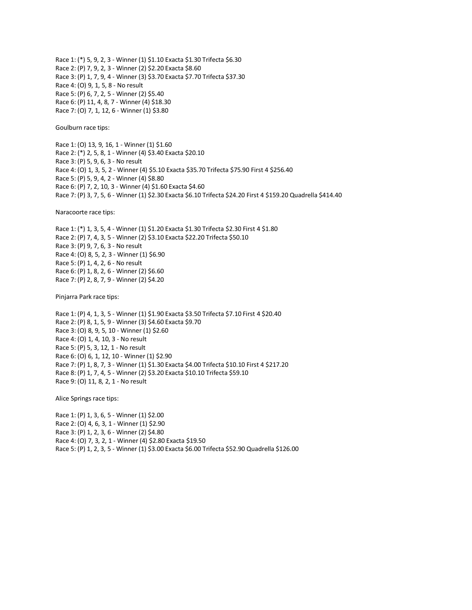Race 1: (\*) 5, 9, 2, 3 - Winner (1) \$1.10 Exacta \$1.30 Trifecta \$6.30 Race 2: (P) 7, 9, 2, 3 - Winner (2) \$2.20 Exacta \$8.60 Race 3: (P) 1, 7, 9, 4 - Winner (3) \$3.70 Exacta \$7.70 Trifecta \$37.30 Race 4: (O) 9, 1, 5, 8 - No result Race 5: (P) 6, 7, 2, 5 - Winner (2) \$5.40 Race 6: (P) 11, 4, 8, 7 - Winner (4) \$18.30 Race 7: (O) 7, 1, 12, 6 - Winner (1) \$3.80

Goulburn race tips:

Race 1: (O) 13, 9, 16, 1 - Winner (1) \$1.60 Race 2: (\*) 2, 5, 8, 1 - Winner (4) \$3.40 Exacta \$20.10 Race 3: (P) 5, 9, 6, 3 - No result Race 4: (O) 1, 3, 5, 2 - Winner (4) \$5.10 Exacta \$35.70 Trifecta \$75.90 First 4 \$256.40 Race 5: (P) 5, 9, 4, 2 - Winner (4) \$8.80 Race 6: (P) 7, 2, 10, 3 - Winner (4) \$1.60 Exacta \$4.60 Race 7: (P) 3, 7, 5, 6 - Winner (1) \$2.30 Exacta \$6.10 Trifecta \$24.20 First 4 \$159.20 Quadrella \$414.40

Naracoorte race tips:

Race 1: (\*) 1, 3, 5, 4 - Winner (1) \$1.20 Exacta \$1.30 Trifecta \$2.30 First 4 \$1.80 Race 2: (P) 7, 4, 3, 5 - Winner (2) \$3.10 Exacta \$22.20 Trifecta \$50.10 Race 3: (P) 9, 7, 6, 3 - No result Race 4: (O) 8, 5, 2, 3 - Winner (1) \$6.90 Race 5: (P) 1, 4, 2, 6 - No result Race 6: (P) 1, 8, 2, 6 - Winner (2) \$6.60 Race 7: (P) 2, 8, 7, 9 - Winner (2) \$4.20

Pinjarra Park race tips:

Race 1: (P) 4, 1, 3, 5 - Winner (1) \$1.90 Exacta \$3.50 Trifecta \$7.10 First 4 \$20.40 Race 2: (P) 8, 1, 5, 9 - Winner (3) \$4.60 Exacta \$9.70 Race 3: (O) 8, 9, 5, 10 - Winner (1) \$2.60 Race 4: (O) 1, 4, 10, 3 - No result Race 5: (P) 5, 3, 12, 1 - No result Race 6: (O) 6, 1, 12, 10 - Winner (1) \$2.90 Race 7: (P) 1, 8, 7, 3 - Winner (1) \$1.30 Exacta \$4.00 Trifecta \$10.10 First 4 \$217.20 Race 8: (P) 1, 7, 4, 5 - Winner (2) \$3.20 Exacta \$10.10 Trifecta \$59.10 Race 9: (O) 11, 8, 2, 1 - No result

Alice Springs race tips:

Race 1: (P) 1, 3, 6, 5 - Winner (1) \$2.00 Race 2: (O) 4, 6, 3, 1 - Winner (1) \$2.90 Race 3: (P) 1, 2, 3, 6 - Winner (2) \$4.80 Race 4: (O) 7, 3, 2, 1 - Winner (4) \$2.80 Exacta \$19.50 Race 5: (P) 1, 2, 3, 5 - Winner (1) \$3.00 Exacta \$6.00 Trifecta \$52.90 Quadrella \$126.00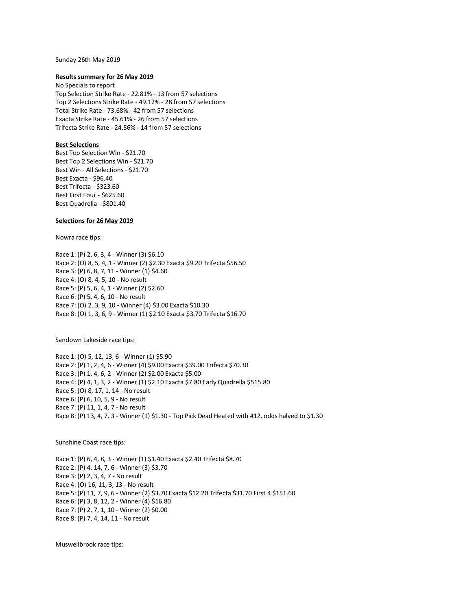#### Sunday 26th May 2019

#### **Results summary for 26 May 2019**

No Specials to report Top Selection Strike Rate - 22.81% - 13 from 57 selections Top 2 Selections Strike Rate - 49.12% - 28 from 57 selections Total Strike Rate - 73.68% - 42 from 57 selections Exacta Strike Rate - 45.61% - 26 from 57 selections Trifecta Strike Rate - 24.56% - 14 from 57 selections

## **Best Selections**

Best Top Selection Win - \$21.70 Best Top 2 Selections Win - \$21.70 Best Win - All Selections - \$21.70 Best Exacta - \$96.40 Best Trifecta - \$323.60 Best First Four - \$625.60 Best Quadrella - \$801.40

# **Selections for 26 May 2019**

Nowra race tips:

Race 1: (P) 2, 6, 3, 4 - Winner (3) \$6.10 Race 2: (O) 8, 5, 4, 1 - Winner (2) \$2.30 Exacta \$9.20 Trifecta \$56.50 Race 3: (P) 6, 8, 7, 11 - Winner (1) \$4.60 Race 4: (O) 8, 4, 5, 10 - No result Race 5: (P) 5, 6, 4, 1 - Winner (2) \$2.60 Race 6: (P) 5, 4, 6, 10 - No result Race 7: (O) 2, 3, 9, 10 - Winner (4) \$3.00 Exacta \$10.30 Race 8: (O) 1, 3, 6, 9 - Winner (1) \$2.10 Exacta \$3.70 Trifecta \$16.70

Sandown Lakeside race tips:

Race 1: (O) 5, 12, 13, 6 - Winner (1) \$5.90 Race 2: (P) 1, 2, 4, 6 - Winner (4) \$9.00 Exacta \$39.00 Trifecta \$70.30 Race 3: (P) 1, 4, 6, 2 - Winner (2) \$2.00 Exacta \$5.00 Race 4: (P) 4, 1, 3, 2 - Winner (1) \$2.10 Exacta \$7.80 Early Quadrella \$515.80 Race 5: (O) 8, 17, 1, 14 - No result Race 6: (P) 6, 10, 5, 9 - No result Race 7: (P) 11, 1, 4, 7 - No result Race 8: (P) 13, 4, 7, 3 - Winner (1) \$1.30 - Top Pick Dead Heated with #12, odds halved to \$1.30

Sunshine Coast race tips:

Race 1: (P) 6, 4, 8, 3 - Winner (1) \$1.40 Exacta \$2.40 Trifecta \$8.70 Race 2: (P) 4, 14, 7, 6 - Winner (3) \$3.70 Race 3: (P) 2, 3, 4, 7 - No result Race 4: (O) 16, 11, 3, 13 - No result Race 5: (P) 11, 7, 9, 6 - Winner (2) \$3.70 Exacta \$12.20 Trifecta \$31.70 First 4 \$151.60 Race 6: (P) 3, 8, 12, 2 - Winner (4) \$16.80 Race 7: (P) 2, 7, 1, 10 - Winner (2) \$0.00 Race 8: (P) 7, 4, 14, 11 - No result

Muswellbrook race tips: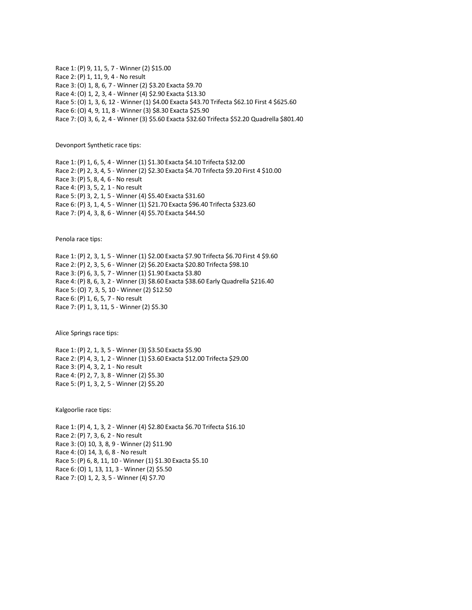Race 1: (P) 9, 11, 5, 7 - Winner (2) \$15.00 Race 2: (P) 1, 11, 9, 4 - No result Race 3: (O) 1, 8, 6, 7 - Winner (2) \$3.20 Exacta \$9.70 Race 4: (O) 1, 2, 3, 4 - Winner (4) \$2.90 Exacta \$13.30 Race 5: (O) 1, 3, 6, 12 - Winner (1) \$4.00 Exacta \$43.70 Trifecta \$62.10 First 4 \$625.60 Race 6: (O) 4, 9, 11, 8 - Winner (3) \$8.30 Exacta \$25.90 Race 7: (O) 3, 6, 2, 4 - Winner (3) \$5.60 Exacta \$32.60 Trifecta \$52.20 Quadrella \$801.40

Devonport Synthetic race tips:

Race 1: (P) 1, 6, 5, 4 - Winner (1) \$1.30 Exacta \$4.10 Trifecta \$32.00 Race 2: (P) 2, 3, 4, 5 - Winner (2) \$2.30 Exacta \$4.70 Trifecta \$9.20 First 4 \$10.00 Race 3: (P) 5, 8, 4, 6 - No result Race 4: (P) 3, 5, 2, 1 - No result Race 5: (P) 3, 2, 1, 5 - Winner (4) \$5.40 Exacta \$31.60 Race 6: (P) 3, 1, 4, 5 - Winner (1) \$21.70 Exacta \$96.40 Trifecta \$323.60 Race 7: (P) 4, 3, 8, 6 - Winner (4) \$5.70 Exacta \$44.50

Penola race tips:

Race 1: (P) 2, 3, 1, 5 - Winner (1) \$2.00 Exacta \$7.90 Trifecta \$6.70 First 4 \$9.60 Race 2: (P) 2, 3, 5, 6 - Winner (2) \$6.20 Exacta \$20.80 Trifecta \$98.10 Race 3: (P) 6, 3, 5, 7 - Winner (1) \$1.90 Exacta \$3.80 Race 4: (P) 8, 6, 3, 2 - Winner (3) \$8.60 Exacta \$38.60 Early Quadrella \$216.40 Race 5: (O) 7, 3, 5, 10 - Winner (2) \$12.50 Race 6: (P) 1, 6, 5, 7 - No result Race 7: (P) 1, 3, 11, 5 - Winner (2) \$5.30

Alice Springs race tips:

Race 1: (P) 2, 1, 3, 5 - Winner (3) \$3.50 Exacta \$5.90 Race 2: (P) 4, 3, 1, 2 - Winner (1) \$3.60 Exacta \$12.00 Trifecta \$29.00 Race 3: (P) 4, 3, 2, 1 - No result Race 4: (P) 2, 7, 3, 8 - Winner (2) \$5.30 Race 5: (P) 1, 3, 2, 5 - Winner (2) \$5.20

Kalgoorlie race tips:

Race 1: (P) 4, 1, 3, 2 - Winner (4) \$2.80 Exacta \$6.70 Trifecta \$16.10 Race 2: (P) 7, 3, 6, 2 - No result Race 3: (O) 10, 3, 8, 9 - Winner (2) \$11.90 Race 4: (O) 14, 3, 6, 8 - No result Race 5: (P) 6, 8, 11, 10 - Winner (1) \$1.30 Exacta \$5.10 Race 6: (O) 1, 13, 11, 3 - Winner (2) \$5.50 Race 7: (O) 1, 2, 3, 5 - Winner (4) \$7.70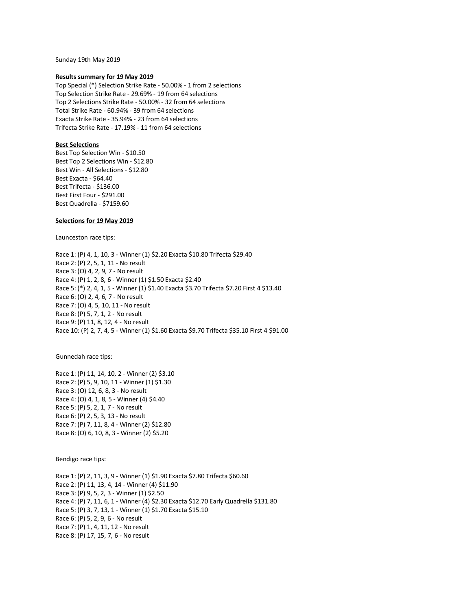Sunday 19th May 2019

#### **Results summary for 19 May 2019**

Top Special (\*) Selection Strike Rate - 50.00% - 1 from 2 selections Top Selection Strike Rate - 29.69% - 19 from 64 selections Top 2 Selections Strike Rate - 50.00% - 32 from 64 selections Total Strike Rate - 60.94% - 39 from 64 selections Exacta Strike Rate - 35.94% - 23 from 64 selections Trifecta Strike Rate - 17.19% - 11 from 64 selections

# **Best Selections**

Best Top Selection Win - \$10.50 Best Top 2 Selections Win - \$12.80 Best Win - All Selections - \$12.80 Best Exacta - \$64.40 Best Trifecta - \$136.00 Best First Four - \$291.00 Best Quadrella - \$7159.60

## **Selections for 19 May 2019**

Launceston race tips:

Race 1: (P) 4, 1, 10, 3 - Winner (1) \$2.20 Exacta \$10.80 Trifecta \$29.40 Race 2: (P) 2, 5, 1, 11 - No result Race 3: (O) 4, 2, 9, 7 - No result Race 4: (P) 1, 2, 8, 6 - Winner (1) \$1.50 Exacta \$2.40 Race 5: (\*) 2, 4, 1, 5 - Winner (1) \$1.40 Exacta \$3.70 Trifecta \$7.20 First 4 \$13.40 Race 6: (O) 2, 4, 6, 7 - No result Race 7: (O) 4, 5, 10, 11 - No result Race 8: (P) 5, 7, 1, 2 - No result Race 9: (P) 11, 8, 12, 4 - No result Race 10: (P) 2, 7, 4, 5 - Winner (1) \$1.60 Exacta \$9.70 Trifecta \$35.10 First 4 \$91.00

Gunnedah race tips:

Race 1: (P) 11, 14, 10, 2 - Winner (2) \$3.10 Race 2: (P) 5, 9, 10, 11 - Winner (1) \$1.30 Race 3: (O) 12, 6, 8, 3 - No result Race 4: (O) 4, 1, 8, 5 - Winner (4) \$4.40 Race 5: (P) 5, 2, 1, 7 - No result Race 6: (P) 2, 5, 3, 13 - No result Race 7: (P) 7, 11, 8, 4 - Winner (2) \$12.80 Race 8: (O) 6, 10, 8, 3 - Winner (2) \$5.20

Bendigo race tips:

Race 1: (P) 2, 11, 3, 9 - Winner (1) \$1.90 Exacta \$7.80 Trifecta \$60.60 Race 2: (P) 11, 13, 4, 14 - Winner (4) \$11.90 Race 3: (P) 9, 5, 2, 3 - Winner (1) \$2.50 Race 4: (P) 7, 11, 6, 1 - Winner (4) \$2.30 Exacta \$12.70 Early Quadrella \$131.80 Race 5: (P) 3, 7, 13, 1 - Winner (1) \$1.70 Exacta \$15.10 Race 6: (P) 5, 2, 9, 6 - No result Race 7: (P) 1, 4, 11, 12 - No result Race 8: (P) 17, 15, 7, 6 - No result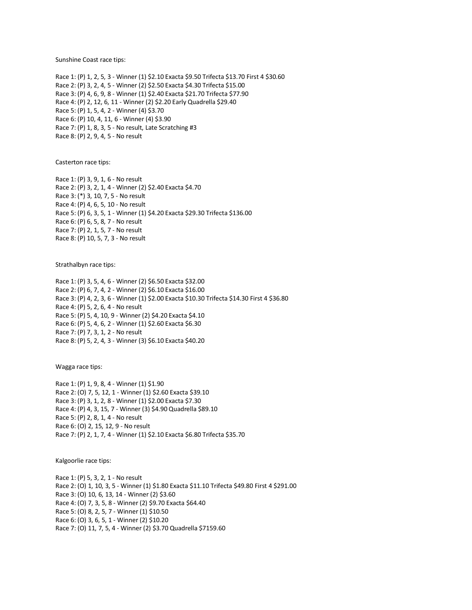Sunshine Coast race tips:

Race 1: (P) 1, 2, 5, 3 - Winner (1) \$2.10 Exacta \$9.50 Trifecta \$13.70 First 4 \$30.60 Race 2: (P) 3, 2, 4, 5 - Winner (2) \$2.50 Exacta \$4.30 Trifecta \$15.00 Race 3: (P) 4, 6, 9, 8 - Winner (1) \$2.40 Exacta \$21.70 Trifecta \$77.90 Race 4: (P) 2, 12, 6, 11 - Winner (2) \$2.20 Early Quadrella \$29.40 Race 5: (P) 1, 5, 4, 2 - Winner (4) \$3.70 Race 6: (P) 10, 4, 11, 6 - Winner (4) \$3.90 Race 7: (P) 1, 8, 3, 5 - No result, Late Scratching #3 Race 8: (P) 2, 9, 4, 5 - No result

Casterton race tips:

Race 1: (P) 3, 9, 1, 6 - No result Race 2: (P) 3, 2, 1, 4 - Winner (2) \$2.40 Exacta \$4.70 Race 3: (\*) 3, 10, 7, 5 - No result Race 4: (P) 4, 6, 5, 10 - No result Race 5: (P) 6, 3, 5, 1 - Winner (1) \$4.20 Exacta \$29.30 Trifecta \$136.00 Race 6: (P) 6, 5, 8, 7 - No result Race 7: (P) 2, 1, 5, 7 - No result Race 8: (P) 10, 5, 7, 3 - No result

Strathalbyn race tips:

Race 1: (P) 3, 5, 4, 6 - Winner (2) \$6.50 Exacta \$32.00 Race 2: (P) 6, 7, 4, 2 - Winner (2) \$6.10 Exacta \$16.00 Race 3: (P) 4, 2, 3, 6 - Winner (1) \$2.00 Exacta \$10.30 Trifecta \$14.30 First 4 \$36.80 Race 4: (P) 5, 2, 6, 4 - No result Race 5: (P) 5, 4, 10, 9 - Winner (2) \$4.20 Exacta \$4.10 Race 6: (P) 5, 4, 6, 2 - Winner (1) \$2.60 Exacta \$6.30 Race 7: (P) 7, 3, 1, 2 - No result Race 8: (P) 5, 2, 4, 3 - Winner (3) \$6.10 Exacta \$40.20

Wagga race tips:

Race 1: (P) 1, 9, 8, 4 - Winner (1) \$1.90 Race 2: (O) 7, 5, 12, 1 - Winner (1) \$2.60 Exacta \$39.10 Race 3: (P) 3, 1, 2, 8 - Winner (1) \$2.00 Exacta \$7.30 Race 4: (P) 4, 3, 15, 7 - Winner (3) \$4.90 Quadrella \$89.10 Race 5: (P) 2, 8, 1, 4 - No result Race 6: (O) 2, 15, 12, 9 - No result Race 7: (P) 2, 1, 7, 4 - Winner (1) \$2.10 Exacta \$6.80 Trifecta \$35.70

Kalgoorlie race tips:

Race 1: (P) 5, 3, 2, 1 - No result Race 2: (O) 1, 10, 3, 5 - Winner (1) \$1.80 Exacta \$11.10 Trifecta \$49.80 First 4 \$291.00 Race 3: (O) 10, 6, 13, 14 - Winner (2) \$3.60 Race 4: (O) 7, 3, 5, 8 - Winner (2) \$9.70 Exacta \$64.40 Race 5: (O) 8, 2, 5, 7 - Winner (1) \$10.50 Race 6: (O) 3, 6, 5, 1 - Winner (2) \$10.20 Race 7: (O) 11, 7, 5, 4 - Winner (2) \$3.70 Quadrella \$7159.60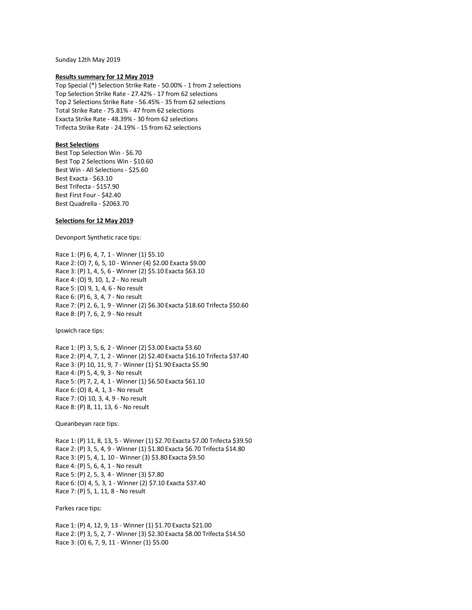Sunday 12th May 2019

### **Results summary for 12 May 2019**

Top Special (\*) Selection Strike Rate - 50.00% - 1 from 2 selections Top Selection Strike Rate - 27.42% - 17 from 62 selections Top 2 Selections Strike Rate - 56.45% - 35 from 62 selections Total Strike Rate - 75.81% - 47 from 62 selections Exacta Strike Rate - 48.39% - 30 from 62 selections Trifecta Strike Rate - 24.19% - 15 from 62 selections

# **Best Selections**

Best Top Selection Win - \$6.70 Best Top 2 Selections Win - \$10.60 Best Win - All Selections - \$25.60 Best Exacta - \$63.10 Best Trifecta - \$157.90 Best First Four - \$42.40 Best Quadrella - \$2063.70

# **Selections for 12 May 2019**

Devonport Synthetic race tips:

Race 1: (P) 6, 4, 7, 1 - Winner (1) \$5.10 Race 2: (O) 7, 6, 5, 10 - Winner (4) \$2.00 Exacta \$9.00 Race 3: (P) 1, 4, 5, 6 - Winner (2) \$5.10 Exacta \$63.10 Race 4: (O) 9, 10, 1, 2 - No result Race 5: (O) 9, 1, 4, 6 - No result Race 6: (P) 6, 3, 4, 7 - No result Race 7: (P) 2, 6, 1, 9 - Winner (2) \$6.30 Exacta \$18.60 Trifecta \$50.60 Race 8: (P) 7, 6, 2, 9 - No result

Ipswich race tips:

Race 1: (P) 3, 5, 6, 2 - Winner (2) \$3.00 Exacta \$3.60 Race 2: (P) 4, 7, 1, 2 - Winner (2) \$2.40 Exacta \$16.10 Trifecta \$37.40 Race 3: (P) 10, 11, 9, 7 - Winner (1) \$1.90 Exacta \$5.90 Race 4: (P) 5, 4, 9, 3 - No result Race 5: (P) 7, 2, 4, 1 - Winner (1) \$6.50 Exacta \$61.10 Race 6: (O) 8, 4, 1, 3 - No result Race 7: (O) 10, 3, 4, 9 - No result Race 8: (P) 8, 11, 13, 6 - No result

Queanbeyan race tips:

Race 1: (P) 11, 8, 13, 5 - Winner (1) \$2.70 Exacta \$7.00 Trifecta \$39.50 Race 2: (P) 3, 5, 4, 9 - Winner (1) \$1.80 Exacta \$6.70 Trifecta \$14.80 Race 3: (P) 5, 4, 1, 10 - Winner (3) \$3.80 Exacta \$9.50 Race 4: (P) 5, 6, 4, 1 - No result Race 5: (P) 2, 5, 3, 4 - Winner (3) \$7.80 Race 6: (O) 4, 5, 3, 1 - Winner (2) \$7.10 Exacta \$37.40 Race 7: (P) 5, 1, 11, 8 - No result

Parkes race tips:

Race 1: (P) 4, 12, 9, 13 - Winner (1) \$1.70 Exacta \$21.00 Race 2: (P) 3, 5, 2, 7 - Winner (3) \$2.30 Exacta \$8.00 Trifecta \$14.50 Race 3: (O) 6, 7, 9, 11 - Winner (1) \$5.00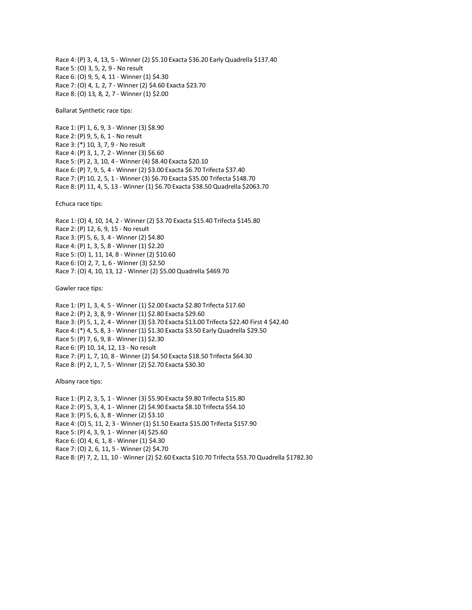Race 4: (P) 3, 4, 13, 5 - Winner (2) \$5.10 Exacta \$36.20 Early Quadrella \$137.40 Race 5: (O) 3, 5, 2, 9 - No result Race 6: (O) 9, 5, 4, 11 - Winner (1) \$4.30 Race 7: (O) 4, 1, 2, 7 - Winner (2) \$4.60 Exacta \$23.70 Race 8: (O) 13, 8, 2, 7 - Winner (1) \$2.00

Ballarat Synthetic race tips:

Race 1: (P) 1, 6, 9, 3 - Winner (3) \$8.90 Race 2: (P) 9, 5, 6, 1 - No result Race 3: (\*) 10, 3, 7, 9 - No result Race 4: (P) 3, 1, 7, 2 - Winner (3) \$6.60 Race 5: (P) 2, 3, 10, 4 - Winner (4) \$8.40 Exacta \$20.10 Race 6: (P) 7, 9, 5, 4 - Winner (2) \$3.00 Exacta \$6.70 Trifecta \$37.40 Race 7: (P) 10, 2, 5, 1 - Winner (3) \$6.70 Exacta \$35.00 Trifecta \$148.70 Race 8: (P) 11, 4, 5, 13 - Winner (1) \$6.70 Exacta \$38.50 Quadrella \$2063.70

Echuca race tips:

Race 1: (O) 4, 10, 14, 2 - Winner (2) \$3.70 Exacta \$15.40 Trifecta \$145.80 Race 2: (P) 12, 6, 9, 15 - No result Race 3: (P) 5, 6, 3, 4 - Winner (2) \$4.80 Race 4: (P) 1, 3, 5, 8 - Winner (1) \$2.20 Race 5: (O) 1, 11, 14, 8 - Winner (2) \$10.60 Race 6: (O) 2, 7, 1, 6 - Winner (3) \$2.50 Race 7: (O) 4, 10, 13, 12 - Winner (2) \$5.00 Quadrella \$469.70

Gawler race tips:

Race 1: (P) 1, 3, 4, 5 - Winner (1) \$2.00 Exacta \$2.80 Trifecta \$17.60 Race 2: (P) 2, 3, 8, 9 - Winner (1) \$2.80 Exacta \$29.60 Race 3: (P) 5, 1, 2, 4 - Winner (3) \$3.70 Exacta \$13.00 Trifecta \$22.40 First 4 \$42.40 Race 4: (\*) 4, 5, 8, 3 - Winner (1) \$1.30 Exacta \$3.50 Early Quadrella \$29.50 Race 5: (P) 7, 6, 9, 8 - Winner (1) \$2.30 Race 6: (P) 10, 14, 12, 13 - No result Race 7: (P) 1, 7, 10, 8 - Winner (2) \$4.50 Exacta \$18.50 Trifecta \$64.30 Race 8: (P) 2, 1, 7, 5 - Winner (2) \$2.70 Exacta \$30.30

Albany race tips:

Race 1: (P) 2, 3, 5, 1 - Winner (3) \$5.90 Exacta \$9.80 Trifecta \$15.80 Race 2: (P) 5, 3, 4, 1 - Winner (2) \$4.90 Exacta \$8.10 Trifecta \$54.10 Race 3: (P) 5, 6, 3, 8 - Winner (2) \$3.10 Race 4: (O) 5, 11, 2, 3 - Winner (1) \$1.50 Exacta \$15.00 Trifecta \$157.90 Race 5: (P) 4, 3, 9, 1 - Winner (4) \$25.60 Race 6: (O) 4, 6, 1, 8 - Winner (1) \$4.30 Race 7: (O) 2, 6, 11, 5 - Winner (2) \$4.70 Race 8: (P) 7, 2, 11, 10 - Winner (2) \$2.60 Exacta \$10.70 Trifecta \$53.70 Quadrella \$1782.30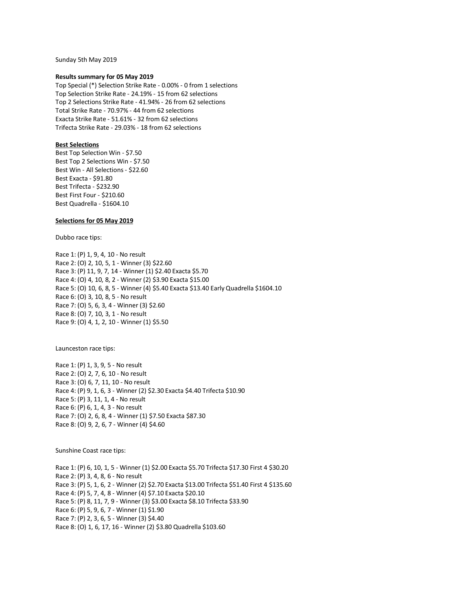Sunday 5th May 2019

#### **Results summary for 05 May 2019**

Top Special (\*) Selection Strike Rate - 0.00% - 0 from 1 selections Top Selection Strike Rate - 24.19% - 15 from 62 selections Top 2 Selections Strike Rate - 41.94% - 26 from 62 selections Total Strike Rate - 70.97% - 44 from 62 selections Exacta Strike Rate - 51.61% - 32 from 62 selections Trifecta Strike Rate - 29.03% - 18 from 62 selections

## **Best Selections**

Best Top Selection Win - \$7.50 Best Top 2 Selections Win - \$7.50 Best Win - All Selections - \$22.60 Best Exacta - \$91.80 Best Trifecta - \$232.90 Best First Four - \$210.60 Best Quadrella - \$1604.10

## **Selections for 05 May 2019**

Dubbo race tips:

Race 1: (P) 1, 9, 4, 10 - No result Race 2: (O) 2, 10, 5, 1 - Winner (3) \$22.60 Race 3: (P) 11, 9, 7, 14 - Winner (1) \$2.40 Exacta \$5.70 Race 4: (O) 4, 10, 8, 2 - Winner (2) \$3.90 Exacta \$15.00 Race 5: (O) 10, 6, 8, 5 - Winner (4) \$5.40 Exacta \$13.40 Early Quadrella \$1604.10 Race 6: (O) 3, 10, 8, 5 - No result Race 7: (O) 5, 6, 3, 4 - Winner (3) \$2.60 Race 8: (O) 7, 10, 3, 1 - No result Race 9: (O) 4, 1, 2, 10 - Winner (1) \$5.50

Launceston race tips:

Race 1: (P) 1, 3, 9, 5 - No result Race 2: (O) 2, 7, 6, 10 - No result Race 3: (O) 6, 7, 11, 10 - No result Race 4: (P) 9, 1, 6, 3 - Winner (2) \$2.30 Exacta \$4.40 Trifecta \$10.90 Race 5: (P) 3, 11, 1, 4 - No result Race 6: (P) 6, 1, 4, 3 - No result Race 7: (O) 2, 6, 8, 4 - Winner (1) \$7.50 Exacta \$87.30 Race 8: (O) 9, 2, 6, 7 - Winner (4) \$4.60

Sunshine Coast race tips:

Race 1: (P) 6, 10, 1, 5 - Winner (1) \$2.00 Exacta \$5.70 Trifecta \$17.30 First 4 \$30.20 Race 2: (P) 3, 4, 8, 6 - No result Race 3: (P) 5, 1, 6, 2 - Winner (2) \$2.70 Exacta \$13.00 Trifecta \$51.40 First 4 \$135.60 Race 4: (P) 5, 7, 4, 8 - Winner (4) \$7.10 Exacta \$20.10 Race 5: (P) 8, 11, 7, 9 - Winner (3) \$3.00 Exacta \$8.10 Trifecta \$33.90 Race 6: (P) 5, 9, 6, 7 - Winner (1) \$1.90 Race 7: (P) 2, 3, 6, 5 - Winner (3) \$4.40 Race 8: (O) 1, 6, 17, 16 - Winner (2) \$3.80 Quadrella \$103.60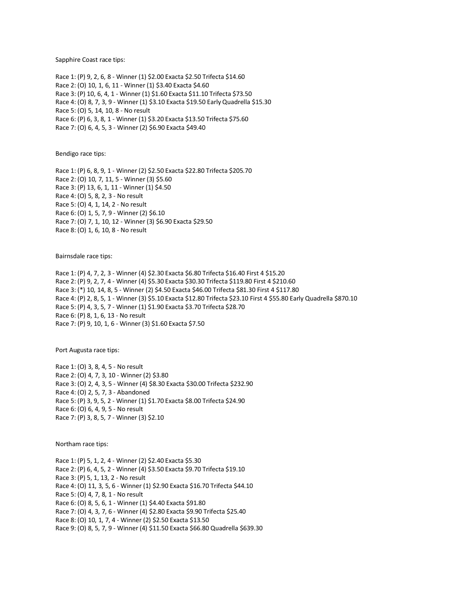Sapphire Coast race tips:

Race 1: (P) 9, 2, 6, 8 - Winner (1) \$2.00 Exacta \$2.50 Trifecta \$14.60 Race 2: (O) 10, 1, 6, 11 - Winner (1) \$3.40 Exacta \$4.60 Race 3: (P) 10, 6, 4, 1 - Winner (1) \$1.60 Exacta \$11.10 Trifecta \$73.50 Race 4: (O) 8, 7, 3, 9 - Winner (1) \$3.10 Exacta \$19.50 Early Quadrella \$15.30 Race 5: (O) 5, 14, 10, 8 - No result Race 6: (P) 6, 3, 8, 1 - Winner (1) \$3.20 Exacta \$13.50 Trifecta \$75.60 Race 7: (O) 6, 4, 5, 3 - Winner (2) \$6.90 Exacta \$49.40

Bendigo race tips:

Race 1: (P) 6, 8, 9, 1 - Winner (2) \$2.50 Exacta \$22.80 Trifecta \$205.70 Race 2: (O) 10, 7, 11, 5 - Winner (3) \$5.60 Race 3: (P) 13, 6, 1, 11 - Winner (1) \$4.50 Race 4: (O) 5, 8, 2, 3 - No result Race 5: (O) 4, 1, 14, 2 - No result Race 6: (O) 1, 5, 7, 9 - Winner (2) \$6.10 Race 7: (O) 7, 1, 10, 12 - Winner (3) \$6.90 Exacta \$29.50 Race 8: (O) 1, 6, 10, 8 - No result

Bairnsdale race tips:

Race 1: (P) 4, 7, 2, 3 - Winner (4) \$2.30 Exacta \$6.80 Trifecta \$16.40 First 4 \$15.20 Race 2: (P) 9, 2, 7, 4 - Winner (4) \$5.30 Exacta \$30.30 Trifecta \$119.80 First 4 \$210.60 Race 3: (\*) 10, 14, 8, 5 - Winner (2) \$4.50 Exacta \$46.00 Trifecta \$81.30 First 4 \$117.80 Race 4: (P) 2, 8, 5, 1 - Winner (3) \$5.10 Exacta \$12.80 Trifecta \$23.10 First 4 \$55.80 Early Quadrella \$870.10 Race 5: (P) 4, 3, 5, 7 - Winner (1) \$1.90 Exacta \$3.70 Trifecta \$28.70 Race 6: (P) 8, 1, 6, 13 - No result Race 7: (P) 9, 10, 1, 6 - Winner (3) \$1.60 Exacta \$7.50

Port Augusta race tips:

Race 1: (O) 3, 8, 4, 5 - No result Race 2: (O) 4, 7, 3, 10 - Winner (2) \$3.80 Race 3: (O) 2, 4, 3, 5 - Winner (4) \$8.30 Exacta \$30.00 Trifecta \$232.90 Race 4: (O) 2, 5, 7, 3 - Abandoned Race 5: (P) 3, 9, 5, 2 - Winner (1) \$1.70 Exacta \$8.00 Trifecta \$24.90 Race 6: (O) 6, 4, 9, 5 - No result Race 7: (P) 3, 8, 5, 7 - Winner (3) \$2.10

Northam race tips:

Race 1: (P) 5, 1, 2, 4 - Winner (2) \$2.40 Exacta \$5.30 Race 2: (P) 6, 4, 5, 2 - Winner (4) \$3.50 Exacta \$9.70 Trifecta \$19.10 Race 3: (P) 5, 1, 13, 2 - No result Race 4: (O) 11, 3, 5, 6 - Winner (1) \$2.90 Exacta \$16.70 Trifecta \$44.10 Race 5: (O) 4, 7, 8, 1 - No result Race 6: (O) 8, 5, 6, 1 - Winner (1) \$4.40 Exacta \$91.80 Race 7: (O) 4, 3, 7, 6 - Winner (4) \$2.80 Exacta \$9.90 Trifecta \$25.40 Race 8: (O) 10, 1, 7, 4 - Winner (2) \$2.50 Exacta \$13.50 Race 9: (O) 8, 5, 7, 9 - Winner (4) \$11.50 Exacta \$66.80 Quadrella \$639.30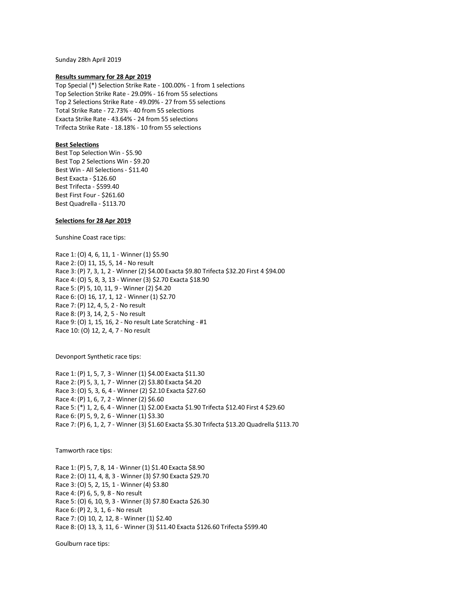Sunday 28th April 2019

#### **Results summary for 28 Apr 2019**

Top Special (\*) Selection Strike Rate - 100.00% - 1 from 1 selections Top Selection Strike Rate - 29.09% - 16 from 55 selections Top 2 Selections Strike Rate - 49.09% - 27 from 55 selections Total Strike Rate - 72.73% - 40 from 55 selections Exacta Strike Rate - 43.64% - 24 from 55 selections Trifecta Strike Rate - 18.18% - 10 from 55 selections

## **Best Selections**

Best Top Selection Win - \$5.90 Best Top 2 Selections Win - \$9.20 Best Win - All Selections - \$11.40 Best Exacta - \$126.60 Best Trifecta - \$599.40 Best First Four - \$261.60 Best Quadrella - \$113.70

### **Selections for 28 Apr 2019**

Sunshine Coast race tips:

Race 1: (O) 4, 6, 11, 1 - Winner (1) \$5.90 Race 2: (O) 11, 15, 5, 14 - No result Race 3: (P) 7, 3, 1, 2 - Winner (2) \$4.00 Exacta \$9.80 Trifecta \$32.20 First 4 \$94.00 Race 4: (O) 5, 8, 3, 13 - Winner (3) \$2.70 Exacta \$18.90 Race 5: (P) 5, 10, 11, 9 - Winner (2) \$4.20 Race 6: (O) 16, 17, 1, 12 - Winner (1) \$2.70 Race 7: (P) 12, 4, 5, 2 - No result Race 8: (P) 3, 14, 2, 5 - No result Race 9: (O) 1, 15, 16, 2 - No result Late Scratching - #1 Race 10: (O) 12, 2, 4, 7 - No result

Devonport Synthetic race tips:

Race 1: (P) 1, 5, 7, 3 - Winner (1) \$4.00 Exacta \$11.30 Race 2: (P) 5, 3, 1, 7 - Winner (2) \$3.80 Exacta \$4.20 Race 3: (O) 5, 3, 6, 4 - Winner (2) \$2.10 Exacta \$27.60 Race 4: (P) 1, 6, 7, 2 - Winner (2) \$6.60 Race 5: (\*) 1, 2, 6, 4 - Winner (1) \$2.00 Exacta \$1.90 Trifecta \$12.40 First 4 \$29.60 Race 6: (P) 5, 9, 2, 6 - Winner (1) \$3.30 Race 7: (P) 6, 1, 2, 7 - Winner (3) \$1.60 Exacta \$5.30 Trifecta \$13.20 Quadrella \$113.70

Tamworth race tips:

Race 1: (P) 5, 7, 8, 14 - Winner (1) \$1.40 Exacta \$8.90 Race 2: (O) 11, 4, 8, 3 - Winner (3) \$7.90 Exacta \$29.70 Race 3: (O) 5, 2, 15, 1 - Winner (4) \$3.80 Race 4: (P) 6, 5, 9, 8 - No result Race 5: (O) 6, 10, 9, 3 - Winner (3) \$7.80 Exacta \$26.30 Race 6: (P) 2, 3, 1, 6 - No result Race 7: (O) 10, 2, 12, 8 - Winner (1) \$2.40 Race 8: (O) 13, 3, 11, 6 - Winner (3) \$11.40 Exacta \$126.60 Trifecta \$599.40

Goulburn race tips: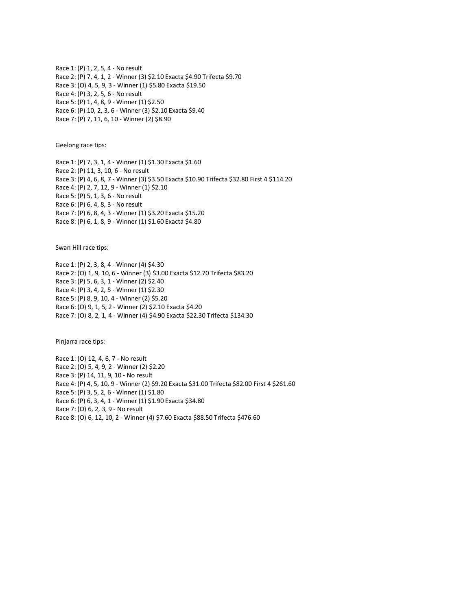Race 1: (P) 1, 2, 5, 4 - No result Race 2: (P) 7, 4, 1, 2 - Winner (3) \$2.10 Exacta \$4.90 Trifecta \$9.70 Race 3: (O) 4, 5, 9, 3 - Winner (1) \$5.80 Exacta \$19.50 Race 4: (P) 3, 2, 5, 6 - No result Race 5: (P) 1, 4, 8, 9 - Winner (1) \$2.50 Race 6: (P) 10, 2, 3, 6 - Winner (3) \$2.10 Exacta \$9.40 Race 7: (P) 7, 11, 6, 10 - Winner (2) \$8.90

Geelong race tips:

Race 1: (P) 7, 3, 1, 4 - Winner (1) \$1.30 Exacta \$1.60 Race 2: (P) 11, 3, 10, 6 - No result Race 3: (P) 4, 6, 8, 7 - Winner (3) \$3.50 Exacta \$10.90 Trifecta \$32.80 First 4 \$114.20 Race 4: (P) 2, 7, 12, 9 - Winner (1) \$2.10 Race 5: (P) 5, 1, 3, 6 - No result Race 6: (P) 6, 4, 8, 3 - No result Race 7: (P) 6, 8, 4, 3 - Winner (1) \$3.20 Exacta \$15.20 Race 8: (P) 6, 1, 8, 9 - Winner (1) \$1.60 Exacta \$4.80

Swan Hill race tips:

Race 1: (P) 2, 3, 8, 4 - Winner (4) \$4.30 Race 2: (O) 1, 9, 10, 6 - Winner (3) \$3.00 Exacta \$12.70 Trifecta \$83.20 Race 3: (P) 5, 6, 3, 1 - Winner (2) \$2.40 Race 4: (P) 3, 4, 2, 5 - Winner (1) \$2.30 Race 5: (P) 8, 9, 10, 4 - Winner (2) \$5.20 Race 6: (O) 9, 1, 5, 2 - Winner (2) \$2.10 Exacta \$4.20 Race 7: (O) 8, 2, 1, 4 - Winner (4) \$4.90 Exacta \$22.30 Trifecta \$134.30

Pinjarra race tips:

Race 1: (O) 12, 4, 6, 7 - No result Race 2: (O) 5, 4, 9, 2 - Winner (2) \$2.20 Race 3: (P) 14, 11, 9, 10 - No result Race 4: (P) 4, 5, 10, 9 - Winner (2) \$9.20 Exacta \$31.00 Trifecta \$82.00 First 4 \$261.60 Race 5: (P) 3, 5, 2, 6 - Winner (1) \$1.80 Race 6: (P) 6, 3, 4, 1 - Winner (1) \$1.90 Exacta \$34.80 Race 7: (O) 6, 2, 3, 9 - No result Race 8: (O) 6, 12, 10, 2 - Winner (4) \$7.60 Exacta \$88.50 Trifecta \$476.60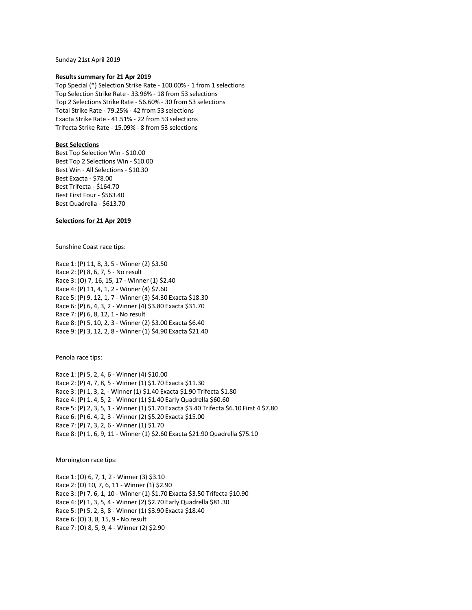Sunday 21st April 2019

#### **Results summary for 21 Apr 2019**

Top Special (\*) Selection Strike Rate - 100.00% - 1 from 1 selections Top Selection Strike Rate - 33.96% - 18 from 53 selections Top 2 Selections Strike Rate - 56.60% - 30 from 53 selections Total Strike Rate - 79.25% - 42 from 53 selections Exacta Strike Rate - 41.51% - 22 from 53 selections Trifecta Strike Rate - 15.09% - 8 from 53 selections

## **Best Selections**

Best Top Selection Win - \$10.00 Best Top 2 Selections Win - \$10.00 Best Win - All Selections - \$10.30 Best Exacta - \$78.00 Best Trifecta - \$164.70 Best First Four - \$563.40 Best Quadrella - \$613.70

# **Selections for 21 Apr 2019**

Sunshine Coast race tips:

Race 1: (P) 11, 8, 3, 5 - Winner (2) \$3.50 Race 2: (P) 8, 6, 7, 5 - No result Race 3: (O) 7, 16, 15, 17 - Winner (1) \$2.40 Race 4: (P) 11, 4, 1, 2 - Winner (4) \$7.60 Race 5: (P) 9, 12, 1, 7 - Winner (3) \$4.30 Exacta \$18.30 Race 6: (P) 6, 4, 3, 2 - Winner (4) \$3.80 Exacta \$31.70 Race 7: (P) 6, 8, 12, 1 - No result Race 8: (P) 5, 10, 2, 3 - Winner (2) \$3.00 Exacta \$6.40 Race 9: (P) 3, 12, 2, 8 - Winner (1) \$4.90 Exacta \$21.40

Penola race tips:

Race 1: (P) 5, 2, 4, 6 - Winner (4) \$10.00 Race 2: (P) 4, 7, 8, 5 - Winner (1) \$1.70 Exacta \$11.30 Race 3: (P) 1, 3, 2, - Winner (1) \$1.40 Exacta \$1.90 Trifecta \$1.80 Race 4: (P) 1, 4, 5, 2 - Winner (1) \$1.40 Early Quadrella \$60.60 Race 5: (P) 2, 3, 5, 1 - Winner (1) \$1.70 Exacta \$3.40 Trifecta \$6.10 First 4 \$7.80 Race 6: (P) 6, 4, 2, 3 - Winner (2) \$5.20 Exacta \$15.00 Race 7: (P) 7, 3, 2, 6 - Winner (1) \$1.70 Race 8: (P) 1, 6, 9, 11 - Winner (1) \$2.60 Exacta \$21.90 Quadrella \$75.10

Mornington race tips:

Race 1: (O) 6, 7, 1, 2 - Winner (3) \$3.10 Race 2: (O) 10, 7, 6, 11 - Winner (1) \$2.90 Race 3: (P) 7, 6, 1, 10 - Winner (1) \$1.70 Exacta \$3.50 Trifecta \$10.90 Race 4: (P) 1, 3, 5, 4 - Winner (2) \$2.70 Early Quadrella \$81.30 Race 5: (P) 5, 2, 3, 8 - Winner (1) \$3.90 Exacta \$18.40 Race 6: (O) 3, 8, 15, 9 - No result Race 7: (O) 8, 5, 9, 4 - Winner (2) \$2.90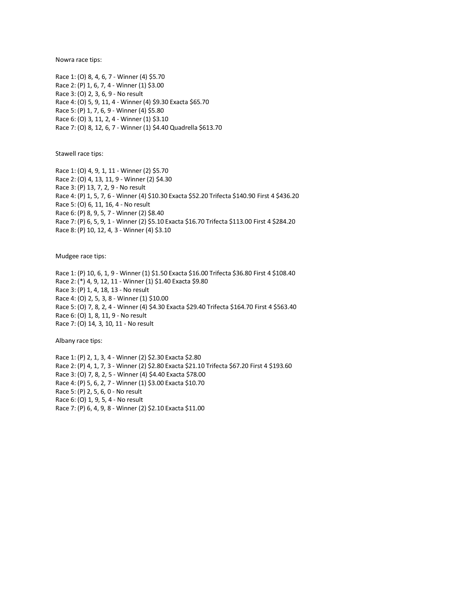Nowra race tips:

Race 1: (O) 8, 4, 6, 7 - Winner (4) \$5.70 Race 2: (P) 1, 6, 7, 4 - Winner (1) \$3.00 Race 3: (O) 2, 3, 6, 9 - No result Race 4: (O) 5, 9, 11, 4 - Winner (4) \$9.30 Exacta \$65.70 Race 5: (P) 1, 7, 6, 9 - Winner (4) \$5.80 Race 6: (O) 3, 11, 2, 4 - Winner (1) \$3.10 Race 7: (O) 8, 12, 6, 7 - Winner (1) \$4.40 Quadrella \$613.70

Stawell race tips:

Race 1: (O) 4, 9, 1, 11 - Winner (2) \$5.70 Race 2: (O) 4, 13, 11, 9 - Winner (2) \$4.30 Race 3: (P) 13, 7, 2, 9 - No result Race 4: (P) 1, 5, 7, 6 - Winner (4) \$10.30 Exacta \$52.20 Trifecta \$140.90 First 4 \$436.20 Race 5: (O) 6, 11, 16, 4 - No result Race 6: (P) 8, 9, 5, 7 - Winner (2) \$8.40 Race 7: (P) 6, 5, 9, 1 - Winner (2) \$5.10 Exacta \$16.70 Trifecta \$113.00 First 4 \$284.20 Race 8: (P) 10, 12, 4, 3 - Winner (4) \$3.10

Mudgee race tips:

Race 1: (P) 10, 6, 1, 9 - Winner (1) \$1.50 Exacta \$16.00 Trifecta \$36.80 First 4 \$108.40 Race 2: (\*) 4, 9, 12, 11 - Winner (1) \$1.40 Exacta \$9.80 Race 3: (P) 1, 4, 18, 13 - No result Race 4: (O) 2, 5, 3, 8 - Winner (1) \$10.00 Race 5: (O) 7, 8, 2, 4 - Winner (4) \$4.30 Exacta \$29.40 Trifecta \$164.70 First 4 \$563.40 Race 6: (O) 1, 8, 11, 9 - No result Race 7: (O) 14, 3, 10, 11 - No result

Albany race tips:

Race 1: (P) 2, 1, 3, 4 - Winner (2) \$2.30 Exacta \$2.80 Race 2: (P) 4, 1, 7, 3 - Winner (2) \$2.80 Exacta \$21.10 Trifecta \$67.20 First 4 \$193.60 Race 3: (O) 7, 8, 2, 5 - Winner (4) \$4.40 Exacta \$78.00 Race 4: (P) 5, 6, 2, 7 - Winner (1) \$3.00 Exacta \$10.70 Race 5: (P) 2, 5, 6, 0 - No result Race 6: (O) 1, 9, 5, 4 - No result Race 7: (P) 6, 4, 9, 8 - Winner (2) \$2.10 Exacta \$11.00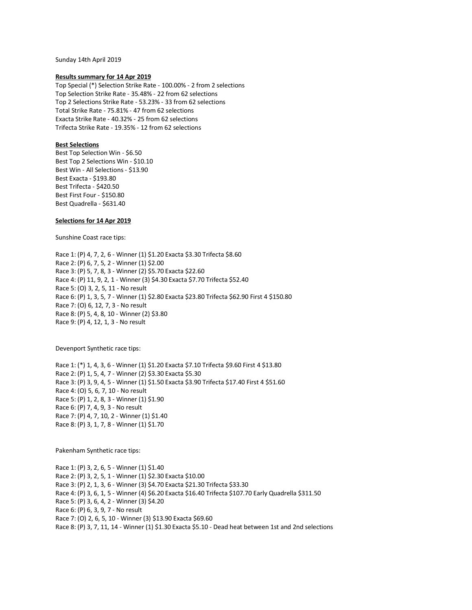Sunday 14th April 2019

#### **Results summary for 14 Apr 2019**

Top Special (\*) Selection Strike Rate - 100.00% - 2 from 2 selections Top Selection Strike Rate - 35.48% - 22 from 62 selections Top 2 Selections Strike Rate - 53.23% - 33 from 62 selections Total Strike Rate - 75.81% - 47 from 62 selections Exacta Strike Rate - 40.32% - 25 from 62 selections Trifecta Strike Rate - 19.35% - 12 from 62 selections

# **Best Selections**

Best Top Selection Win - \$6.50 Best Top 2 Selections Win - \$10.10 Best Win - All Selections - \$13.90 Best Exacta - \$193.80 Best Trifecta - \$420.50 Best First Four - \$150.80 Best Quadrella - \$631.40

## **Selections for 14 Apr 2019**

Sunshine Coast race tips:

Race 1: (P) 4, 7, 2, 6 - Winner (1) \$1.20 Exacta \$3.30 Trifecta \$8.60 Race 2: (P) 6, 7, 5, 2 - Winner (1) \$2.00 Race 3: (P) 5, 7, 8, 3 - Winner (2) \$5.70 Exacta \$22.60 Race 4: (P) 11, 9, 2, 1 - Winner (3) \$4.30 Exacta \$7.70 Trifecta \$52.40 Race 5: (O) 3, 2, 5, 11 - No result Race 6: (P) 1, 3, 5, 7 - Winner (1) \$2.80 Exacta \$23.80 Trifecta \$62.90 First 4 \$150.80 Race 7: (O) 6, 12, 7, 3 - No result Race 8: (P) 5, 4, 8, 10 - Winner (2) \$3.80 Race 9: (P) 4, 12, 1, 3 - No result

Devenport Synthetic race tips:

Race 1: (\*) 1, 4, 3, 6 - Winner (1) \$1.20 Exacta \$7.10 Trifecta \$9.60 First 4 \$13.80 Race 2: (P) 1, 5, 4, 7 - Winner (2) \$3.30 Exacta \$5.30 Race 3: (P) 3, 9, 4, 5 - Winner (1) \$1.50 Exacta \$3.90 Trifecta \$17.40 First 4 \$51.60 Race 4: (O) 5, 6, 7, 10 - No result Race 5: (P) 1, 2, 8, 3 - Winner (1) \$1.90 Race 6: (P) 7, 4, 9, 3 - No result Race 7: (P) 4, 7, 10, 2 - Winner (1) \$1.40 Race 8: (P) 3, 1, 7, 8 - Winner (1) \$1.70

Pakenham Synthetic race tips:

Race 1: (P) 3, 2, 6, 5 - Winner (1) \$1.40 Race 2: (P) 3, 2, 5, 1 - Winner (1) \$2.30 Exacta \$10.00 Race 3: (P) 2, 1, 3, 6 - Winner (3) \$4.70 Exacta \$21.30 Trifecta \$33.30 Race 4: (P) 3, 6, 1, 5 - Winner (4) \$6.20 Exacta \$16.40 Trifecta \$107.70 Early Quadrella \$311.50 Race 5: (P) 3, 6, 4, 2 - Winner (3) \$4.20 Race 6: (P) 6, 3, 9, 7 - No result Race 7: (O) 2, 6, 5, 10 - Winner (3) \$13.90 Exacta \$69.60 Race 8: (P) 3, 7, 11, 14 - Winner (1) \$1.30 Exacta \$5.10 - Dead heat between 1st and 2nd selections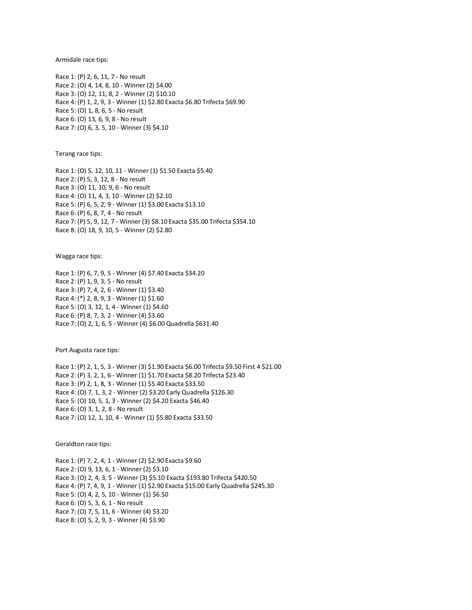Armidale race tips:

Race 1: (P) 2, 6, 11, 7 - No result Race 2: (O) 4, 14, 8, 10 - Winner (2) \$4.00 Race 3: (O) 12, 11, 8, 2 - Winner (2) \$10.10 Race 4: (P) 1, 2, 9, 3 - Winner (1) \$2.80 Exacta \$6.80 Trifecta \$69.90 Race 5: (O) 1, 8, 6, 5 - No result Race 6: (O) 13, 6, 9, 8 - No result Race 7: (O) 6, 3, 5, 10 - Winner (3) \$4.10

Terang race tips:

Race 1: (O) 5, 12, 10, 11 - Winner (1) \$1.50 Exacta \$5.40 Race 2: (P) 5, 3, 12, 8 - No result Race 3: (O) 11, 10, 9, 6 - No result Race 4: (O) 11, 4, 3, 10 - Winner (2) \$2.10 Race 5: (P) 6, 5, 2, 9 - Winner (1) \$3.00 Exacta \$13.10 Race 6: (P) 6, 8, 7, 4 - No result Race 7: (P) 5, 9, 12, 7 - Winner (3) \$8.10 Exacta \$35.00 Trifecta \$354.10 Race 8: (O) 18, 9, 10, 5 - Winner (2) \$2.80

Wagga race tips:

Race 1: (P) 6, 7, 9, 5 - Winner (4) \$7.40 Exacta \$34.20 Race 2: (P) 1, 9, 3, 5 - No result Race 3: (P) 7, 4, 2, 6 - Winner (1) \$3.40 Race 4: (\*) 2, 8, 9, 3 - Winner (1) \$1.60 Race 5: (O) 3, 12, 1, 4 - Winner (1) \$4.60 Race 6: (P) 8, 7, 3, 2 - Winner (4) \$3.60 Race 7: (O) 2, 1, 6, 5 - Winner (4) \$6.00 Quadrella \$631.40

Port Augusta race tips:

Race 1: (P) 2, 1, 5, 3 - Winner (3) \$1.90 Exacta \$6.00 Trifecta \$9.50 First 4 \$21.00 Race 2: (P) 3, 2, 1, 6 - Winner (1) \$1.70 Exacta \$8.20 Trifecta \$23.40 Race 3: (P) 2, 1, 8, 3 - Winner (1) \$5.40 Exacta \$33.50 Race 4: (O) 7, 1, 3, 2 - Winner (2) \$3.20 Early Quadrella \$126.30 Race 5: (O) 10, 5, 1, 3 - Winner (2) \$4.20 Exacta \$46.40 Race 6: (O) 3, 1, 2, 8 - No result Race 7: (O) 12, 1, 10, 4 - Winner (1) \$5.80 Exacta \$33.50

Geraldton race tips:

Race 1: (P) 7, 2, 4, 1 - Winner (2) \$2.90 Exacta \$9.60 Race 2: (O) 9, 13, 6, 1 - Winner (2) \$3.10 Race 3: (O) 2, 4, 3, 5 - Winner (3) \$5.10 Exacta \$193.80 Trifecta \$420.50 Race 4: (P) 7, 4, 9, 1 - Winner (1) \$2.90 Exacta \$15.00 Early Quadrella \$245.30 Race 5: (O) 4, 2, 5, 10 - Winner (1) \$6.50 Race 6: (O) 5, 3, 6, 1 - No result Race 7: (O) 7, 5, 11, 6 - Winner (4) \$3.20 Race 8: (O) 5, 2, 9, 3 - Winner (4) \$3.90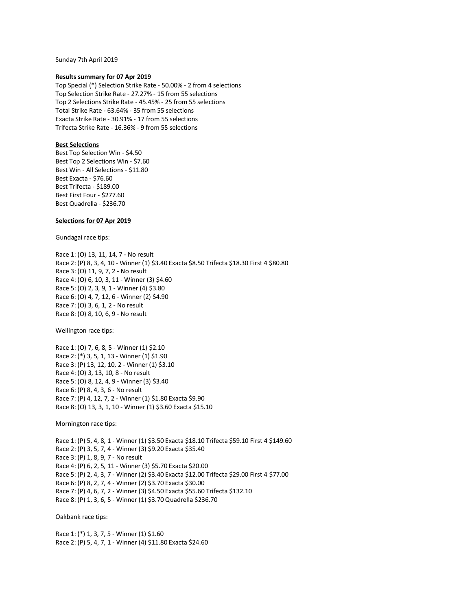Sunday 7th April 2019

### **Results summary for 07 Apr 2019**

Top Special (\*) Selection Strike Rate - 50.00% - 2 from 4 selections Top Selection Strike Rate - 27.27% - 15 from 55 selections Top 2 Selections Strike Rate - 45.45% - 25 from 55 selections Total Strike Rate - 63.64% - 35 from 55 selections Exacta Strike Rate - 30.91% - 17 from 55 selections Trifecta Strike Rate - 16.36% - 9 from 55 selections

# **Best Selections**

Best Top Selection Win - \$4.50 Best Top 2 Selections Win - \$7.60 Best Win - All Selections - \$11.80 Best Exacta - \$76.60 Best Trifecta - \$189.00 Best First Four - \$277.60 Best Quadrella - \$236.70

# **Selections for 07 Apr 2019**

Gundagai race tips:

Race 1: (O) 13, 11, 14, 7 - No result Race 2: (P) 8, 3, 4, 10 - Winner (1) \$3.40 Exacta \$8.50 Trifecta \$18.30 First 4 \$80.80 Race 3: (O) 11, 9, 7, 2 - No result Race 4: (O) 6, 10, 3, 11 - Winner (3) \$4.60 Race 5: (O) 2, 3, 9, 1 - Winner (4) \$3.80 Race 6: (O) 4, 7, 12, 6 - Winner (2) \$4.90 Race 7: (O) 3, 6, 1, 2 - No result Race 8: (O) 8, 10, 6, 9 - No result

Wellington race tips:

Race 1: (O) 7, 6, 8, 5 - Winner (1) \$2.10 Race 2: (\*) 3, 5, 1, 13 - Winner (1) \$1.90 Race 3: (P) 13, 12, 10, 2 - Winner (1) \$3.10 Race 4: (O) 3, 13, 10, 8 - No result Race 5: (O) 8, 12, 4, 9 - Winner (3) \$3.40 Race 6: (P) 8, 4, 3, 6 - No result Race 7: (P) 4, 12, 7, 2 - Winner (1) \$1.80 Exacta \$9.90 Race 8: (O) 13, 3, 1, 10 - Winner (1) \$3.60 Exacta \$15.10

Mornington race tips:

Race 1: (P) 5, 4, 8, 1 - Winner (1) \$3.50 Exacta \$18.10 Trifecta \$59.10 First 4 \$149.60 Race 2: (P) 3, 5, 7, 4 - Winner (3) \$9.20 Exacta \$35.40 Race 3: (P) 1, 8, 9, 7 - No result Race 4: (P) 6, 2, 5, 11 - Winner (3) \$5.70 Exacta \$20.00 Race 5: (P) 2, 4, 3, 7 - Winner (2) \$3.40 Exacta \$12.00 Trifecta \$29.00 First 4 \$77.00 Race 6: (P) 8, 2, 7, 4 - Winner (2) \$3.70 Exacta \$30.00 Race 7: (P) 4, 6, 7, 2 - Winner (3) \$4.50 Exacta \$55.60 Trifecta \$132.10 Race 8: (P) 1, 3, 6, 5 - Winner (1) \$3.70 Quadrella \$236.70

Oakbank race tips:

Race 1: (\*) 1, 3, 7, 5 - Winner (1) \$1.60 Race 2: (P) 5, 4, 7, 1 - Winner (4) \$11.80 Exacta \$24.60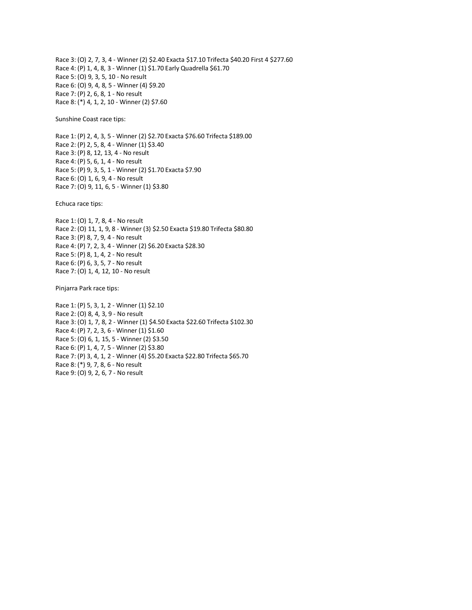Race 3: (O) 2, 7, 3, 4 - Winner (2) \$2.40 Exacta \$17.10 Trifecta \$40.20 First 4 \$277.60 Race 4: (P) 1, 4, 8, 3 - Winner (1) \$1.70 Early Quadrella \$61.70 Race 5: (O) 9, 3, 5, 10 - No result Race 6: (O) 9, 4, 8, 5 - Winner (4) \$9.20 Race 7: (P) 2, 6, 8, 1 - No result Race 8: (\*) 4, 1, 2, 10 - Winner (2) \$7.60

Sunshine Coast race tips:

Race 1: (P) 2, 4, 3, 5 - Winner (2) \$2.70 Exacta \$76.60 Trifecta \$189.00 Race 2: (P) 2, 5, 8, 4 - Winner (1) \$3.40 Race 3: (P) 8, 12, 13, 4 - No result Race 4: (P) 5, 6, 1, 4 - No result Race 5: (P) 9, 3, 5, 1 - Winner (2) \$1.70 Exacta \$7.90 Race 6: (O) 1, 6, 9, 4 - No result Race 7: (O) 9, 11, 6, 5 - Winner (1) \$3.80

Echuca race tips:

Race 1: (O) 1, 7, 8, 4 - No result Race 2: (O) 11, 1, 9, 8 - Winner (3) \$2.50 Exacta \$19.80 Trifecta \$80.80 Race 3: (P) 8, 7, 9, 4 - No result Race 4: (P) 7, 2, 3, 4 - Winner (2) \$6.20 Exacta \$28.30 Race 5: (P) 8, 1, 4, 2 - No result Race 6: (P) 6, 3, 5, 7 - No result Race 7: (O) 1, 4, 12, 10 - No result

Pinjarra Park race tips:

Race 1: (P) 5, 3, 1, 2 - Winner (1) \$2.10 Race 2: (O) 8, 4, 3, 9 - No result Race 3: (O) 1, 7, 8, 2 - Winner (1) \$4.50 Exacta \$22.60 Trifecta \$102.30 Race 4: (P) 7, 2, 3, 6 - Winner (1) \$1.60 Race 5: (O) 6, 1, 15, 5 - Winner (2) \$3.50 Race 6: (P) 1, 4, 7, 5 - Winner (2) \$3.80 Race 7: (P) 3, 4, 1, 2 - Winner (4) \$5.20 Exacta \$22.80 Trifecta \$65.70 Race 8: (\*) 9, 7, 8, 6 - No result Race 9: (O) 9, 2, 6, 7 - No result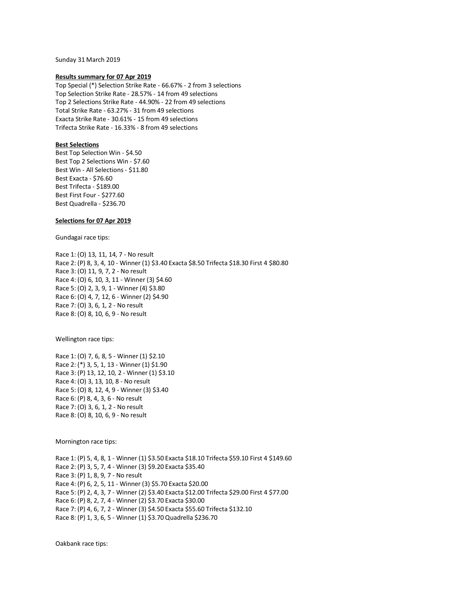Sunday 31 March 2019

## **Results summary for 07 Apr 2019**

Top Special (\*) Selection Strike Rate - 66.67% - 2 from 3 selections Top Selection Strike Rate - 28.57% - 14 from 49 selections Top 2 Selections Strike Rate - 44.90% - 22 from 49 selections Total Strike Rate - 63.27% - 31 from 49 selections Exacta Strike Rate - 30.61% - 15 from 49 selections Trifecta Strike Rate - 16.33% - 8 from 49 selections

# **Best Selections**

Best Top Selection Win - \$4.50 Best Top 2 Selections Win - \$7.60 Best Win - All Selections - \$11.80 Best Exacta - \$76.60 Best Trifecta - \$189.00 Best First Four - \$277.60 Best Quadrella - \$236.70

## **Selections for 07 Apr 2019**

Gundagai race tips:

Race 1: (O) 13, 11, 14, 7 - No result Race 2: (P) 8, 3, 4, 10 - Winner (1) \$3.40 Exacta \$8.50 Trifecta \$18.30 First 4 \$80.80 Race 3: (O) 11, 9, 7, 2 - No result Race 4: (O) 6, 10, 3, 11 - Winner (3) \$4.60 Race 5: (O) 2, 3, 9, 1 - Winner (4) \$3.80 Race 6: (O) 4, 7, 12, 6 - Winner (2) \$4.90 Race 7: (O) 3, 6, 1, 2 - No result Race 8: (O) 8, 10, 6, 9 - No result

Wellington race tips:

Race 1: (O) 7, 6, 8, 5 - Winner (1) \$2.10 Race 2: (\*) 3, 5, 1, 13 - Winner (1) \$1.90 Race 3: (P) 13, 12, 10, 2 - Winner (1) \$3.10 Race 4: (O) 3, 13, 10, 8 - No result Race 5: (O) 8, 12, 4, 9 - Winner (3) \$3.40 Race 6: (P) 8, 4, 3, 6 - No result Race 7: (O) 3, 6, 1, 2 - No result Race 8: (O) 8, 10, 6, 9 - No result

Mornington race tips:

Race 1: (P) 5, 4, 8, 1 - Winner (1) \$3.50 Exacta \$18.10 Trifecta \$59.10 First 4 \$149.60 Race 2: (P) 3, 5, 7, 4 - Winner (3) \$9.20 Exacta \$35.40 Race 3: (P) 1, 8, 9, 7 - No result Race 4: (P) 6, 2, 5, 11 - Winner (3) \$5.70 Exacta \$20.00 Race 5: (P) 2, 4, 3, 7 - Winner (2) \$3.40 Exacta \$12.00 Trifecta \$29.00 First 4 \$77.00 Race 6: (P) 8, 2, 7, 4 - Winner (2) \$3.70 Exacta \$30.00 Race 7: (P) 4, 6, 7, 2 - Winner (3) \$4.50 Exacta \$55.60 Trifecta \$132.10 Race 8: (P) 1, 3, 6, 5 - Winner (1) \$3.70 Quadrella \$236.70

Oakbank race tips: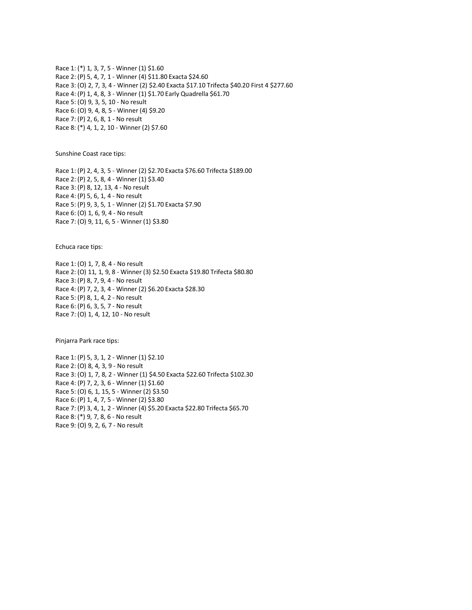Race 1: (\*) 1, 3, 7, 5 - Winner (1) \$1.60 Race 2: (P) 5, 4, 7, 1 - Winner (4) \$11.80 Exacta \$24.60 Race 3: (O) 2, 7, 3, 4 - Winner (2) \$2.40 Exacta \$17.10 Trifecta \$40.20 First 4 \$277.60 Race 4: (P) 1, 4, 8, 3 - Winner (1) \$1.70 Early Quadrella \$61.70 Race 5: (O) 9, 3, 5, 10 - No result Race 6: (O) 9, 4, 8, 5 - Winner (4) \$9.20 Race 7: (P) 2, 6, 8, 1 - No result Race 8: (\*) 4, 1, 2, 10 - Winner (2) \$7.60

Sunshine Coast race tips:

Race 1: (P) 2, 4, 3, 5 - Winner (2) \$2.70 Exacta \$76.60 Trifecta \$189.00 Race 2: (P) 2, 5, 8, 4 - Winner (1) \$3.40 Race 3: (P) 8, 12, 13, 4 - No result Race 4: (P) 5, 6, 1, 4 - No result Race 5: (P) 9, 3, 5, 1 - Winner (2) \$1.70 Exacta \$7.90 Race 6: (O) 1, 6, 9, 4 - No result Race 7: (O) 9, 11, 6, 5 - Winner (1) \$3.80

Echuca race tips:

Race 1: (O) 1, 7, 8, 4 - No result Race 2: (O) 11, 1, 9, 8 - Winner (3) \$2.50 Exacta \$19.80 Trifecta \$80.80 Race 3: (P) 8, 7, 9, 4 - No result Race 4: (P) 7, 2, 3, 4 - Winner (2) \$6.20 Exacta \$28.30 Race 5: (P) 8, 1, 4, 2 - No result Race 6: (P) 6, 3, 5, 7 - No result Race 7: (O) 1, 4, 12, 10 - No result

Pinjarra Park race tips:

Race 1: (P) 5, 3, 1, 2 - Winner (1) \$2.10 Race 2: (O) 8, 4, 3, 9 - No result Race 3: (O) 1, 7, 8, 2 - Winner (1) \$4.50 Exacta \$22.60 Trifecta \$102.30 Race 4: (P) 7, 2, 3, 6 - Winner (1) \$1.60 Race 5: (O) 6, 1, 15, 5 - Winner (2) \$3.50 Race 6: (P) 1, 4, 7, 5 - Winner (2) \$3.80 Race 7: (P) 3, 4, 1, 2 - Winner (4) \$5.20 Exacta \$22.80 Trifecta \$65.70 Race 8: (\*) 9, 7, 8, 6 - No result Race 9: (O) 9, 2, 6, 7 - No result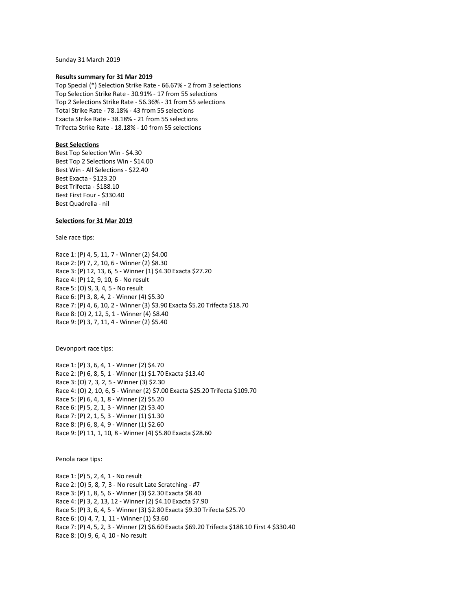Sunday 31 March 2019

## **Results summary for 31 Mar 2019**

Top Special (\*) Selection Strike Rate - 66.67% - 2 from 3 selections Top Selection Strike Rate - 30.91% - 17 from 55 selections Top 2 Selections Strike Rate - 56.36% - 31 from 55 selections Total Strike Rate - 78.18% - 43 from 55 selections Exacta Strike Rate - 38.18% - 21 from 55 selections Trifecta Strike Rate - 18.18% - 10 from 55 selections

## **Best Selections**

Best Top Selection Win - \$4.30 Best Top 2 Selections Win - \$14.00 Best Win - All Selections - \$22.40 Best Exacta - \$123.20 Best Trifecta - \$188.10 Best First Four - \$330.40 Best Quadrella - nil

## **Selections for 31 Mar 2019**

Sale race tips:

Race 1: (P) 4, 5, 11, 7 - Winner (2) \$4.00 Race 2: (P) 7, 2, 10, 6 - Winner (2) \$8.30 Race 3: (P) 12, 13, 6, 5 - Winner (1) \$4.30 Exacta \$27.20 Race 4: (P) 12, 9, 10, 6 - No result Race 5: (O) 9, 3, 4, 5 - No result Race 6: (P) 3, 8, 4, 2 - Winner (4) \$5.30 Race 7: (P) 4, 6, 10, 2 - Winner (3) \$3.90 Exacta \$5.20 Trifecta \$18.70 Race 8: (O) 2, 12, 5, 1 - Winner (4) \$8.40 Race 9: (P) 3, 7, 11, 4 - Winner (2) \$5.40

Devonport race tips:

Race 1: (P) 3, 6, 4, 1 - Winner (2) \$4.70 Race 2: (P) 6, 8, 5, 1 - Winner (1) \$1.70 Exacta \$13.40 Race 3: (O) 7, 3, 2, 5 - Winner (3) \$2.30 Race 4: (O) 2, 10, 6, 5 - Winner (2) \$7.00 Exacta \$25.20 Trifecta \$109.70 Race 5: (P) 6, 4, 1, 8 - Winner (2) \$5.20 Race 6: (P) 5, 2, 1, 3 - Winner (2) \$3.40 Race 7: (P) 2, 1, 5, 3 - Winner (1) \$1.30 Race 8: (P) 6, 8, 4, 9 - Winner (1) \$2.60 Race 9: (P) 11, 1, 10, 8 - Winner (4) \$5.80 Exacta \$28.60

Penola race tips:

Race 1: (P) 5, 2, 4, 1 - No result Race 2: (O) 5, 8, 7, 3 - No result Late Scratching - #7 Race 3: (P) 1, 8, 5, 6 - Winner (3) \$2.30 Exacta \$8.40 Race 4: (P) 3, 2, 13, 12 - Winner (2) \$4.10 Exacta \$7.90 Race 5: (P) 3, 6, 4, 5 - Winner (3) \$2.80 Exacta \$9.30 Trifecta \$25.70 Race 6: (O) 4, 7, 1, 11 - Winner (1) \$3.60 Race 7: (P) 4, 5, 2, 3 - Winner (2) \$6.60 Exacta \$69.20 Trifecta \$188.10 First 4 \$330.40 Race 8: (O) 9, 6, 4, 10 - No result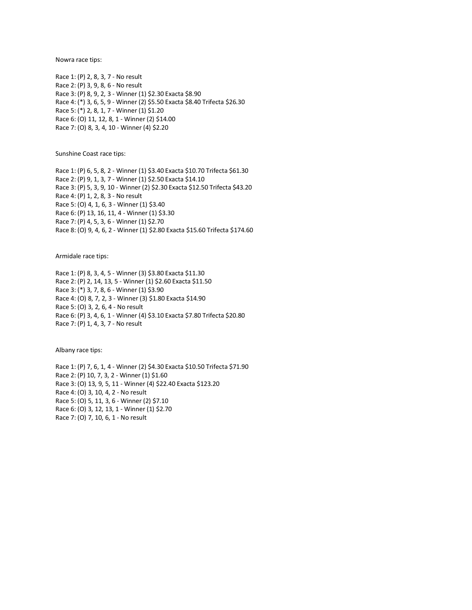Nowra race tips:

Race 1: (P) 2, 8, 3, 7 - No result Race 2: (P) 3, 9, 8, 6 - No result Race 3: (P) 8, 9, 2, 3 - Winner (1) \$2.30 Exacta \$8.90 Race 4: (\*) 3, 6, 5, 9 - Winner (2) \$5.50 Exacta \$8.40 Trifecta \$26.30 Race 5: (\*) 2, 8, 1, 7 - Winner (1) \$1.20 Race 6: (O) 11, 12, 8, 1 - Winner (2) \$14.00 Race 7: (O) 8, 3, 4, 10 - Winner (4) \$2.20

Sunshine Coast race tips:

Race 1: (P) 6, 5, 8, 2 - Winner (1) \$3.40 Exacta \$10.70 Trifecta \$61.30 Race 2: (P) 9, 1, 3, 7 - Winner (1) \$2.50 Exacta \$14.10 Race 3: (P) 5, 3, 9, 10 - Winner (2) \$2.30 Exacta \$12.50 Trifecta \$43.20 Race 4: (P) 1, 2, 8, 3 - No result Race 5: (O) 4, 1, 6, 3 - Winner (1) \$3.40 Race 6: (P) 13, 16, 11, 4 - Winner (1) \$3.30 Race 7: (P) 4, 5, 3, 6 - Winner (1) \$2.70 Race 8: (O) 9, 4, 6, 2 - Winner (1) \$2.80 Exacta \$15.60 Trifecta \$174.60

Armidale race tips:

Race 1: (P) 8, 3, 4, 5 - Winner (3) \$3.80 Exacta \$11.30 Race 2: (P) 2, 14, 13, 5 - Winner (1) \$2.60 Exacta \$11.50 Race 3: (\*) 3, 7, 8, 6 - Winner (1) \$3.90 Race 4: (O) 8, 7, 2, 3 - Winner (3) \$1.80 Exacta \$14.90 Race 5: (O) 3, 2, 6, 4 - No result Race 6: (P) 3, 4, 6, 1 - Winner (4) \$3.10 Exacta \$7.80 Trifecta \$20.80 Race 7: (P) 1, 4, 3, 7 - No result

Albany race tips:

Race 1: (P) 7, 6, 1, 4 - Winner (2) \$4.30 Exacta \$10.50 Trifecta \$71.90 Race 2: (P) 10, 7, 3, 2 - Winner (1) \$1.60 Race 3: (O) 13, 9, 5, 11 - Winner (4) \$22.40 Exacta \$123.20 Race 4: (O) 3, 10, 4, 2 - No result Race 5: (O) 5, 11, 3, 6 - Winner (2) \$7.10 Race 6: (O) 3, 12, 13, 1 - Winner (1) \$2.70 Race 7: (O) 7, 10, 6, 1 - No result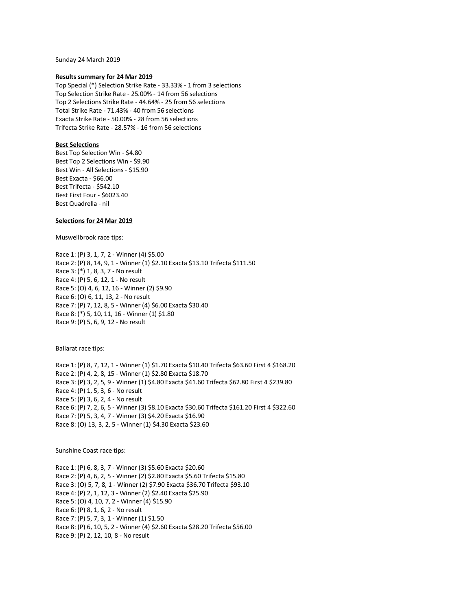Sunday 24 March 2019

## **Results summary for 24 Mar 2019**

Top Special (\*) Selection Strike Rate - 33.33% - 1 from 3 selections Top Selection Strike Rate - 25.00% - 14 from 56 selections Top 2 Selections Strike Rate - 44.64% - 25 from 56 selections Total Strike Rate - 71.43% - 40 from 56 selections Exacta Strike Rate - 50.00% - 28 from 56 selections Trifecta Strike Rate - 28.57% - 16 from 56 selections

# **Best Selections**

Best Top Selection Win - \$4.80 Best Top 2 Selections Win - \$9.90 Best Win - All Selections - \$15.90 Best Exacta - \$66.00 Best Trifecta - \$542.10 Best First Four - \$6023.40 Best Quadrella - nil

# **Selections for 24 Mar 2019**

Muswellbrook race tips:

Race 1: (P) 3, 1, 7, 2 - Winner (4) \$5.00 Race 2: (P) 8, 14, 9, 1 - Winner (1) \$2.10 Exacta \$13.10 Trifecta \$111.50 Race 3: (\*) 1, 8, 3, 7 - No result Race 4: (P) 5, 6, 12, 1 - No result Race 5: (O) 4, 6, 12, 16 - Winner (2) \$9.90 Race 6: (O) 6, 11, 13, 2 - No result Race 7: (P) 7, 12, 8, 5 - Winner (4) \$6.00 Exacta \$30.40 Race 8: (\*) 5, 10, 11, 16 - Winner (1) \$1.80 Race 9: (P) 5, 6, 9, 12 - No result

Ballarat race tips:

Race 1: (P) 8, 7, 12, 1 - Winner (1) \$1.70 Exacta \$10.40 Trifecta \$63.60 First 4 \$168.20 Race 2: (P) 4, 2, 8, 15 - Winner (1) \$2.80 Exacta \$18.70 Race 3: (P) 3, 2, 5, 9 - Winner (1) \$4.80 Exacta \$41.60 Trifecta \$62.80 First 4 \$239.80 Race 4: (P) 1, 5, 3, 6 - No result Race 5: (P) 3, 6, 2, 4 - No result Race 6: (P) 7, 2, 6, 5 - Winner (3) \$8.10 Exacta \$30.60 Trifecta \$161.20 First 4 \$322.60 Race 7: (P) 5, 3, 4, 7 - Winner (3) \$4.20 Exacta \$16.90 Race 8: (O) 13, 3, 2, 5 - Winner (1) \$4.30 Exacta \$23.60

Sunshine Coast race tips:

Race 1: (P) 6, 8, 3, 7 - Winner (3) \$5.60 Exacta \$20.60 Race 2: (P) 4, 6, 2, 5 - Winner (2) \$2.80 Exacta \$5.60 Trifecta \$15.80 Race 3: (O) 5, 7, 8, 1 - Winner (2) \$7.90 Exacta \$36.70 Trifecta \$93.10 Race 4: (P) 2, 1, 12, 3 - Winner (2) \$2.40 Exacta \$25.90 Race 5: (O) 4, 10, 7, 2 - Winner (4) \$15.90 Race 6: (P) 8, 1, 6, 2 - No result Race 7: (P) 5, 7, 3, 1 - Winner (1) \$1.50 Race 8: (P) 6, 10, 5, 2 - Winner (4) \$2.60 Exacta \$28.20 Trifecta \$56.00 Race 9: (P) 2, 12, 10, 8 - No result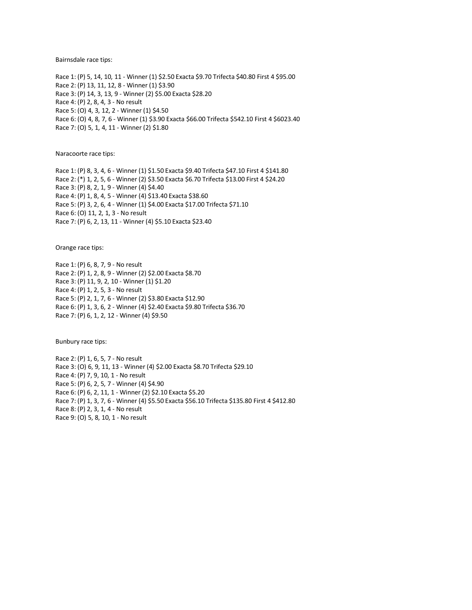Bairnsdale race tips:

Race 1: (P) 5, 14, 10, 11 - Winner (1) \$2.50 Exacta \$9.70 Trifecta \$40.80 First 4 \$95.00 Race 2: (P) 13, 11, 12, 8 - Winner (1) \$3.90 Race 3: (P) 14, 3, 13, 9 - Winner (2) \$5.00 Exacta \$28.20 Race 4: (P) 2, 8, 4, 3 - No result Race 5: (O) 4, 3, 12, 2 - Winner (1) \$4.50 Race 6: (O) 4, 8, 7, 6 - Winner (1) \$3.90 Exacta \$66.00 Trifecta \$542.10 First 4 \$6023.40 Race 7: (O) 5, 1, 4, 11 - Winner (2) \$1.80

Naracoorte race tips:

Race 1: (P) 8, 3, 4, 6 - Winner (1) \$1.50 Exacta \$9.40 Trifecta \$47.10 First 4 \$141.80 Race 2: (\*) 1, 2, 5, 6 - Winner (2) \$3.50 Exacta \$6.70 Trifecta \$13.00 First 4 \$24.20 Race 3: (P) 8, 2, 1, 9 - Winner (4) \$4.40 Race 4: (P) 1, 8, 4, 5 - Winner (4) \$13.40 Exacta \$38.60 Race 5: (P) 3, 2, 6, 4 - Winner (1) \$4.00 Exacta \$17.00 Trifecta \$71.10 Race 6: (O) 11, 2, 1, 3 - No result Race 7: (P) 6, 2, 13, 11 - Winner (4) \$5.10 Exacta \$23.40

Orange race tips:

Race 1: (P) 6, 8, 7, 9 - No result Race 2: (P) 1, 2, 8, 9 - Winner (2) \$2.00 Exacta \$8.70 Race 3: (P) 11, 9, 2, 10 - Winner (1) \$1.20 Race 4: (P) 1, 2, 5, 3 - No result Race 5: (P) 2, 1, 7, 6 - Winner (2) \$3.80 Exacta \$12.90 Race 6: (P) 1, 3, 6, 2 - Winner (4) \$2.40 Exacta \$9.80 Trifecta \$36.70 Race 7: (P) 6, 1, 2, 12 - Winner (4) \$9.50

Bunbury race tips:

Race 2: (P) 1, 6, 5, 7 - No result Race 3: (O) 6, 9, 11, 13 - Winner (4) \$2.00 Exacta \$8.70 Trifecta \$29.10 Race 4: (P) 7, 9, 10, 1 - No result Race 5: (P) 6, 2, 5, 7 - Winner (4) \$4.90 Race 6: (P) 6, 2, 11, 1 - Winner (2) \$2.10 Exacta \$5.20 Race 7: (P) 1, 3, 7, 6 - Winner (4) \$5.50 Exacta \$56.10 Trifecta \$135.80 First 4 \$412.80 Race 8: (P) 2, 3, 1, 4 - No result Race 9: (O) 5, 8, 10, 1 - No result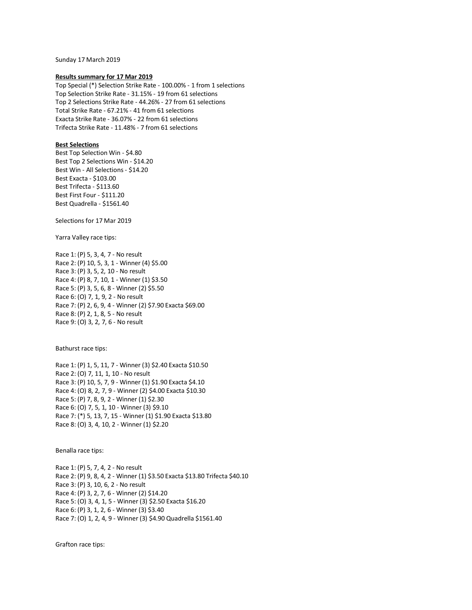Sunday 17 March 2019

#### **Results summary for 17 Mar 2019**

Top Special (\*) Selection Strike Rate - 100.00% - 1 from 1 selections Top Selection Strike Rate - 31.15% - 19 from 61 selections Top 2 Selections Strike Rate - 44.26% - 27 from 61 selections Total Strike Rate - 67.21% - 41 from 61 selections Exacta Strike Rate - 36.07% - 22 from 61 selections Trifecta Strike Rate - 11.48% - 7 from 61 selections

## **Best Selections**

Best Top Selection Win - \$4.80 Best Top 2 Selections Win - \$14.20 Best Win - All Selections - \$14.20 Best Exacta - \$103.00 Best Trifecta - \$113.60 Best First Four - \$111.20 Best Quadrella - \$1561.40

Selections for 17 Mar 2019

Yarra Valley race tips:

Race 1: (P) 5, 3, 4, 7 - No result Race 2: (P) 10, 5, 3, 1 - Winner (4) \$5.00 Race 3: (P) 3, 5, 2, 10 - No result Race 4: (P) 8, 7, 10, 1 - Winner (1) \$3.50 Race 5: (P) 3, 5, 6, 8 - Winner (2) \$5.50 Race 6: (O) 7, 1, 9, 2 - No result Race 7: (P) 2, 6, 9, 4 - Winner (2) \$7.90 Exacta \$69.00 Race 8: (P) 2, 1, 8, 5 - No result Race 9: (O) 3, 2, 7, 6 - No result

Bathurst race tips:

Race 1: (P) 1, 5, 11, 7 - Winner (3) \$2.40 Exacta \$10.50 Race 2: (O) 7, 11, 1, 10 - No result Race 3: (P) 10, 5, 7, 9 - Winner (1) \$1.90 Exacta \$4.10 Race 4: (O) 8, 2, 7, 9 - Winner (2) \$4.00 Exacta \$10.30 Race 5: (P) 7, 8, 9, 2 - Winner (1) \$2.30 Race 6: (O) 7, 5, 1, 10 - Winner (3) \$9.10 Race 7: (\*) 5, 13, 7, 15 - Winner (1) \$1.90 Exacta \$13.80 Race 8: (O) 3, 4, 10, 2 - Winner (1) \$2.20

#### Benalla race tips:

Race 1: (P) 5, 7, 4, 2 - No result Race 2: (P) 9, 8, 4, 2 - Winner (1) \$3.50 Exacta \$13.80 Trifecta \$40.10 Race 3: (P) 3, 10, 6, 2 - No result Race 4: (P) 3, 2, 7, 6 - Winner (2) \$14.20 Race 5: (O) 3, 4, 1, 5 - Winner (3) \$2.50 Exacta \$16.20 Race 6: (P) 3, 1, 2, 6 - Winner (3) \$3.40 Race 7: (O) 1, 2, 4, 9 - Winner (3) \$4.90 Quadrella \$1561.40

Grafton race tips: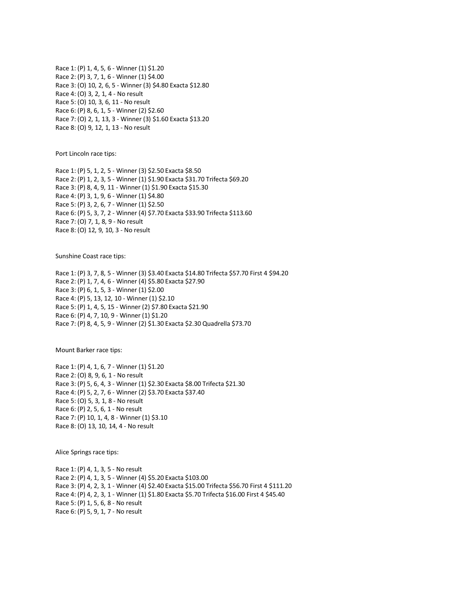Race 1: (P) 1, 4, 5, 6 - Winner (1) \$1.20 Race 2: (P) 3, 7, 1, 6 - Winner (1) \$4.00 Race 3: (O) 10, 2, 6, 5 - Winner (3) \$4.80 Exacta \$12.80 Race 4: (O) 3, 2, 1, 4 - No result Race 5: (O) 10, 3, 6, 11 - No result Race 6: (P) 8, 6, 1, 5 - Winner (2) \$2.60 Race 7: (O) 2, 1, 13, 3 - Winner (3) \$1.60 Exacta \$13.20 Race 8: (O) 9, 12, 1, 13 - No result

Port Lincoln race tips:

Race 1: (P) 5, 1, 2, 5 - Winner (3) \$2.50 Exacta \$8.50 Race 2: (P) 1, 2, 3, 5 - Winner (1) \$1.90 Exacta \$31.70 Trifecta \$69.20 Race 3: (P) 8, 4, 9, 11 - Winner (1) \$1.90 Exacta \$15.30 Race 4: (P) 3, 1, 9, 6 - Winner (1) \$4.80 Race 5: (P) 3, 2, 6, 7 - Winner (1) \$2.50 Race 6: (P) 5, 3, 7, 2 - Winner (4) \$7.70 Exacta \$33.90 Trifecta \$113.60 Race 7: (O) 7, 1, 8, 9 - No result Race 8: (O) 12, 9, 10, 3 - No result

Sunshine Coast race tips:

Race 1: (P) 3, 7, 8, 5 - Winner (3) \$3.40 Exacta \$14.80 Trifecta \$57.70 First 4 \$94.20 Race 2: (P) 1, 7, 4, 6 - Winner (4) \$5.80 Exacta \$27.90 Race 3: (P) 6, 1, 5, 3 - Winner (1) \$2.00 Race 4: (P) 5, 13, 12, 10 - Winner (1) \$2.10 Race 5: (P) 1, 4, 5, 15 - Winner (2) \$7.80 Exacta \$21.90 Race 6: (P) 4, 7, 10, 9 - Winner (1) \$1.20 Race 7: (P) 8, 4, 5, 9 - Winner (2) \$1.30 Exacta \$2.30 Quadrella \$73.70

Mount Barker race tips:

Race 1: (P) 4, 1, 6, 7 - Winner (1) \$1.20 Race 2: (O) 8, 9, 6, 1 - No result Race 3: (P) 5, 6, 4, 3 - Winner (1) \$2.30 Exacta \$8.00 Trifecta \$21.30 Race 4: (P) 5, 2, 7, 6 - Winner (2) \$3.70 Exacta \$37.40 Race 5: (O) 5, 3, 1, 8 - No result Race 6: (P) 2, 5, 6, 1 - No result Race 7: (P) 10, 1, 4, 8 - Winner (1) \$3.10 Race 8: (O) 13, 10, 14, 4 - No result

Alice Springs race tips:

Race 1: (P) 4, 1, 3, 5 - No result Race 2: (P) 4, 1, 3, 5 - Winner (4) \$5.20 Exacta \$103.00 Race 3: (P) 4, 2, 3, 1 - Winner (4) \$2.40 Exacta \$15.00 Trifecta \$56.70 First 4 \$111.20 Race 4: (P) 4, 2, 3, 1 - Winner (1) \$1.80 Exacta \$5.70 Trifecta \$16.00 First 4 \$45.40 Race 5: (P) 1, 5, 6, 8 - No result Race 6: (P) 5, 9, 1, 7 - No result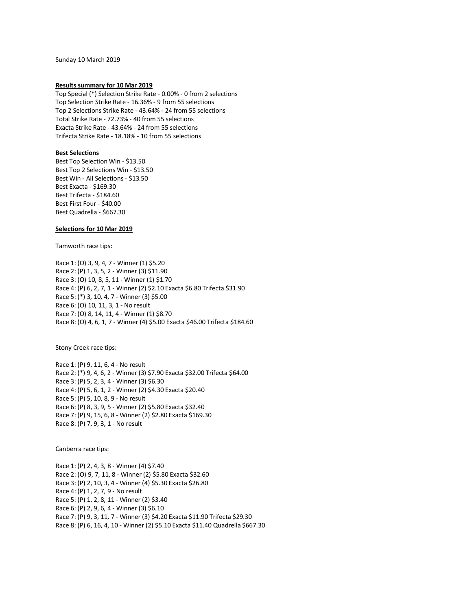Sunday 10 March 2019

#### **Results summary for 10 Mar 2019**

Top Special (\*) Selection Strike Rate - 0.00% - 0 from 2 selections Top Selection Strike Rate - 16.36% - 9 from 55 selections Top 2 Selections Strike Rate - 43.64% - 24 from 55 selections Total Strike Rate - 72.73% - 40 from 55 selections Exacta Strike Rate - 43.64% - 24 from 55 selections Trifecta Strike Rate - 18.18% - 10 from 55 selections

# **Best Selections**

Best Top Selection Win - \$13.50 Best Top 2 Selections Win - \$13.50 Best Win - All Selections - \$13.50 Best Exacta - \$169.30 Best Trifecta - \$184.60 Best First Four - \$40.00 Best Quadrella - \$667.30

## **Selections for 10 Mar 2019**

Tamworth race tips:

Race 1: (O) 3, 9, 4, 7 - Winner (1) \$5.20 Race 2: (P) 1, 3, 5, 2 - Winner (3) \$11.90 Race 3: (O) 10, 8, 5, 11 - Winner (1) \$1.70 Race 4: (P) 6, 2, 7, 1 - Winner (2) \$2.10 Exacta \$6.80 Trifecta \$31.90 Race 5: (\*) 3, 10, 4, 7 - Winner (3) \$5.00 Race 6: (O) 10, 11, 3, 1 - No result Race 7: (O) 8, 14, 11, 4 - Winner (1) \$8.70 Race 8: (O) 4, 6, 1, 7 - Winner (4) \$5.00 Exacta \$46.00 Trifecta \$184.60

Stony Creek race tips:

Race 1: (P) 9, 11, 6, 4 - No result Race 2: (\*) 9, 4, 6, 2 - Winner (3) \$7.90 Exacta \$32.00 Trifecta \$64.00 Race 3: (P) 5, 2, 3, 4 - Winner (3) \$6.30 Race 4: (P) 5, 6, 1, 2 - Winner (2) \$4.30 Exacta \$20.40 Race 5: (P) 5, 10, 8, 9 - No result Race 6: (P) 8, 3, 9, 5 - Winner (2) \$5.80 Exacta \$32.40 Race 7: (P) 9, 15, 6, 8 - Winner (2) \$2.80 Exacta \$169.30 Race 8: (P) 7, 9, 3, 1 - No result

Canberra race tips:

Race 1: (P) 2, 4, 3, 8 - Winner (4) \$7.40 Race 2: (O) 9, 7, 11, 8 - Winner (2) \$5.80 Exacta \$32.60 Race 3: (P) 2, 10, 3, 4 - Winner (4) \$5.30 Exacta \$26.80 Race 4: (P) 1, 2, 7, 9 - No result Race 5: (P) 1, 2, 8, 11 - Winner (2) \$3.40 Race 6: (P) 2, 9, 6, 4 - Winner (3) \$6.10 Race 7: (P) 9, 3, 11, 7 - Winner (3) \$4.20 Exacta \$11.90 Trifecta \$29.30 Race 8: (P) 6, 16, 4, 10 - Winner (2) \$5.10 Exacta \$11.40 Quadrella \$667.30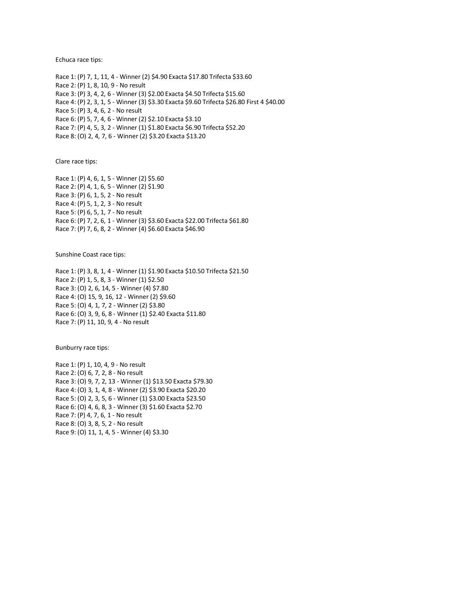Echuca race tips:

Race 1: (P) 7, 1, 11, 4 - Winner (2) \$4.90 Exacta \$17.80 Trifecta \$33.60 Race 2: (P) 1, 8, 10, 9 - No result Race 3: (P) 3, 4, 2, 6 - Winner (3) \$2.00 Exacta \$4.50 Trifecta \$15.60 Race 4: (P) 2, 3, 1, 5 - Winner (3) \$3.30 Exacta \$9.60 Trifecta \$26.80 First 4 \$40.00 Race 5: (P) 3, 4, 6, 2 - No result Race 6: (P) 5, 7, 4, 6 - Winner (2) \$2.10 Exacta \$3.10 Race 7: (P) 4, 5, 3, 2 - Winner (1) \$1.80 Exacta \$6.90 Trifecta \$52.20 Race 8: (O) 2, 4, 7, 6 - Winner (2) \$3.20 Exacta \$13.20

Clare race tips:

Race 1: (P) 4, 6, 1, 5 - Winner (2) \$5.60 Race 2: (P) 4, 1, 6, 5 - Winner (2) \$1.90 Race 3: (P) 6, 1, 5, 2 - No result Race 4: (P) 5, 1, 2, 3 - No result Race 5: (P) 6, 5, 1, 7 - No result Race 6: (P) 7, 2, 6, 1 - Winner (3) \$3.60 Exacta \$22.00 Trifecta \$61.80 Race 7: (P) 7, 6, 8, 2 - Winner (4) \$6.60 Exacta \$46.90

Sunshine Coast race tips:

Race 1: (P) 3, 8, 1, 4 - Winner (1) \$1.90 Exacta \$10.50 Trifecta \$21.50 Race 2: (P) 1, 5, 8, 3 - Winner (1) \$2.50 Race 3: (O) 2, 6, 14, 5 - Winner (4) \$7.80 Race 4: (O) 15, 9, 16, 12 - Winner (2) \$9.60 Race 5: (O) 4, 1, 7, 2 - Winner (2) \$3.80 Race 6: (O) 3, 9, 6, 8 - Winner (1) \$2.40 Exacta \$11.80 Race 7: (P) 11, 10, 9, 4 - No result

Bunburry race tips:

Race 1: (P) 1, 10, 4, 9 - No result Race 2: (O) 6, 7, 2, 8 - No result Race 3: (O) 9, 7, 2, 13 - Winner (1) \$13.50 Exacta \$79.30 Race 4: (O) 3, 1, 4, 8 - Winner (2) \$3.90 Exacta \$20.20 Race 5: (O) 2, 3, 5, 6 - Winner (1) \$3.00 Exacta \$23.50 Race 6: (O) 4, 6, 8, 3 - Winner (3) \$1.60 Exacta \$2.70 Race 7: (P) 4, 7, 6, 1 - No result Race 8: (O) 3, 8, 5, 2 - No result Race 9: (O) 11, 1, 4, 5 - Winner (4) \$3.30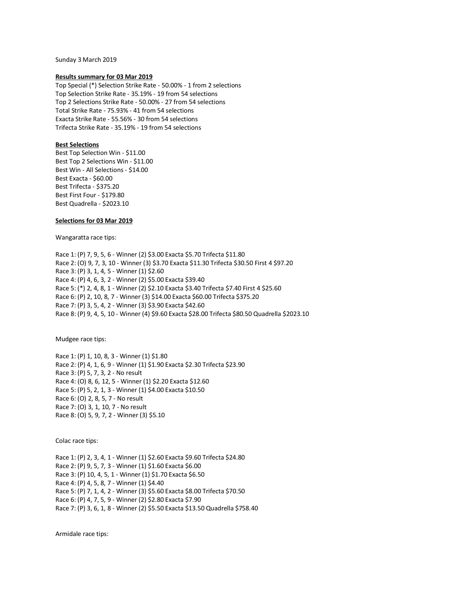Sunday 3 March 2019

## **Results summary for 03 Mar 2019**

Top Special (\*) Selection Strike Rate - 50.00% - 1 from 2 selections Top Selection Strike Rate - 35.19% - 19 from 54 selections Top 2 Selections Strike Rate - 50.00% - 27 from 54 selections Total Strike Rate - 75.93% - 41 from 54 selections Exacta Strike Rate - 55.56% - 30 from 54 selections Trifecta Strike Rate - 35.19% - 19 from 54 selections

## **Best Selections**

Best Top Selection Win - \$11.00 Best Top 2 Selections Win - \$11.00 Best Win - All Selections - \$14.00 Best Exacta - \$60.00 Best Trifecta - \$375.20 Best First Four - \$179.80 Best Quadrella - \$2023.10

# **Selections for 03 Mar 2019**

Wangaratta race tips:

Race 1: (P) 7, 9, 5, 6 - Winner (2) \$3.00 Exacta \$5.70 Trifecta \$11.80 Race 2: (O) 9, 7, 3, 10 - Winner (3) \$3.70 Exacta \$11.30 Trifecta \$30.50 First 4 \$97.20 Race 3: (P) 3, 1, 4, 5 - Winner (1) \$2.60 Race 4: (P) 4, 6, 3, 2 - Winner (2) \$5.00 Exacta \$39.40 Race 5: (\*) 2, 4, 8, 1 - Winner (2) \$2.10 Exacta \$3.40 Trifecta \$7.40 First 4 \$25.60 Race 6: (P) 2, 10, 8, 7 - Winner (3) \$14.00 Exacta \$60.00 Trifecta \$375.20 Race 7: (P) 3, 5, 4, 2 - Winner (3) \$3.90 Exacta \$42.60 Race 8: (P) 9, 4, 5, 10 - Winner (4) \$9.60 Exacta \$28.00 Trifecta \$80.50 Quadrella \$2023.10

Mudgee race tips:

Race 1: (P) 1, 10, 8, 3 - Winner (1) \$1.80 Race 2: (P) 4, 1, 6, 9 - Winner (1) \$1.90 Exacta \$2.30 Trifecta \$23.90 Race 3: (P) 5, 7, 3, 2 - No result Race 4: (O) 8, 6, 12, 5 - Winner (1) \$2.20 Exacta \$12.60 Race 5: (P) 5, 2, 1, 3 - Winner (1) \$4.00 Exacta \$10.50 Race 6: (O) 2, 8, 5, 7 - No result Race 7: (O) 3, 1, 10, 7 - No result Race 8: (O) 5, 9, 7, 2 - Winner (3) \$5.10

Colac race tips:

Race 1: (P) 2, 3, 4, 1 - Winner (1) \$2.60 Exacta \$9.60 Trifecta \$24.80 Race 2: (P) 9, 5, 7, 3 - Winner (1) \$1.60 Exacta \$6.00 Race 3: (P) 10, 4, 5, 1 - Winner (1) \$1.70 Exacta \$6.50 Race 4: (P) 4, 5, 8, 7 - Winner (1) \$4.40 Race 5: (P) 7, 1, 4, 2 - Winner (3) \$5.60 Exacta \$8.00 Trifecta \$70.50 Race 6: (P) 4, 7, 5, 9 - Winner (2) \$2.80 Exacta \$7.90 Race 7: (P) 3, 6, 1, 8 - Winner (2) \$5.50 Exacta \$13.50 Quadrella \$758.40

Armidale race tips: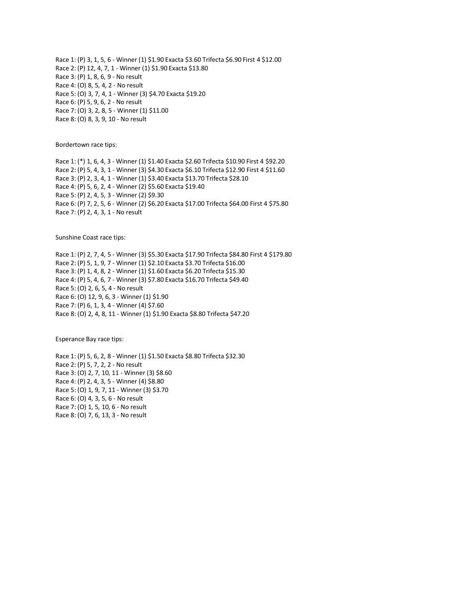Race 1: (P) 3, 1, 5, 6 - Winner (1) \$1.90 Exacta \$3.60 Trifecta \$6.90 First 4 \$12.00 Race 2: (P) 12, 4, 7, 1 - Winner (1) \$1.90 Exacta \$13.80 Race 3: (P) 1, 8, 6, 9 - No result Race 4: (O) 8, 5, 4, 2 - No result Race 5: (O) 3, 7, 4, 1 - Winner (3) \$4.70 Exacta \$19.20 Race 6: (P) 5, 9, 6, 2 - No result Race 7: (O) 3, 2, 8, 5 - Winner (1) \$11.00 Race 8: (O) 8, 3, 9, 10 - No result

Bordertown race tips:

Race 1: (\*) 1, 6, 4, 3 - Winner (1) \$1.40 Exacta \$2.60 Trifecta \$10.90 First 4 \$92.20 Race 2: (P) 5, 4, 3, 1 - Winner (3) \$4.30 Exacta \$6.10 Trifecta \$12.90 First 4 \$11.60 Race 3: (P) 2, 3, 4, 1 - Winner (1) \$3.40 Exacta \$13.70 Trifecta \$28.10 Race 4: (P) 5, 6, 2, 4 - Winner (2) \$5.60 Exacta \$19.40 Race 5: (P) 2, 4, 5, 3 - Winner (2) \$9.30 Race 6: (P) 7, 2, 5, 6 - Winner (2) \$6.20 Exacta \$17.00 Trifecta \$64.00 First 4 \$75.80 Race 7: (P) 2, 4, 3, 1 - No result

Sunshine Coast race tips:

Race 1: (P) 2, 7, 4, 5 - Winner (3) \$5.30 Exacta \$17.90 Trifecta \$84.80 First 4 \$179.80 Race 2: (P) 5, 1, 9, 7 - Winner (1) \$2.10 Exacta \$3.70 Trifecta \$16.00 Race 3: (P) 1, 4, 8, 2 - Winner (1) \$1.60 Exacta \$6.20 Trifecta \$15.30 Race 4: (P) 5, 4, 6, 7 - Winner (3) \$7.80 Exacta \$16.70 Trifecta \$49.40 Race 5: (O) 2, 6, 5, 4 - No result Race 6: (O) 12, 9, 6, 3 - Winner (1) \$1.90 Race 7: (P) 6, 1, 3, 4 - Winner (4) \$7.60 Race 8: (O) 2, 4, 8, 11 - Winner (1) \$1.90 Exacta \$8.80 Trifecta \$47.20

Esperance Bay race tips:

Race 1: (P) 5, 6, 2, 8 - Winner (1) \$1.50 Exacta \$8.80 Trifecta \$32.30 Race 2: (P) 5, 7, 2, 2 - No result Race 3: (O) 2, 7, 10, 11 - Winner (3) \$8.60 Race 4: (P) 2, 4, 3, 5 - Winner (4) \$8.80 Race 5: (O) 1, 9, 7, 11 - Winner (3) \$3.70 Race 6: (O) 4, 3, 5, 6 - No result Race 7: (O) 1, 5, 10, 6 - No result Race 8: (O) 7, 6, 13, 3 - No result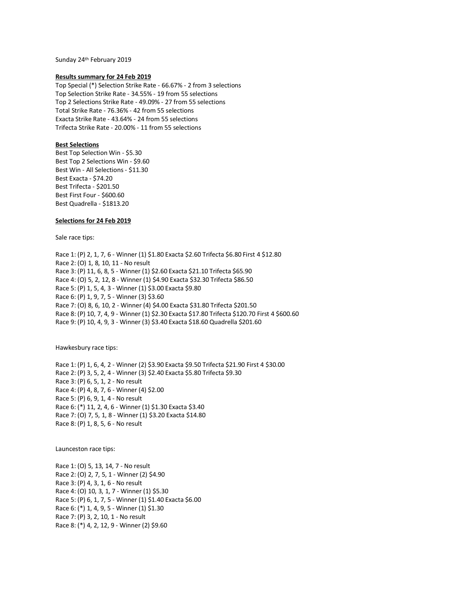Sunday 24th February 2019

#### **Results summary for 24 Feb 2019**

Top Special (\*) Selection Strike Rate - 66.67% - 2 from 3 selections Top Selection Strike Rate - 34.55% - 19 from 55 selections Top 2 Selections Strike Rate - 49.09% - 27 from 55 selections Total Strike Rate - 76.36% - 42 from 55 selections Exacta Strike Rate - 43.64% - 24 from 55 selections Trifecta Strike Rate - 20.00% - 11 from 55 selections

## **Best Selections**

Best Top Selection Win - \$5.30 Best Top 2 Selections Win - \$9.60 Best Win - All Selections - \$11.30 Best Exacta - \$74.20 Best Trifecta - \$201.50 Best First Four - \$600.60 Best Quadrella - \$1813.20

## **Selections for 24 Feb 2019**

Sale race tips:

Race 1: (P) 2, 1, 7, 6 - Winner (1) \$1.80 Exacta \$2.60 Trifecta \$6.80 First 4 \$12.80 Race 2: (O) 1, 8, 10, 11 - No result Race 3: (P) 11, 6, 8, 5 - Winner (1) \$2.60 Exacta \$21.10 Trifecta \$65.90 Race 4: (O) 5, 2, 12, 8 - Winner (1) \$4.90 Exacta \$32.30 Trifecta \$86.50 Race 5: (P) 1, 5, 4, 3 - Winner (1) \$3.00 Exacta \$9.80 Race 6: (P) 1, 9, 7, 5 - Winner (3) \$3.60 Race 7: (O) 8, 6, 10, 2 - Winner (4) \$4.00 Exacta \$31.80 Trifecta \$201.50 Race 8: (P) 10, 7, 4, 9 - Winner (1) \$2.30 Exacta \$17.80 Trifecta \$120.70 First 4 \$600.60 Race 9: (P) 10, 4, 9, 3 - Winner (3) \$3.40 Exacta \$18.60 Quadrella \$201.60

Hawkesbury race tips:

Race 1: (P) 1, 6, 4, 2 - Winner (2) \$3.90 Exacta \$9.50 Trifecta \$21.90 First 4 \$30.00 Race 2: (P) 3, 5, 2, 4 - Winner (3) \$2.40 Exacta \$5.80 Trifecta \$9.30 Race 3: (P) 6, 5, 1, 2 - No result Race 4: (P) 4, 8, 7, 6 - Winner (4) \$2.00 Race 5: (P) 6, 9, 1, 4 - No result Race 6: (\*) 11, 2, 4, 6 - Winner (1) \$1.30 Exacta \$3.40 Race 7: (O) 7, 5, 1, 8 - Winner (1) \$3.20 Exacta \$14.80 Race 8: (P) 1, 8, 5, 6 - No result

Launceston race tips:

Race 1: (O) 5, 13, 14, 7 - No result Race 2: (O) 2, 7, 5, 1 - Winner (2) \$4.90 Race 3: (P) 4, 3, 1, 6 - No result Race 4: (O) 10, 3, 1, 7 - Winner (1) \$5.30 Race 5: (P) 6, 1, 7, 5 - Winner (1) \$1.40 Exacta \$6.00 Race 6: (\*) 1, 4, 9, 5 - Winner (1) \$1.30 Race 7: (P) 3, 2, 10, 1 - No result Race 8: (\*) 4, 2, 12, 9 - Winner (2) \$9.60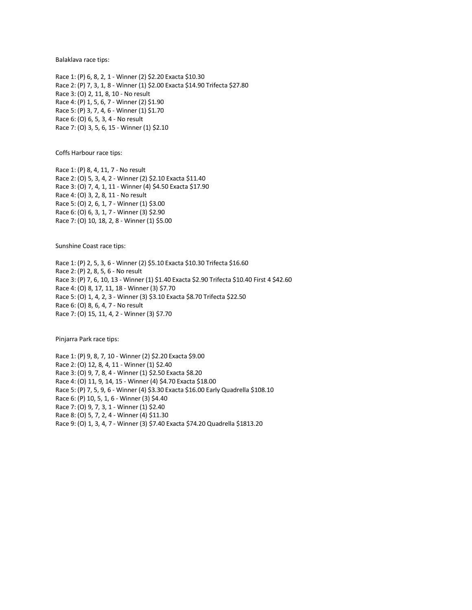Balaklava race tips:

Race 1: (P) 6, 8, 2, 1 - Winner (2) \$2.20 Exacta \$10.30 Race 2: (P) 7, 3, 1, 8 - Winner (1) \$2.00 Exacta \$14.90 Trifecta \$27.80 Race 3: (O) 2, 11, 8, 10 - No result Race 4: (P) 1, 5, 6, 7 - Winner (2) \$1.90 Race 5: (P) 3, 7, 4, 6 - Winner (1) \$1.70 Race 6: (O) 6, 5, 3, 4 - No result Race 7: (O) 3, 5, 6, 15 - Winner (1) \$2.10

Coffs Harbour race tips:

Race 1: (P) 8, 4, 11, 7 - No result Race 2: (O) 5, 3, 4, 2 - Winner (2) \$2.10 Exacta \$11.40 Race 3: (O) 7, 4, 1, 11 - Winner (4) \$4.50 Exacta \$17.90 Race 4: (O) 3, 2, 8, 11 - No result Race 5: (O) 2, 6, 1, 7 - Winner (1) \$3.00 Race 6: (O) 6, 3, 1, 7 - Winner (3) \$2.90 Race 7: (O) 10, 18, 2, 8 - Winner (1) \$5.00

Sunshine Coast race tips:

Race 1: (P) 2, 5, 3, 6 - Winner (2) \$5.10 Exacta \$10.30 Trifecta \$16.60 Race 2: (P) 2, 8, 5, 6 - No result Race 3: (P) 7, 6, 10, 13 - Winner (1) \$1.40 Exacta \$2.90 Trifecta \$10.40 First 4 \$42.60 Race 4: (O) 8, 17, 11, 18 - Winner (3) \$7.70 Race 5: (O) 1, 4, 2, 3 - Winner (3) \$3.10 Exacta \$8.70 Trifecta \$22.50 Race 6: (O) 8, 6, 4, 7 - No result Race 7: (O) 15, 11, 4, 2 - Winner (3) \$7.70

Pinjarra Park race tips:

Race 1: (P) 9, 8, 7, 10 - Winner (2) \$2.20 Exacta \$9.00 Race 2: (O) 12, 8, 4, 11 - Winner (1) \$2.40 Race 3: (O) 9, 7, 8, 4 - Winner (1) \$2.50 Exacta \$8.20 Race 4: (O) 11, 9, 14, 15 - Winner (4) \$4.70 Exacta \$18.00 Race 5: (P) 7, 5, 9, 6 - Winner (4) \$3.30 Exacta \$16.00 Early Quadrella \$108.10 Race 6: (P) 10, 5, 1, 6 - Winner (3) \$4.40 Race 7: (O) 9, 7, 3, 1 - Winner (1) \$2.40 Race 8: (O) 5, 7, 2, 4 - Winner (4) \$11.30 Race 9: (O) 1, 3, 4, 7 - Winner (3) \$7.40 Exacta \$74.20 Quadrella \$1813.20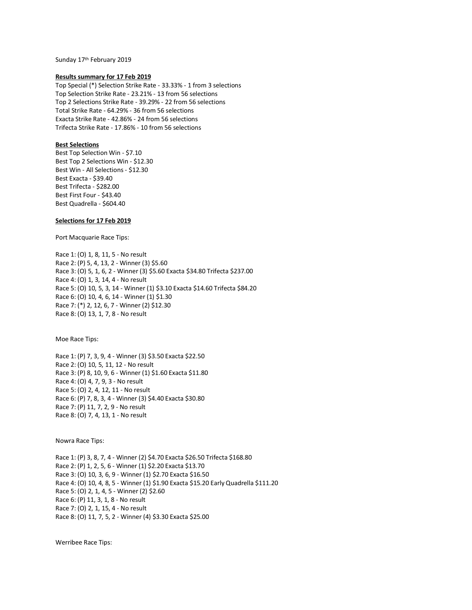Sunday 17th February 2019

## **Results summary for 17 Feb 2019**

Top Special (\*) Selection Strike Rate - 33.33% - 1 from 3 selections Top Selection Strike Rate - 23.21% - 13 from 56 selections Top 2 Selections Strike Rate - 39.29% - 22 from 56 selections Total Strike Rate - 64.29% - 36 from 56 selections Exacta Strike Rate - 42.86% - 24 from 56 selections Trifecta Strike Rate - 17.86% - 10 from 56 selections

# **Best Selections**

Best Top Selection Win - \$7.10 Best Top 2 Selections Win - \$12.30 Best Win - All Selections - \$12.30 Best Exacta - \$39.40 Best Trifecta - \$282.00 Best First Four - \$43.40 Best Quadrella - \$604.40

# **Selections for 17 Feb 2019**

Port Macquarie Race Tips:

Race 1: (O) 1, 8, 11, 5 - No result Race 2: (P) 5, 4, 13, 2 - Winner (3) \$5.60 Race 3: (O) 5, 1, 6, 2 - Winner (3) \$5.60 Exacta \$34.80 Trifecta \$237.00 Race 4: (O) 1, 3, 14, 4 - No result Race 5: (O) 10, 5, 3, 14 - Winner (1) \$3.10 Exacta \$14.60 Trifecta \$84.20 Race 6: (O) 10, 4, 6, 14 - Winner (1) \$1.30 Race 7: (\*) 2, 12, 6, 7 - Winner (2) \$12.30 Race 8: (O) 13, 1, 7, 8 - No result

Moe Race Tips:

Race 1: (P) 7, 3, 9, 4 - Winner (3) \$3.50 Exacta \$22.50 Race 2: (O) 10, 5, 11, 12 - No result Race 3: (P) 8, 10, 9, 6 - Winner (1) \$1.60 Exacta \$11.80 Race 4: (O) 4, 7, 9, 3 - No result Race 5: (O) 2, 4, 12, 11 - No result Race 6: (P) 7, 8, 3, 4 - Winner (3) \$4.40 Exacta \$30.80 Race 7: (P) 11, 7, 2, 9 - No result Race 8: (O) 7, 4, 13, 1 - No result

Nowra Race Tips:

Race 1: (P) 3, 8, 7, 4 - Winner (2) \$4.70 Exacta \$26.50 Trifecta \$168.80 Race 2: (P) 1, 2, 5, 6 - Winner (1) \$2.20 Exacta \$13.70 Race 3: (O) 10, 3, 6, 9 - Winner (1) \$2.70 Exacta \$16.50 Race 4: (O) 10, 4, 8, 5 - Winner (1) \$1.90 Exacta \$15.20 Early Quadrella \$111.20 Race 5: (O) 2, 1, 4, 5 - Winner (2) \$2.60 Race 6: (P) 11, 3, 1, 8 - No result Race 7: (O) 2, 1, 15, 4 - No result Race 8: (O) 11, 7, 5, 2 - Winner (4) \$3.30 Exacta \$25.00

Werribee Race Tips: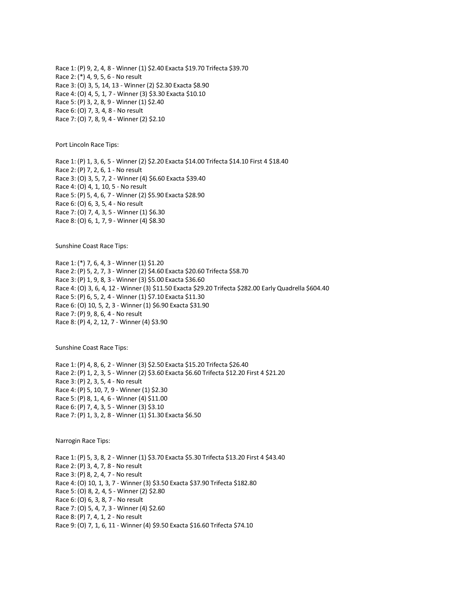Race 1: (P) 9, 2, 4, 8 - Winner (1) \$2.40 Exacta \$19.70 Trifecta \$39.70 Race 2: (\*) 4, 9, 5, 6 - No result Race 3: (O) 3, 5, 14, 13 - Winner (2) \$2.30 Exacta \$8.90 Race 4: (O) 4, 5, 1, 7 - Winner (3) \$3.30 Exacta \$10.10 Race 5: (P) 3, 2, 8, 9 - Winner (1) \$2.40 Race 6: (O) 7, 3, 4, 8 - No result Race 7: (O) 7, 8, 9, 4 - Winner (2) \$2.10

Port Lincoln Race Tips:

Race 1: (P) 1, 3, 6, 5 - Winner (2) \$2.20 Exacta \$14.00 Trifecta \$14.10 First 4 \$18.40 Race 2: (P) 7, 2, 6, 1 - No result Race 3: (O) 3, 5, 7, 2 - Winner (4) \$6.60 Exacta \$39.40 Race 4: (O) 4, 1, 10, 5 - No result Race 5: (P) 5, 4, 6, 7 - Winner (2) \$5.90 Exacta \$28.90 Race 6: (O) 6, 3, 5, 4 - No result Race 7: (O) 7, 4, 3, 5 - Winner (1) \$6.30 Race 8: (O) 6, 1, 7, 9 - Winner (4) \$8.30

Sunshine Coast Race Tips:

Race 1: (\*) 7, 6, 4, 3 - Winner (1) \$1.20 Race 2: (P) 5, 2, 7, 3 - Winner (2) \$4.60 Exacta \$20.60 Trifecta \$58.70 Race 3: (P) 1, 9, 8, 3 - Winner (3) \$5.00 Exacta \$36.60 Race 4: (O) 3, 6, 4, 12 - Winner (3) \$11.50 Exacta \$29.20 Trifecta \$282.00 Early Quadrella \$604.40 Race 5: (P) 6, 5, 2, 4 - Winner (1) \$7.10 Exacta \$11.30 Race 6: (O) 10, 5, 2, 3 - Winner (1) \$6.90 Exacta \$31.90 Race 7: (P) 9, 8, 6, 4 - No result Race 8: (P) 4, 2, 12, 7 - Winner (4) \$3.90

Sunshine Coast Race Tips:

Race 1: (P) 4, 8, 6, 2 - Winner (3) \$2.50 Exacta \$15.20 Trifecta \$26.40 Race 2: (P) 1, 2, 3, 5 - Winner (2) \$3.60 Exacta \$6.60 Trifecta \$12.20 First 4 \$21.20 Race 3: (P) 2, 3, 5, 4 - No result Race 4: (P) 5, 10, 7, 9 - Winner (1) \$2.30 Race 5: (P) 8, 1, 4, 6 - Winner (4) \$11.00 Race 6: (P) 7, 4, 3, 5 - Winner (3) \$3.10 Race 7: (P) 1, 3, 2, 8 - Winner (1) \$1.30 Exacta \$6.50

Narrogin Race Tips:

Race 1: (P) 5, 3, 8, 2 - Winner (1) \$3.70 Exacta \$5.30 Trifecta \$13.20 First 4 \$43.40 Race 2: (P) 3, 4, 7, 8 - No result Race 3: (P) 8, 2, 4, 7 - No result Race 4: (O) 10, 1, 3, 7 - Winner (3) \$3.50 Exacta \$37.90 Trifecta \$182.80 Race 5: (O) 8, 2, 4, 5 - Winner (2) \$2.80 Race 6: (O) 6, 3, 8, 7 - No result Race 7: (O) 5, 4, 7, 3 - Winner (4) \$2.60 Race 8: (P) 7, 4, 1, 2 - No result Race 9: (O) 7, 1, 6, 11 - Winner (4) \$9.50 Exacta \$16.60 Trifecta \$74.10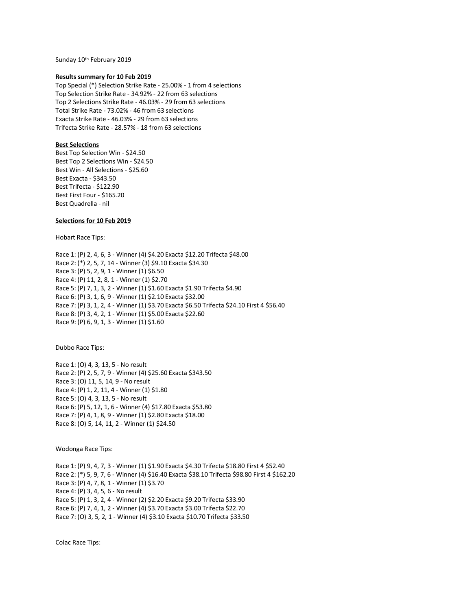Sunday 10th February 2019

## **Results summary for 10 Feb 2019**

Top Special (\*) Selection Strike Rate - 25.00% - 1 from 4 selections Top Selection Strike Rate - 34.92% - 22 from 63 selections Top 2 Selections Strike Rate - 46.03% - 29 from 63 selections Total Strike Rate - 73.02% - 46 from 63 selections Exacta Strike Rate - 46.03% - 29 from 63 selections Trifecta Strike Rate - 28.57% - 18 from 63 selections

## **Best Selections**

Best Top Selection Win - \$24.50 Best Top 2 Selections Win - \$24.50 Best Win - All Selections - \$25.60 Best Exacta - \$343.50 Best Trifecta - \$122.90 Best First Four - \$165.20 Best Quadrella - nil

## **Selections for 10 Feb 2019**

Hobart Race Tips:

Race 1: (P) 2, 4, 6, 3 - Winner (4) \$4.20 Exacta \$12.20 Trifecta \$48.00 Race 2: (\*) 2, 5, 7, 14 - Winner (3) \$9.10 Exacta \$34.30 Race 3: (P) 5, 2, 9, 1 - Winner (1) \$6.50 Race 4: (P) 11, 2, 8, 1 - Winner (1) \$2.70 Race 5: (P) 7, 1, 3, 2 - Winner (1) \$1.60 Exacta \$1.90 Trifecta \$4.90 Race 6: (P) 3, 1, 6, 9 - Winner (1) \$2.10 Exacta \$32.00 Race 7: (P) 3, 1, 2, 4 - Winner (1) \$3.70 Exacta \$6.50 Trifecta \$24.10 First 4 \$56.40 Race 8: (P) 3, 4, 2, 1 - Winner (1) \$5.00 Exacta \$22.60 Race 9: (P) 6, 9, 1, 3 - Winner (1) \$1.60

Dubbo Race Tips:

Race 1: (O) 4, 3, 13, 5 - No result Race 2: (P) 2, 5, 7, 9 - Winner (4) \$25.60 Exacta \$343.50 Race 3: (O) 11, 5, 14, 9 - No result Race 4: (P) 1, 2, 11, 4 - Winner (1) \$1.80 Race 5: (O) 4, 3, 13, 5 - No result Race 6: (P) 5, 12, 1, 6 - Winner (4) \$17.80 Exacta \$53.80 Race 7: (P) 4, 1, 8, 9 - Winner (1) \$2.80 Exacta \$18.00 Race 8: (O) 5, 14, 11, 2 - Winner (1) \$24.50

Wodonga Race Tips:

Race 1: (P) 9, 4, 7, 3 - Winner (1) \$1.90 Exacta \$4.30 Trifecta \$18.80 First 4 \$52.40 Race 2: (\*) 5, 9, 7, 6 - Winner (4) \$16.40 Exacta \$38.10 Trifecta \$98.80 First 4 \$162.20 Race 3: (P) 4, 7, 8, 1 - Winner (1) \$3.70 Race 4: (P) 3, 4, 5, 6 - No result Race 5: (P) 1, 3, 2, 4 - Winner (2) \$2.20 Exacta \$9.20 Trifecta \$33.90 Race 6: (P) 7, 4, 1, 2 - Winner (4) \$3.70 Exacta \$3.00 Trifecta \$22.70 Race 7: (O) 3, 5, 2, 1 - Winner (4) \$3.10 Exacta \$10.70 Trifecta \$33.50

Colac Race Tips: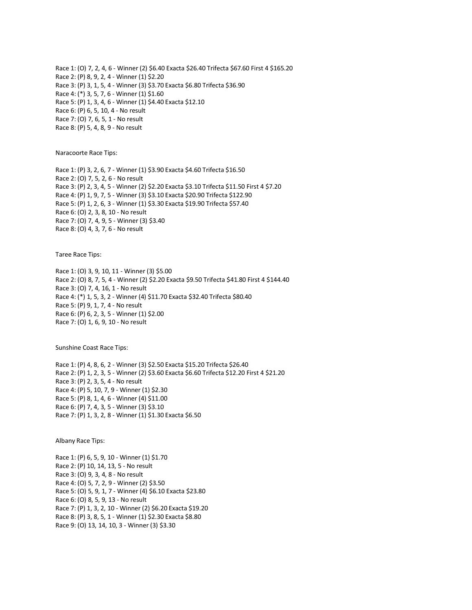Race 1: (O) 7, 2, 4, 6 - Winner (2) \$6.40 Exacta \$26.40 Trifecta \$67.60 First 4 \$165.20 Race 2: (P) 8, 9, 2, 4 - Winner (1) \$2.20 Race 3: (P) 3, 1, 5, 4 - Winner (3) \$3.70 Exacta \$6.80 Trifecta \$36.90 Race 4: (\*) 3, 5, 7, 6 - Winner (1) \$1.60 Race 5: (P) 1, 3, 4, 6 - Winner (1) \$4.40 Exacta \$12.10 Race 6: (P) 6, 5, 10, 4 - No result Race 7: (O) 7, 6, 5, 1 - No result Race 8: (P) 5, 4, 8, 9 - No result

Naracoorte Race Tips:

Race 1: (P) 3, 2, 6, 7 - Winner (1) \$3.90 Exacta \$4.60 Trifecta \$16.50 Race 2: (O) 7, 5, 2, 6 - No result Race 3: (P) 2, 3, 4, 5 - Winner (2) \$2.20 Exacta \$3.10 Trifecta \$11.50 First 4 \$7.20 Race 4: (P) 1, 9, 7, 5 - Winner (3) \$3.10 Exacta \$20.90 Trifecta \$122.90 Race 5: (P) 1, 2, 6, 3 - Winner (1) \$3.30 Exacta \$19.90 Trifecta \$57.40 Race 6: (O) 2, 3, 8, 10 - No result Race 7: (O) 7, 4, 9, 5 - Winner (3) \$3.40 Race 8: (O) 4, 3, 7, 6 - No result

Taree Race Tips:

Race 1: (O) 3, 9, 10, 11 - Winner (3) \$5.00 Race 2: (O) 8, 7, 5, 4 - Winner (2) \$2.20 Exacta \$9.50 Trifecta \$41.80 First 4 \$144.40 Race 3: (O) 7, 4, 16, 1 - No result Race 4: (\*) 1, 5, 3, 2 - Winner (4) \$11.70 Exacta \$32.40 Trifecta \$80.40 Race 5: (P) 9, 1, 7, 4 - No result Race 6: (P) 6, 2, 3, 5 - Winner (1) \$2.00 Race 7: (O) 1, 6, 9, 10 - No result

Sunshine Coast Race Tips:

Race 1: (P) 4, 8, 6, 2 - Winner (3) \$2.50 Exacta \$15.20 Trifecta \$26.40 Race 2: (P) 1, 2, 3, 5 - Winner (2) \$3.60 Exacta \$6.60 Trifecta \$12.20 First 4 \$21.20 Race 3: (P) 2, 3, 5, 4 - No result Race 4: (P) 5, 10, 7, 9 - Winner (1) \$2.30 Race 5: (P) 8, 1, 4, 6 - Winner (4) \$11.00 Race 6: (P) 7, 4, 3, 5 - Winner (3) \$3.10 Race 7: (P) 1, 3, 2, 8 - Winner (1) \$1.30 Exacta \$6.50

Albany Race Tips:

Race 1: (P) 6, 5, 9, 10 - Winner (1) \$1.70 Race 2: (P) 10, 14, 13, 5 - No result Race 3: (O) 9, 3, 4, 8 - No result Race 4: (O) 5, 7, 2, 9 - Winner (2) \$3.50 Race 5: (O) 5, 9, 1, 7 - Winner (4) \$6.10 Exacta \$23.80 Race 6: (O) 8, 5, 9, 13 - No result Race 7: (P) 1, 3, 2, 10 - Winner (2) \$6.20 Exacta \$19.20 Race 8: (P) 3, 8, 5, 1 - Winner (1) \$2.30 Exacta \$8.80 Race 9: (O) 13, 14, 10, 3 - Winner (3) \$3.30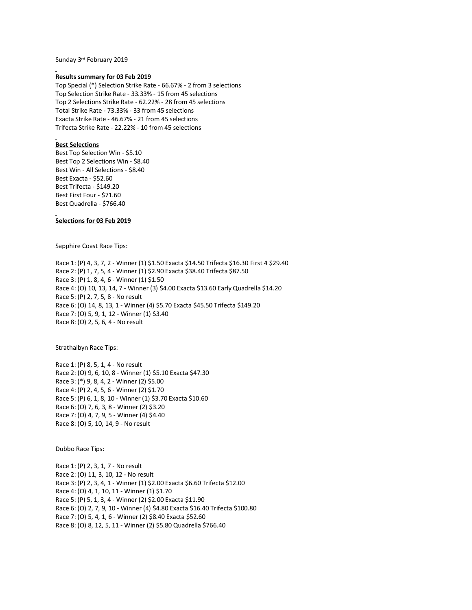Sunday 3rd February 2019

#### **Results summary for 03 Feb 2019**

Top Special (\*) Selection Strike Rate - 66.67% - 2 from 3 selections Top Selection Strike Rate - 33.33% - 15 from 45 selections Top 2 Selections Strike Rate - 62.22% - 28 from 45 selections Total Strike Rate - 73.33% - 33 from 45 selections Exacta Strike Rate - 46.67% - 21 from 45 selections Trifecta Strike Rate - 22.22% - 10 from 45 selections

# **Best Selections**

Best Top Selection Win - \$5.10 Best Top 2 Selections Win - \$8.40 Best Win - All Selections - \$8.40 Best Exacta - \$52.60 Best Trifecta - \$149.20 Best First Four - \$71.60 Best Quadrella - \$766.40

## **Selections for 03 Feb 2019**

Sapphire Coast Race Tips:

Race 1: (P) 4, 3, 7, 2 - Winner (1) \$1.50 Exacta \$14.50 Trifecta \$16.30 First 4 \$29.40 Race 2: (P) 1, 7, 5, 4 - Winner (1) \$2.90 Exacta \$38.40 Trifecta \$87.50 Race 3: (P) 1, 8, 4, 6 - Winner (1) \$1.50 Race 4: (O) 10, 13, 14, 7 - Winner (3) \$4.00 Exacta \$13.60 Early Quadrella \$14.20 Race 5: (P) 2, 7, 5, 8 - No result Race 6: (O) 14, 8, 13, 1 - Winner (4) \$5.70 Exacta \$45.50 Trifecta \$149.20 Race 7: (O) 5, 9, 1, 12 - Winner (1) \$3.40 Race 8: (O) 2, 5, 6, 4 - No result

Strathalbyn Race Tips:

Race 1: (P) 8, 5, 1, 4 - No result Race 2: (O) 9, 6, 10, 8 - Winner (1) \$5.10 Exacta \$47.30 Race 3: (\*) 9, 8, 4, 2 - Winner (2) \$5.00 Race 4: (P) 2, 4, 5, 6 - Winner (2) \$1.70 Race 5: (P) 6, 1, 8, 10 - Winner (1) \$3.70 Exacta \$10.60 Race 6: (O) 7, 6, 3, 8 - Winner (2) \$3.20 Race 7: (O) 4, 7, 9, 5 - Winner (4) \$4.40 Race 8: (O) 5, 10, 14, 9 - No result

Dubbo Race Tips:

Race 1: (P) 2, 3, 1, 7 - No result Race 2: (O) 11, 3, 10, 12 - No result Race 3: (P) 2, 3, 4, 1 - Winner (1) \$2.00 Exacta \$6.60 Trifecta \$12.00 Race 4: (O) 4, 1, 10, 11 - Winner (1) \$1.70 Race 5: (P) 5, 1, 3, 4 - Winner (2) \$2.00 Exacta \$11.90 Race 6: (O) 2, 7, 9, 10 - Winner (4) \$4.80 Exacta \$16.40 Trifecta \$100.80 Race 7: (O) 5, 4, 1, 6 - Winner (2) \$8.40 Exacta \$52.60 Race 8: (O) 8, 12, 5, 11 - Winner (2) \$5.80 Quadrella \$766.40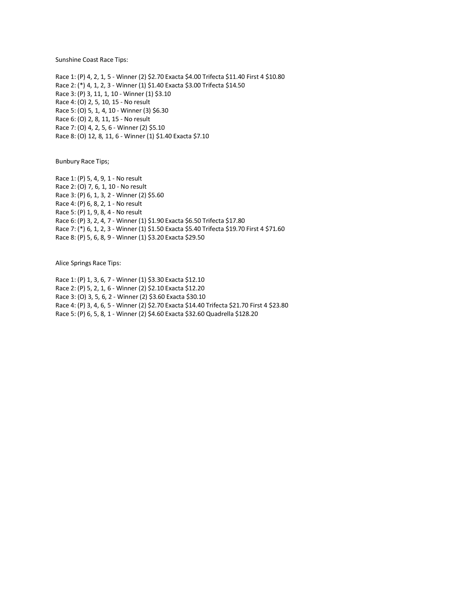Sunshine Coast Race Tips:

Race 1: (P) 4, 2, 1, 5 - Winner (2) \$2.70 Exacta \$4.00 Trifecta \$11.40 First 4 \$10.80 Race 2: (\*) 4, 1, 2, 3 - Winner (1) \$1.40 Exacta \$3.00 Trifecta \$14.50 Race 3: (P) 3, 11, 1, 10 - Winner (1) \$3.10 Race 4: (O) 2, 5, 10, 15 - No result Race 5: (O) 5, 1, 4, 10 - Winner (3) \$6.30 Race 6: (O) 2, 8, 11, 15 - No result Race 7: (O) 4, 2, 5, 6 - Winner (2) \$5.10 Race 8: (O) 12, 8, 11, 6 - Winner (1) \$1.40 Exacta \$7.10

Bunbury Race Tips;

Race 1: (P) 5, 4, 9, 1 - No result Race 2: (O) 7, 6, 1, 10 - No result Race 3: (P) 6, 1, 3, 2 - Winner (2) \$5.60 Race 4: (P) 6, 8, 2, 1 - No result Race 5: (P) 1, 9, 8, 4 - No result Race 6: (P) 3, 2, 4, 7 - Winner (1) \$1.90 Exacta \$6.50 Trifecta \$17.80 Race 7: (\*) 6, 1, 2, 3 - Winner (1) \$1.50 Exacta \$5.40 Trifecta \$19.70 First 4 \$71.60 Race 8: (P) 5, 6, 8, 9 - Winner (1) \$3.20 Exacta \$29.50

Alice Springs Race Tips:

Race 1: (P) 1, 3, 6, 7 - Winner (1) \$3.30 Exacta \$12.10 Race 2: (P) 5, 2, 1, 6 - Winner (2) \$2.10 Exacta \$12.20 Race 3: (O) 3, 5, 6, 2 - Winner (2) \$3.60 Exacta \$30.10 Race 4: (P) 3, 4, 6, 5 - Winner (2) \$2.70 Exacta \$14.40 Trifecta \$21.70 First 4 \$23.80 Race 5: (P) 6, 5, 8, 1 - Winner (2) \$4.60 Exacta \$32.60 Quadrella \$128.20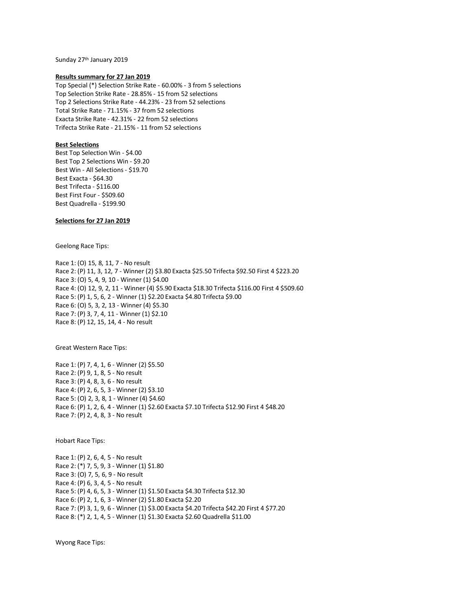Sunday 27<sup>th</sup> January 2019

## **Results summary for 27 Jan 2019**

Top Special (\*) Selection Strike Rate - 60.00% - 3 from 5 selections Top Selection Strike Rate - 28.85% - 15 from 52 selections Top 2 Selections Strike Rate - 44.23% - 23 from 52 selections Total Strike Rate - 71.15% - 37 from 52 selections Exacta Strike Rate - 42.31% - 22 from 52 selections Trifecta Strike Rate - 21.15% - 11 from 52 selections

## **Best Selections**

Best Top Selection Win - \$4.00 Best Top 2 Selections Win - \$9.20 Best Win - All Selections - \$19.70 Best Exacta - \$64.30 Best Trifecta - \$116.00 Best First Four - \$509.60 Best Quadrella - \$199.90

# **Selections for 27 Jan 2019**

Geelong Race Tips:

Race 1: (O) 15, 8, 11, 7 - No result Race 2: (P) 11, 3, 12, 7 - Winner (2) \$3.80 Exacta \$25.50 Trifecta \$92.50 First 4 \$223.20 Race 3: (O) 5, 4, 9, 10 - Winner (1) \$4.00 Race 4: (O) 12, 9, 2, 11 - Winner (4) \$5.90 Exacta \$18.30 Trifecta \$116.00 First 4 \$509.60 Race 5: (P) 1, 5, 6, 2 - Winner (1) \$2.20 Exacta \$4.80 Trifecta \$9.00 Race 6: (O) 5, 3, 2, 13 - Winner (4) \$5.30 Race 7: (P) 3, 7, 4, 11 - Winner (1) \$2.10 Race 8: (P) 12, 15, 14, 4 - No result

Great Western Race Tips:

Race 1: (P) 7, 4, 1, 6 - Winner (2) \$5.50 Race 2: (P) 9, 1, 8, 5 - No result Race 3: (P) 4, 8, 3, 6 - No result Race 4: (P) 2, 6, 5, 3 - Winner (2) \$3.10 Race 5: (O) 2, 3, 8, 1 - Winner (4) \$4.60 Race 6: (P) 1, 2, 6, 4 - Winner (1) \$2.60 Exacta \$7.10 Trifecta \$12.90 First 4 \$48.20 Race 7: (P) 2, 4, 8, 3 - No result

Hobart Race Tips:

Race 1: (P) 2, 6, 4, 5 - No result Race 2: (\*) 7, 5, 9, 3 - Winner (1) \$1.80 Race 3: (O) 7, 5, 6, 9 - No result Race 4: (P) 6, 3, 4, 5 - No result Race 5: (P) 4, 6, 5, 3 - Winner (1) \$1.50 Exacta \$4.30 Trifecta \$12.30 Race 6: (P) 2, 1, 6, 3 - Winner (2) \$1.80 Exacta \$2.20 Race 7: (P) 3, 1, 9, 6 - Winner (1) \$3.00 Exacta \$4.20 Trifecta \$42.20 First 4 \$77.20 Race 8: (\*) 2, 1, 4, 5 - Winner (1) \$1.30 Exacta \$2.60 Quadrella \$11.00

Wyong Race Tips: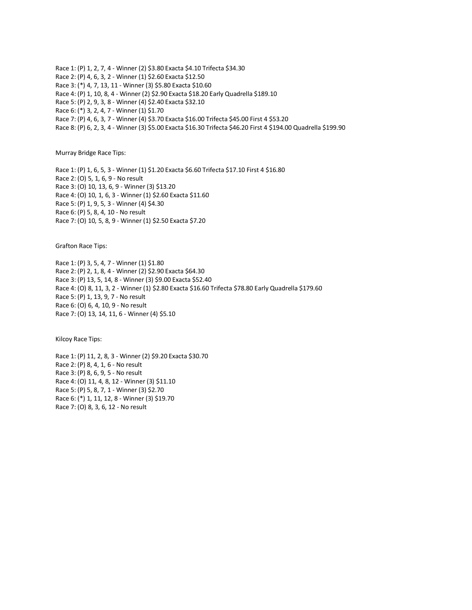Race 1: (P) 1, 2, 7, 4 - Winner (2) \$3.80 Exacta \$4.10 Trifecta \$34.30 Race 2: (P) 4, 6, 3, 2 - Winner (1) \$2.60 Exacta \$12.50 Race 3: (\*) 4, 7, 13, 11 - Winner (3) \$5.80 Exacta \$10.60 Race 4: (P) 1, 10, 8, 4 - Winner (2) \$2.90 Exacta \$18.20 Early Quadrella \$189.10 Race 5: (P) 2, 9, 3, 8 - Winner (4) \$2.40 Exacta \$32.10 Race 6: (\*) 3, 2, 4, 7 - Winner (1) \$1.70 Race 7: (P) 4, 6, 3, 7 - Winner (4) \$3.70 Exacta \$16.00 Trifecta \$45.00 First 4 \$53.20 Race 8: (P) 6, 2, 3, 4 - Winner (3) \$5.00 Exacta \$16.30 Trifecta \$46.20 First 4 \$194.00 Quadrella \$199.90

Murray Bridge Race Tips:

Race 1: (P) 1, 6, 5, 3 - Winner (1) \$1.20 Exacta \$6.60 Trifecta \$17.10 First 4 \$16.80 Race 2: (O) 5, 1, 6, 9 - No result Race 3: (O) 10, 13, 6, 9 - Winner (3) \$13.20 Race 4: (O) 10, 1, 6, 3 - Winner (1) \$2.60 Exacta \$11.60 Race 5: (P) 1, 9, 5, 3 - Winner (4) \$4.30 Race 6: (P) 5, 8, 4, 10 - No result Race 7: (O) 10, 5, 8, 9 - Winner (1) \$2.50 Exacta \$7.20

Grafton Race Tips:

Race 1: (P) 3, 5, 4, 7 - Winner (1) \$1.80 Race 2: (P) 2, 1, 8, 4 - Winner (2) \$2.90 Exacta \$64.30 Race 3: (P) 13, 5, 14, 8 - Winner (3) \$9.00 Exacta \$52.40 Race 4: (O) 8, 11, 3, 2 - Winner (1) \$2.80 Exacta \$16.60 Trifecta \$78.80 Early Quadrella \$179.60 Race 5: (P) 1, 13, 9, 7 - No result Race 6: (O) 6, 4, 10, 9 - No result Race 7: (O) 13, 14, 11, 6 - Winner (4) \$5.10

Kilcoy Race Tips:

Race 1: (P) 11, 2, 8, 3 - Winner (2) \$9.20 Exacta \$30.70 Race 2: (P) 8, 4, 1, 6 - No result Race 3: (P) 8, 6, 9, 5 - No result Race 4: (O) 11, 4, 8, 12 - Winner (3) \$11.10 Race 5: (P) 5, 8, 7, 1 - Winner (3) \$2.70 Race 6: (\*) 1, 11, 12, 8 - Winner (3) \$19.70 Race 7: (O) 8, 3, 6, 12 - No result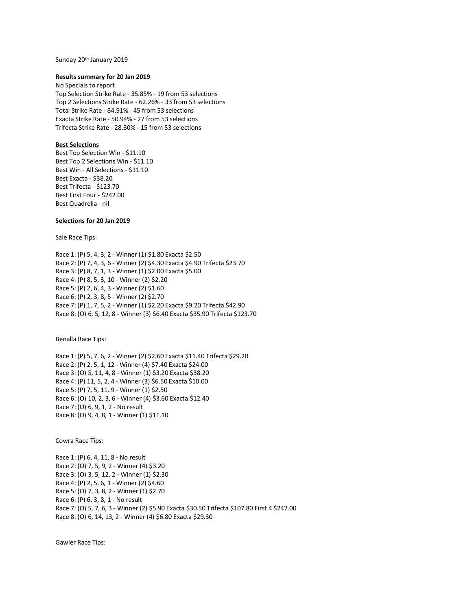#### Sunday 20<sup>th</sup> January 2019

#### **Results summary for 20 Jan 2019**

No Specials to report Top Selection Strike Rate - 35.85% - 19 from 53 selections Top 2 Selections Strike Rate - 62.26% - 33 from 53 selections Total Strike Rate - 84.91% - 45 from 53 selections Exacta Strike Rate - 50.94% - 27 from 53 selections Trifecta Strike Rate - 28.30% - 15 from 53 selections

## **Best Selections**

Best Top Selection Win - \$11.10 Best Top 2 Selections Win - \$11.10 Best Win - All Selections - \$11.10 Best Exacta - \$38.20 Best Trifecta - \$123.70 Best First Four - \$242.00 Best Quadrella - nil

# **Selections for 20 Jan 2019**

Sale Race Tips:

Race 1: (P) 5, 4, 3, 2 - Winner (1) \$1.80 Exacta \$2.50 Race 2: (P) 7, 4, 3, 6 - Winner (2) \$4.30 Exacta \$4.90 Trifecta \$23.70 Race 3: (P) 8, 7, 1, 3 - Winner (1) \$2.00 Exacta \$5.00 Race 4: (P) 8, 5, 3, 10 - Winner (2) \$2.20 Race 5: (P) 2, 6, 4, 3 - Winner (2) \$1.60 Race 6: (P) 2, 3, 8, 5 - Winner (2) \$2.70 Race 7: (P) 1, 7, 5, 2 - Winner (1) \$2.20 Exacta \$9.20 Trifecta \$42.90 Race 8: (O) 6, 5, 12, 8 - Winner (3) \$6.40 Exacta \$35.90 Trifecta \$123.70

Benalla Race Tips:

Race 1: (P) 5, 7, 6, 2 - Winner (2) \$2.60 Exacta \$11.40 Trifecta \$29.20 Race 2: (P) 2, 5, 1, 12 - Winner (4) \$7.40 Exacta \$24.00 Race 3: (O) 5, 11, 4, 8 - Winner (1) \$3.20 Exacta \$38.20 Race 4: (P) 11, 5, 2, 4 - Winner (3) \$6.50 Exacta \$10.00 Race 5: (P) 7, 5, 11, 9 - Winner (1) \$2.50 Race 6: (O) 10, 2, 3, 6 - Winner (4) \$3.60 Exacta \$12.40 Race 7: (O) 6, 9, 1, 2 - No result Race 8: (O) 9, 4, 8, 1 - Winner (1) \$11.10

Cowra Race Tips:

Race 1: (P) 6, 4, 11, 8 - No result Race 2: (O) 7, 5, 9, 2 - Winner (4) \$3.20 Race 3: (O) 3, 5, 12, 2 - Winner (1) \$2.30 Race 4: (P) 2, 5, 6, 1 - Winner (2) \$4.60 Race 5: (O) 7, 3, 8, 2 - Winner (1) \$2.70 Race 6: (P) 6, 3, 8, 1 - No result Race 7: (O) 5, 7, 6, 3 - Winner (2) \$5.90 Exacta \$30.50 Trifecta \$107.80 First 4 \$242.00 Race 8: (O) 6, 14, 13, 2 - Winner (4) \$6.80 Exacta \$29.30

Gawler Race Tips: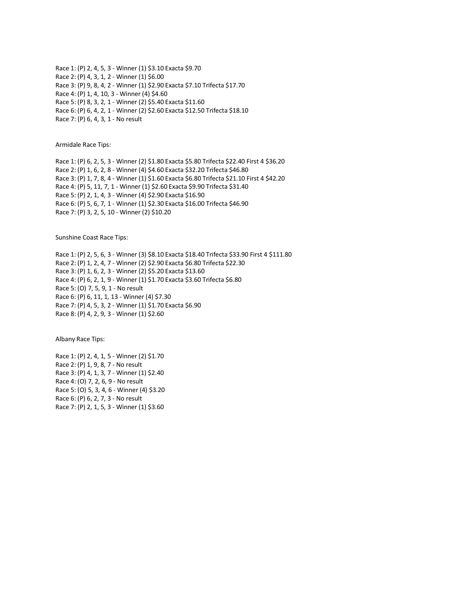Race 1: (P) 2, 4, 5, 3 - Winner (1) \$3.10 Exacta \$9.70 Race 2: (P) 4, 3, 1, 2 - Winner (1) \$6.00 Race 3: (P) 9, 8, 4, 2 - Winner (1) \$2.90 Exacta \$7.10 Trifecta \$17.70 Race 4: (P) 1, 4, 10, 3 - Winner (4) \$4.60 Race 5: (P) 8, 3, 2, 1 - Winner (2) \$5.40 Exacta \$11.60 Race 6: (P) 6, 4, 2, 1 - Winner (2) \$2.60 Exacta \$12.50 Trifecta \$18.10 Race 7: (P) 6, 4, 3, 1 - No result

Armidale Race Tips:

Race 1: (P) 6, 2, 5, 3 - Winner (2) \$1.80 Exacta \$5.80 Trifecta \$22.40 First 4 \$36.20 Race 2: (P) 1, 6, 2, 8 - Winner (4) \$4.60 Exacta \$32.20 Trifecta \$46.80 Race 3: (P) 1, 7, 8, 4 - Winner (1) \$1.60 Exacta \$6.80 Trifecta \$21.10 First 4 \$42.20 Race 4: (P) 5, 11, 7, 1 - Winner (1) \$2.60 Exacta \$9.90 Trifecta \$31.40 Race 5: (P) 2, 1, 4, 3 - Winner (4) \$2.90 Exacta \$16.90 Race 6: (P) 5, 6, 7, 1 - Winner (1) \$2.30 Exacta \$16.00 Trifecta \$46.90 Race 7: (P) 3, 2, 5, 10 - Winner (2) \$10.20

Sunshine Coast Race Tips:

Race 1: (P) 2, 5, 6, 3 - Winner (3) \$8.10 Exacta \$18.40 Trifecta \$33.90 First 4 \$111.80 Race 2: (P) 1, 2, 4, 7 - Winner (2) \$2.90 Exacta \$6.80 Trifecta \$22.30 Race 3: (P) 1, 6, 2, 3 - Winner (2) \$5.20 Exacta \$13.60 Race 4: (P) 6, 2, 1, 9 - Winner (1) \$1.70 Exacta \$3.60 Trifecta \$6.80 Race 5: (O) 7, 5, 9, 1 - No result Race 6: (P) 6, 11, 1, 13 - Winner (4) \$7.30 Race 7: (P) 4, 5, 3, 2 - Winner (1) \$1.70 Exacta \$6.90 Race 8: (P) 4, 2, 9, 3 - Winner (1) \$2.60

Albany Race Tips:

Race 1: (P) 2, 4, 1, 5 - Winner (2) \$1.70 Race 2: (P) 1, 9, 8, 7 - No result Race 3: (P) 4, 1, 3, 7 - Winner (1) \$2.40 Race 4: (O) 7, 2, 6, 9 - No result Race 5: (O) 5, 3, 4, 6 - Winner (4) \$3.20 Race 6: (P) 6, 2, 7, 3 - No result Race 7: (P) 2, 1, 5, 3 - Winner (1) \$3.60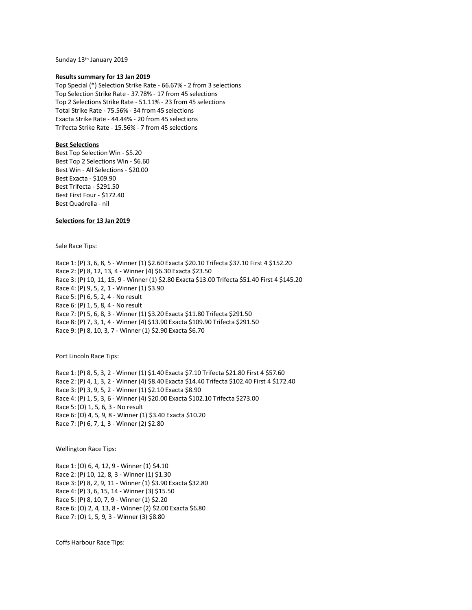Sunday 13th January 2019

## **Results summary for 13 Jan 2019**

Top Special (\*) Selection Strike Rate - 66.67% - 2 from 3 selections Top Selection Strike Rate - 37.78% - 17 from 45 selections Top 2 Selections Strike Rate - 51.11% - 23 from 45 selections Total Strike Rate - 75.56% - 34 from 45 selections Exacta Strike Rate - 44.44% - 20 from 45 selections Trifecta Strike Rate - 15.56% - 7 from 45 selections

## **Best Selections**

Best Top Selection Win - \$5.20 Best Top 2 Selections Win - \$6.60 Best Win - All Selections - \$20.00 Best Exacta - \$109.90 Best Trifecta - \$291.50 Best First Four - \$172.40 Best Quadrella - nil

# **Selections for 13 Jan 2019**

Sale Race Tips:

Race 1: (P) 3, 6, 8, 5 - Winner (1) \$2.60 Exacta \$20.10 Trifecta \$37.10 First 4 \$152.20 Race 2: (P) 8, 12, 13, 4 - Winner (4) \$6.30 Exacta \$23.50 Race 3: (P) 10, 11, 15, 9 - Winner (1) \$2.80 Exacta \$13.00 Trifecta \$51.40 First 4 \$145.20 Race 4: (P) 9, 5, 2, 1 - Winner (1) \$3.90 Race 5: (P) 6, 5, 2, 4 - No result Race 6: (P) 1, 5, 8, 4 - No result Race 7: (P) 5, 6, 8, 3 - Winner (1) \$3.20 Exacta \$11.80 Trifecta \$291.50 Race 8: (P) 7, 3, 1, 4 - Winner (4) \$13.90 Exacta \$109.90 Trifecta \$291.50 Race 9: (P) 8, 10, 3, 7 - Winner (1) \$2.90 Exacta \$6.70

Port Lincoln Race Tips:

Race 1: (P) 8, 5, 3, 2 - Winner (1) \$1.40 Exacta \$7.10 Trifecta \$21.80 First 4 \$57.60 Race 2: (P) 4, 1, 3, 2 - Winner (4) \$8.40 Exacta \$14.40 Trifecta \$102.40 First 4 \$172.40 Race 3: (P) 3, 9, 5, 2 - Winner (1) \$2.10 Exacta \$8.90 Race 4: (P) 1, 5, 3, 6 - Winner (4) \$20.00 Exacta \$102.10 Trifecta \$273.00 Race 5: (O) 1, 5, 6, 3 - No result Race 6: (O) 4, 5, 9, 8 - Winner (1) \$3.40 Exacta \$10.20 Race 7: (P) 6, 7, 1, 3 - Winner (2) \$2.80

Wellington Race Tips:

Race 1: (O) 6, 4, 12, 9 - Winner (1) \$4.10 Race 2: (P) 10, 12, 8, 3 - Winner (1) \$1.30 Race 3: (P) 8, 2, 9, 11 - Winner (1) \$3.90 Exacta \$32.80 Race 4: (P) 3, 6, 15, 14 - Winner (3) \$15.50 Race 5: (P) 8, 10, 7, 9 - Winner (1) \$2.20 Race 6: (O) 2, 4, 13, 8 - Winner (2) \$2.00 Exacta \$6.80 Race 7: (O) 1, 5, 9, 3 - Winner (3) \$8.80

Coffs Harbour Race Tips: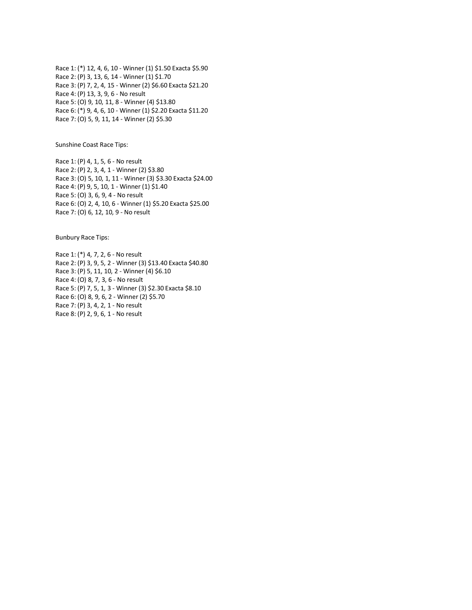Race 1: (\*) 12, 4, 6, 10 - Winner (1) \$1.50 Exacta \$5.90 Race 2: (P) 3, 13, 6, 14 - Winner (1) \$1.70 Race 3: (P) 7, 2, 4, 15 - Winner (2) \$6.60 Exacta \$21.20 Race 4: (P) 13, 3, 9, 6 - No result Race 5: (O) 9, 10, 11, 8 - Winner (4) \$13.80 Race 6: (\*) 9, 4, 6, 10 - Winner (1) \$2.20 Exacta \$11.20 Race 7: (O) 5, 9, 11, 14 - Winner (2) \$5.30

Sunshine Coast Race Tips:

Race 1: (P) 4, 1, 5, 6 - No result Race 2: (P) 2, 3, 4, 1 - Winner (2) \$3.80 Race 3: (O) 5, 10, 1, 11 - Winner (3) \$3.30 Exacta \$24.00 Race 4: (P) 9, 5, 10, 1 - Winner (1) \$1.40 Race 5: (O) 3, 6, 9, 4 - No result Race 6: (O) 2, 4, 10, 6 - Winner (1) \$5.20 Exacta \$25.00 Race 7: (O) 6, 12, 10, 9 - No result

Bunbury Race Tips:

Race 1: (\*) 4, 7, 2, 6 - No result Race 2: (P) 3, 9, 5, 2 - Winner (3) \$13.40 Exacta \$40.80 Race 3: (P) 5, 11, 10, 2 - Winner (4) \$6.10 Race 4: (O) 8, 7, 3, 6 - No result Race 5: (P) 7, 5, 1, 3 - Winner (3) \$2.30 Exacta \$8.10 Race 6: (O) 8, 9, 6, 2 - Winner (2) \$5.70 Race 7: (P) 3, 4, 2, 1 - No result Race 8: (P) 2, 9, 6, 1 - No result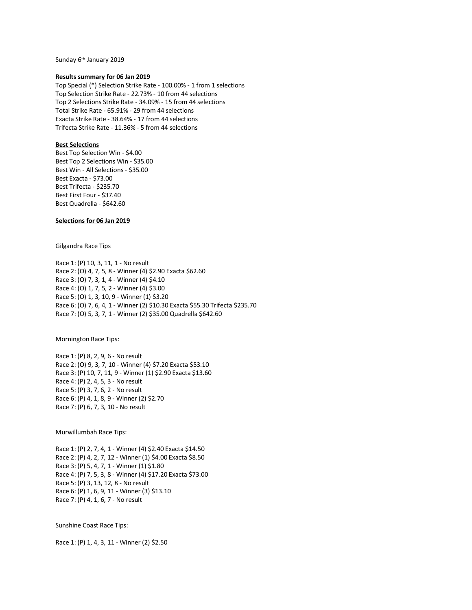Sunday 6<sup>th</sup> January 2019

## **Results summary for 06 Jan 2019**

Top Special (\*) Selection Strike Rate - 100.00% - 1 from 1 selections Top Selection Strike Rate - 22.73% - 10 from 44 selections Top 2 Selections Strike Rate - 34.09% - 15 from 44 selections Total Strike Rate - 65.91% - 29 from 44 selections Exacta Strike Rate - 38.64% - 17 from 44 selections Trifecta Strike Rate - 11.36% - 5 from 44 selections

# **Best Selections**

Best Top Selection Win - \$4.00 Best Top 2 Selections Win - \$35.00 Best Win - All Selections - \$35.00 Best Exacta - \$73.00 Best Trifecta - \$235.70 Best First Four - \$37.40 Best Quadrella - \$642.60

# **Selections for 06 Jan 2019**

Gilgandra Race Tips

Race 1: (P) 10, 3, 11, 1 - No result Race 2: (O) 4, 7, 5, 8 - Winner (4) \$2.90 Exacta \$62.60 Race 3: (O) 7, 3, 1, 4 - Winner (4) \$4.10 Race 4: (O) 1, 7, 5, 2 - Winner (4) \$3.00 Race 5: (O) 1, 3, 10, 9 - Winner (1) \$3.20 Race 6: (O) 7, 6, 4, 1 - Winner (2) \$10.30 Exacta \$55.30 Trifecta \$235.70 Race 7: (O) 5, 3, 7, 1 - Winner (2) \$35.00 Quadrella \$642.60

Mornington Race Tips:

Race 1: (P) 8, 2, 9, 6 - No result Race 2: (O) 9, 3, 7, 10 - Winner (4) \$7.20 Exacta \$53.10 Race 3: (P) 10, 7, 11, 9 - Winner (1) \$2.90 Exacta \$13.60 Race 4: (P) 2, 4, 5, 3 - No result Race 5: (P) 3, 7, 6, 2 - No result Race 6: (P) 4, 1, 8, 9 - Winner (2) \$2.70 Race 7: (P) 6, 7, 3, 10 - No result

Murwillumbah Race Tips:

Race 1: (P) 2, 7, 4, 1 - Winner (4) \$2.40 Exacta \$14.50 Race 2: (P) 4, 2, 7, 12 - Winner (1) \$4.00 Exacta \$8.50 Race 3: (P) 5, 4, 7, 1 - Winner (1) \$1.80 Race 4: (P) 7, 5, 3, 8 - Winner (4) \$17.20 Exacta \$73.00 Race 5: (P) 3, 13, 12, 8 - No result Race 6: (P) 1, 6, 9, 11 - Winner (3) \$13.10 Race 7: (P) 4, 1, 6, 7 - No result

Sunshine Coast Race Tips:

Race 1: (P) 1, 4, 3, 11 - Winner (2) \$2.50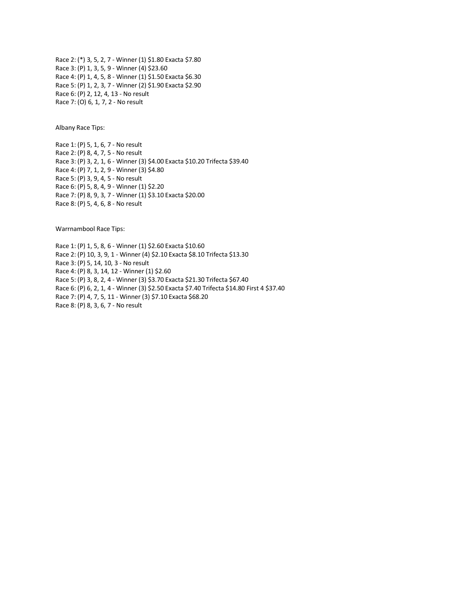Race 2: (\*) 3, 5, 2, 7 - Winner (1) \$1.80 Exacta \$7.80 Race 3: (P) 1, 3, 5, 9 - Winner (4) \$23.60 Race 4: (P) 1, 4, 5, 8 - Winner (1) \$1.50 Exacta \$6.30 Race 5: (P) 1, 2, 3, 7 - Winner (2) \$1.90 Exacta \$2.90 Race 6: (P) 2, 12, 4, 13 - No result Race 7: (O) 6, 1, 7, 2 - No result

Albany Race Tips:

Race 1: (P) 5, 1, 6, 7 - No result Race 2: (P) 8, 4, 7, 5 - No result Race 3: (P) 3, 2, 1, 6 - Winner (3) \$4.00 Exacta \$10.20 Trifecta \$39.40 Race 4: (P) 7, 1, 2, 9 - Winner (3) \$4.80 Race 5: (P) 3, 9, 4, 5 - No result Race 6: (P) 5, 8, 4, 9 - Winner (1) \$2.20 Race 7: (P) 8, 9, 3, 7 - Winner (1) \$3.10 Exacta \$20.00 Race 8: (P) 5, 4, 6, 8 - No result

Warrnambool Race Tips:

Race 1: (P) 1, 5, 8, 6 - Winner (1) \$2.60 Exacta \$10.60 Race 2: (P) 10, 3, 9, 1 - Winner (4) \$2.10 Exacta \$8.10 Trifecta \$13.30 Race 3: (P) 5, 14, 10, 3 - No result Race 4: (P) 8, 3, 14, 12 - Winner (1) \$2.60 Race 5: (P) 3, 8, 2, 4 - Winner (3) \$3.70 Exacta \$21.30 Trifecta \$67.40 Race 6: (P) 6, 2, 1, 4 - Winner (3) \$2.50 Exacta \$7.40 Trifecta \$14.80 First 4 \$37.40 Race 7: (P) 4, 7, 5, 11 - Winner (3) \$7.10 Exacta \$68.20 Race 8: (P) 8, 3, 6, 7 - No result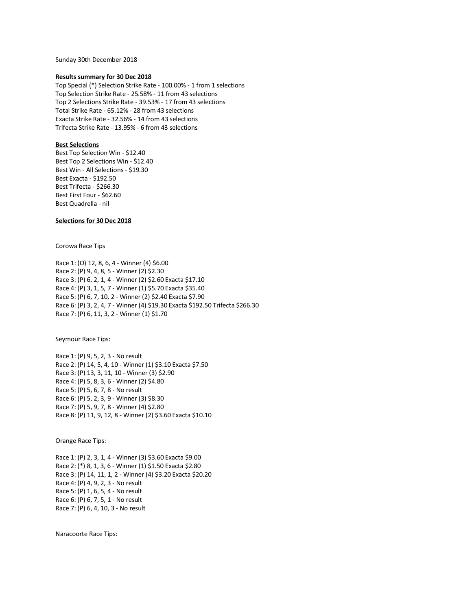Sunday 30th December 2018

## **Results summary for 30 Dec 2018**

Top Special (\*) Selection Strike Rate - 100.00% - 1 from 1 selections Top Selection Strike Rate - 25.58% - 11 from 43 selections Top 2 Selections Strike Rate - 39.53% - 17 from 43 selections Total Strike Rate - 65.12% - 28 from 43 selections Exacta Strike Rate - 32.56% - 14 from 43 selections Trifecta Strike Rate - 13.95% - 6 from 43 selections

## **Best Selections**

Best Top Selection Win - \$12.40 Best Top 2 Selections Win - \$12.40 Best Win - All Selections - \$19.30 Best Exacta - \$192.50 Best Trifecta - \$266.30 Best First Four - \$62.60 Best Quadrella - nil

# **Selections for 30 Dec 2018**

Corowa Race Tips

Race 1: (O) 12, 8, 6, 4 - Winner (4) \$6.00 Race 2: (P) 9, 4, 8, 5 - Winner (2) \$2.30 Race 3: (P) 6, 2, 1, 4 - Winner (2) \$2.60 Exacta \$17.10 Race 4: (P) 3, 1, 5, 7 - Winner (1) \$5.70 Exacta \$35.40 Race 5: (P) 6, 7, 10, 2 - Winner (2) \$2.40 Exacta \$7.90 Race 6: (P) 3, 2, 4, 7 - Winner (4) \$19.30 Exacta \$192.50 Trifecta \$266.30 Race 7: (P) 6, 11, 3, 2 - Winner (1) \$1.70

Seymour Race Tips:

Race 1: (P) 9, 5, 2, 3 - No result Race 2: (P) 14, 5, 4, 10 - Winner (1) \$3.10 Exacta \$7.50 Race 3: (P) 13, 3, 11, 10 - Winner (3) \$2.90 Race 4: (P) 5, 8, 3, 6 - Winner (2) \$4.80 Race 5: (P) 5, 6, 7, 8 - No result Race 6: (P) 5, 2, 3, 9 - Winner (3) \$8.30 Race 7: (P) 5, 9, 7, 8 - Winner (4) \$2.80 Race 8: (P) 11, 9, 12, 8 - Winner (2) \$3.60 Exacta \$10.10

Orange Race Tips:

Race 1: (P) 2, 3, 1, 4 - Winner (3) \$3.60 Exacta \$9.00 Race 2: (\*) 8, 1, 3, 6 - Winner (1) \$1.50 Exacta \$2.80 Race 3: (P) 14, 11, 1, 2 - Winner (4) \$3.20 Exacta \$20.20 Race 4: (P) 4, 9, 2, 3 - No result Race 5: (P) 1, 6, 5, 4 - No result Race 6: (P) 6, 7, 5, 1 - No result Race 7: (P) 6, 4, 10, 3 - No result

Naracoorte Race Tips: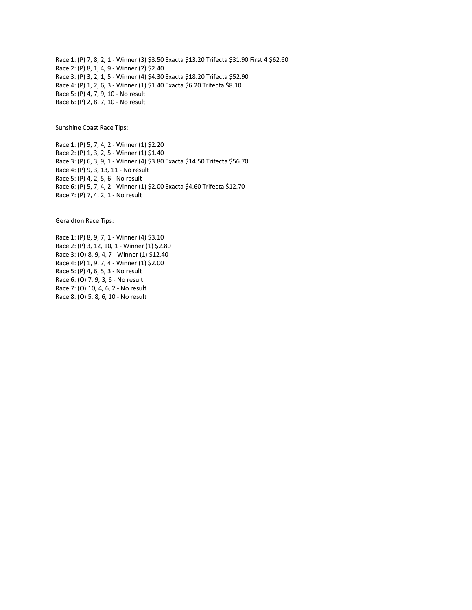Race 1: (P) 7, 8, 2, 1 - Winner (3) \$3.50 Exacta \$13.20 Trifecta \$31.90 First 4 \$62.60 Race 2: (P) 8, 1, 4, 9 - Winner (2) \$2.40 Race 3: (P) 3, 2, 1, 5 - Winner (4) \$4.30 Exacta \$18.20 Trifecta \$52.90 Race 4: (P) 1, 2, 6, 3 - Winner (1) \$1.40 Exacta \$6.20 Trifecta \$8.10 Race 5: (P) 4, 7, 9, 10 - No result Race 6: (P) 2, 8, 7, 10 - No result

Sunshine Coast Race Tips:

Race 1: (P) 5, 7, 4, 2 - Winner (1) \$2.20 Race 2: (P) 1, 3, 2, 5 - Winner (1) \$1.40 Race 3: (P) 6, 3, 9, 1 - Winner (4) \$3.80 Exacta \$14.50 Trifecta \$56.70 Race 4: (P) 9, 3, 13, 11 - No result Race 5: (P) 4, 2, 5, 6 - No result Race 6: (P) 5, 7, 4, 2 - Winner (1) \$2.00 Exacta \$4.60 Trifecta \$12.70 Race 7: (P) 7, 4, 2, 1 - No result

Geraldton Race Tips:

Race 1: (P) 8, 9, 7, 1 - Winner (4) \$3.10 Race 2: (P) 3, 12, 10, 1 - Winner (1) \$2.80 Race 3: (O) 8, 9, 4, 7 - Winner (1) \$12.40 Race 4: (P) 1, 9, 7, 4 - Winner (1) \$2.00 Race 5: (P) 4, 6, 5, 3 - No result Race 6: (O) 7, 9, 3, 6 - No result Race 7: (O) 10, 4, 6, 2 - No result Race 8: (O) 5, 8, 6, 10 - No result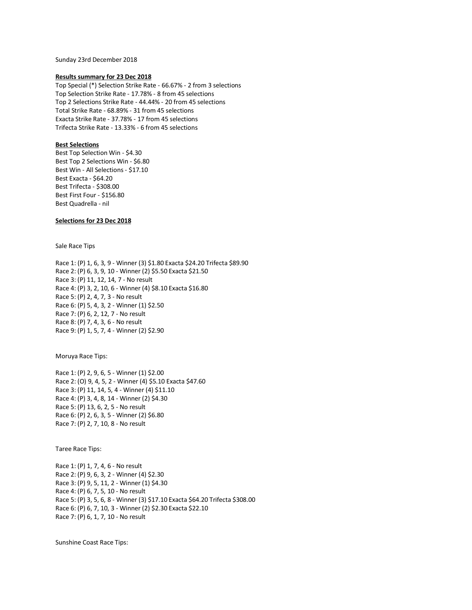Sunday 23rd December 2018

## **Results summary for 23 Dec 2018**

Top Special (\*) Selection Strike Rate - 66.67% - 2 from 3 selections Top Selection Strike Rate - 17.78% - 8 from 45 selections Top 2 Selections Strike Rate - 44.44% - 20 from 45 selections Total Strike Rate - 68.89% - 31 from 45 selections Exacta Strike Rate - 37.78% - 17 from 45 selections Trifecta Strike Rate - 13.33% - 6 from 45 selections

# **Best Selections**

Best Top Selection Win - \$4.30 Best Top 2 Selections Win - \$6.80 Best Win - All Selections - \$17.10 Best Exacta - \$64.20 Best Trifecta - \$308.00 Best First Four - \$156.80 Best Quadrella - nil

# **Selections for 23 Dec 2018**

Sale Race Tips

Race 1: (P) 1, 6, 3, 9 - Winner (3) \$1.80 Exacta \$24.20 Trifecta \$89.90 Race 2: (P) 6, 3, 9, 10 - Winner (2) \$5.50 Exacta \$21.50 Race 3: (P) 11, 12, 14, 7 - No result Race 4: (P) 3, 2, 10, 6 - Winner (4) \$8.10 Exacta \$16.80 Race 5: (P) 2, 4, 7, 3 - No result Race 6: (P) 5, 4, 3, 2 - Winner (1) \$2.50 Race 7: (P) 6, 2, 12, 7 - No result Race 8: (P) 7, 4, 3, 6 - No result Race 9: (P) 1, 5, 7, 4 - Winner (2) \$2.90

Moruya Race Tips:

Race 1: (P) 2, 9, 6, 5 - Winner (1) \$2.00 Race 2: (O) 9, 4, 5, 2 - Winner (4) \$5.10 Exacta \$47.60 Race 3: (P) 11, 14, 5, 4 - Winner (4) \$11.10 Race 4: (P) 3, 4, 8, 14 - Winner (2) \$4.30 Race 5: (P) 13, 6, 2, 5 - No result Race 6: (P) 2, 6, 3, 5 - Winner (2) \$6.80 Race 7: (P) 2, 7, 10, 8 - No result

Taree Race Tips:

Race 1: (P) 1, 7, 4, 6 - No result Race 2: (P) 9, 6, 3, 2 - Winner (4) \$2.30 Race 3: (P) 9, 5, 11, 2 - Winner (1) \$4.30 Race 4: (P) 6, 7, 5, 10 - No result Race 5: (P) 3, 5, 6, 8 - Winner (3) \$17.10 Exacta \$64.20 Trifecta \$308.00 Race 6: (P) 6, 7, 10, 3 - Winner (2) \$2.30 Exacta \$22.10 Race 7: (P) 6, 1, 7, 10 - No result

Sunshine Coast Race Tips: